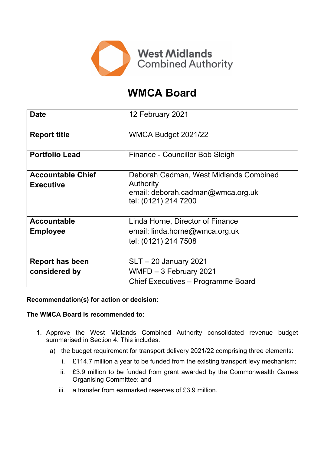

# **WMCA Board**

| <b>Date</b>                                  | 12 February 2021                                                                                                        |
|----------------------------------------------|-------------------------------------------------------------------------------------------------------------------------|
| <b>Report title</b>                          | WMCA Budget 2021/22                                                                                                     |
| <b>Portfolio Lead</b>                        | Finance - Councillor Bob Sleigh                                                                                         |
| <b>Accountable Chief</b><br><b>Executive</b> | Deborah Cadman, West Midlands Combined<br><b>Authority</b><br>email: deborah.cadman@wmca.org.uk<br>tel: (0121) 214 7200 |
| <b>Accountable</b><br><b>Employee</b>        | Linda Horne, Director of Finance<br>email: linda.horne@wmca.org.uk                                                      |
|                                              | tel: (0121) 214 7508                                                                                                    |
| <b>Report has been</b>                       | <b>SLT-20 January 2021</b>                                                                                              |
| considered by                                | WMFD - 3 February 2021                                                                                                  |
|                                              | Chief Executives - Programme Board                                                                                      |

### **Recommendation(s) for action or decision:**

### **The WMCA Board is recommended to:**

- 1. Approve the West Midlands Combined Authority consolidated revenue budget summarised in Section 4. This includes:
	- a) the budget requirement for transport delivery 2021/22 comprising three elements:
		- i. £114.7 million a year to be funded from the existing transport levy mechanism:
		- ii. £3.9 million to be funded from grant awarded by the Commonwealth Games Organising Committee: and
		- iii. a transfer from earmarked reserves of £3.9 million.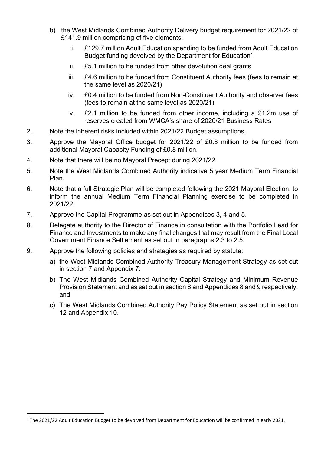- b) the West Midlands Combined Authority Delivery budget requirement for 2021/22 of £141.9 million comprising of five elements:
	- i. £129.7 million Adult Education spending to be funded from Adult Education Budget funding devolved by the Department for Education<sup>1</sup>
	- ii. £5.1 million to be funded from other devolution deal grants
	- iii. £4.6 million to be funded from Constituent Authority fees (fees to remain at the same level as 2020/21)
	- iv. £0.4 million to be funded from Non-Constituent Authority and observer fees (fees to remain at the same level as 2020/21)
	- v. £2.1 million to be funded from other income, including a £1.2m use of reserves created from WMCA's share of 2020/21 Business Rates
- 2. Note the inherent risks included within 2021/22 Budget assumptions.
- 3. Approve the Mayoral Office budget for 2021/22 of £0.8 million to be funded from additional Mayoral Capacity Funding of £0.8 million.
- 4. Note that there will be no Mayoral Precept during 2021/22.
- 5. Note the West Midlands Combined Authority indicative 5 year Medium Term Financial Plan.
- 6. Note that a full Strategic Plan will be completed following the 2021 Mayoral Election, to inform the annual Medium Term Financial Planning exercise to be completed in 2021/22.
- 7. Approve the Capital Programme as set out in Appendices 3, 4 and 5.
- 8. Delegate authority to the Director of Finance in consultation with the Portfolio Lead for Finance and Investments to make any final changes that may result from the Final Local Government Finance Settlement as set out in paragraphs 2.3 to 2.5.
- 9. Approve the following policies and strategies as required by statute:
	- a) the West Midlands Combined Authority Treasury Management Strategy as set out in section 7 and Appendix 7:
	- b) The West Midlands Combined Authority Capital Strategy and Minimum Revenue Provision Statement and as set out in section 8 and Appendices 8 and 9 respectively: and
	- c) The West Midlands Combined Authority Pay Policy Statement as set out in section 12 and Appendix 10.

<sup>1</sup> The 2021/22 Adult Education Budget to be devolved from Department for Education will be confirmed in early 2021.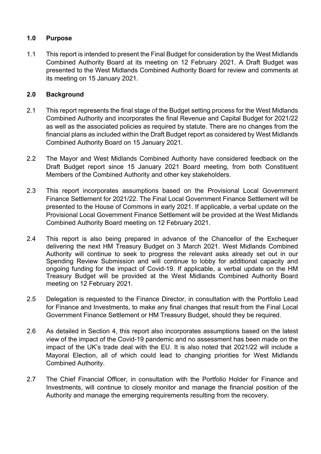### **1.0 Purpose**

1.1 This report is intended to present the Final Budget for consideration by the West Midlands Combined Authority Board at its meeting on 12 February 2021. A Draft Budget was presented to the West Midlands Combined Authority Board for review and comments at its meeting on 15 January 2021.

### **2.0 Background**

- 2.1 This report represents the final stage of the Budget setting process for the West Midlands Combined Authority and incorporates the final Revenue and Capital Budget for 2021/22 as well as the associated policies as required by statute. There are no changes from the financial plans as included within the Draft Budget report as considered by West Midlands Combined Authority Board on 15 January 2021.
- 2.2 The Mayor and West Midlands Combined Authority have considered feedback on the Draft Budget report since 15 January 2021 Board meeting, from both Constituent Members of the Combined Authority and other key stakeholders.
- 2.3 This report incorporates assumptions based on the Provisional Local Government Finance Settlement for 2021/22. The Final Local Government Finance Settlement will be presented to the House of Commons in early 2021. If applicable, a verbal update on the Provisional Local Government Finance Settlement will be provided at the West Midlands Combined Authority Board meeting on 12 February 2021.
- 2.4 This report is also being prepared in advance of the Chancellor of the Exchequer delivering the next HM Treasury Budget on 3 March 2021. West Midlands Combined Authority will continue to seek to progress the relevant asks already set out in our Spending Review Submission and will continue to lobby for additional capacity and ongoing funding for the impact of Covid-19. If applicable, a verbal update on the HM Treasury Budget will be provided at the West Midlands Combined Authority Board meeting on 12 February 2021.
- 2.5 Delegation is requested to the Finance Director, in consultation with the Portfolio Lead for Finance and Investments, to make any final changes that result from the Final Local Government Finance Settlement or HM Treasury Budget, should they be required.
- 2.6 As detailed in Section 4, this report also incorporates assumptions based on the latest view of the impact of the Covid-19 pandemic and no assessment has been made on the impact of the UK's trade deal with the EU. It is also noted that 2021/22 will include a Mayoral Election, all of which could lead to changing priorities for West Midlands Combined Authority.
- 2.7 The Chief Financial Officer, in consultation with the Portfolio Holder for Finance and Investments, will continue to closely monitor and manage the financial position of the Authority and manage the emerging requirements resulting from the recovery.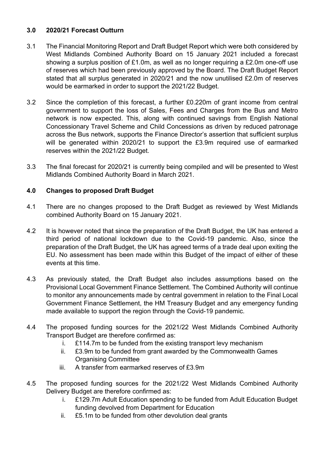### **3.0 2020/21 Forecast Outturn**

- 3.1 The Financial Monitoring Report and Draft Budget Report which were both considered by West Midlands Combined Authority Board on 15 January 2021 included a forecast showing a surplus position of £1.0m, as well as no longer requiring a £2.0m one-off use of reserves which had been previously approved by the Board. The Draft Budget Report stated that all surplus generated in 2020/21 and the now unutilised £2.0m of reserves would be earmarked in order to support the 2021/22 Budget.
- 3.2 Since the completion of this forecast, a further £0.220m of grant income from central government to support the loss of Sales, Fees and Charges from the Bus and Metro network is now expected. This, along with continued savings from English National Concessionary Travel Scheme and Child Concessions as driven by reduced patronage across the Bus network, supports the Finance Director's assertion that sufficient surplus will be generated within 2020/21 to support the £3.9m required use of earmarked reserves within the 2021/22 Budget.
- 3.3 The final forecast for 2020/21 is currently being compiled and will be presented to West Midlands Combined Authority Board in March 2021.

### **4.0 Changes to proposed Draft Budget**

- 4.1 There are no changes proposed to the Draft Budget as reviewed by West Midlands combined Authority Board on 15 January 2021.
- 4.2 It is however noted that since the preparation of the Draft Budget, the UK has entered a third period of national lockdown due to the Covid-19 pandemic. Also, since the preparation of the Draft Budget, the UK has agreed terms of a trade deal upon exiting the EU. No assessment has been made within this Budget of the impact of either of these events at this time.
- 4.3 As previously stated, the Draft Budget also includes assumptions based on the Provisional Local Government Finance Settlement. The Combined Authority will continue to monitor any announcements made by central government in relation to the Final Local Government Finance Settlement, the HM Treasury Budget and any emergency funding made available to support the region through the Covid-19 pandemic.
- 4.4 The proposed funding sources for the 2021/22 West Midlands Combined Authority Transport Budget are therefore confirmed as:
	- i. £114.7m to be funded from the existing transport levy mechanism
	- ii. £3.9m to be funded from grant awarded by the Commonwealth Games Organising Committee
	- iii. A transfer from earmarked reserves of £3.9m
- 4.5 The proposed funding sources for the 2021/22 West Midlands Combined Authority Delivery Budget are therefore confirmed as:
	- i. £129.7m Adult Education spending to be funded from Adult Education Budget funding devolved from Department for Education
	- ii. £5.1m to be funded from other devolution deal grants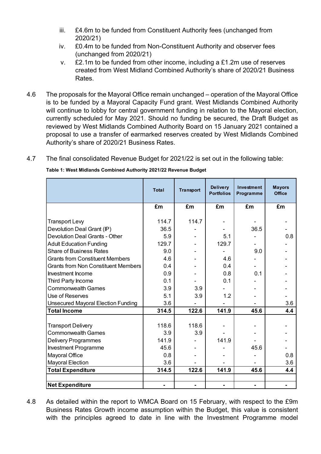- iii. £4.6m to be funded from Constituent Authority fees (unchanged from 2020/21)
- iv. £0.4m to be funded from Non-Constituent Authority and observer fees (unchanged from 2020/21)
- v. £2.1m to be funded from other income, including a £1.2m use of reserves created from West Midland Combined Authority's share of 2020/21 Business Rates.
- 4.6 The proposals for the Mayoral Office remain unchanged operation of the Mayoral Office is to be funded by a Mayoral Capacity Fund grant. West Midlands Combined Authority will continue to lobby for central government funding in relation to the Mayoral election, currently scheduled for May 2021. Should no funding be secured, the Draft Budget as reviewed by West Midlands Combined Authority Board on 15 January 2021 contained a proposal to use a transfer of earmarked reserves created by West Midlands Combined Authority's share of 2020/21 Business Rates.
- 4.7 The final consolidated Revenue Budget for 2021/22 is set out in the following table:

| Table 1: West Midlands Combined Authority 2021/22 Revenue Budget |  |
|------------------------------------------------------------------|--|
|------------------------------------------------------------------|--|

|                                                                     | <b>Total</b>  | <b>Transport</b> | <b>Delivery</b><br><b>Portfolios</b> | Investment<br>Programme | <b>Mayors</b><br><b>Office</b> |
|---------------------------------------------------------------------|---------------|------------------|--------------------------------------|-------------------------|--------------------------------|
|                                                                     | £m            | £m               | £m                                   | £m                      | £m                             |
|                                                                     |               | 114.7            |                                      |                         |                                |
| <b>Transport Levy</b>                                               | 114.7<br>36.5 |                  |                                      |                         |                                |
| Devolution Deal Grant (IP)<br><b>Devolution Deal Grants - Other</b> |               |                  |                                      | 36.5                    |                                |
|                                                                     | 5.9           |                  | 5.1                                  |                         | 0.8                            |
| <b>Adult Education Funding</b>                                      | 129.7         |                  | 129.7                                |                         |                                |
| <b>Share of Business Rates</b>                                      | 9.0           |                  |                                      | 9.0                     |                                |
| <b>Grants from Constituent Members</b>                              | 4.6           |                  | 4.6                                  |                         |                                |
| <b>Grants from Non Constituent Members</b>                          | 0.4           |                  | 0.4                                  |                         |                                |
| Investment Income                                                   | 0.9           |                  | 0.8                                  | 0.1                     |                                |
| Third Party Income                                                  | 0.1           |                  | 0.1                                  |                         |                                |
| <b>Commonwealth Games</b>                                           | 3.9           | 3.9              |                                      |                         |                                |
| Use of Reserves                                                     | 5.1           | 3.9              | 1.2                                  |                         |                                |
| <b>Unsecured Mayoral Election Funding</b>                           | 3.6           |                  |                                      |                         | 3.6                            |
| <b>Total Income</b>                                                 | 314.5         | 122.6            | 141.9                                | 45.6                    | 4.4                            |
|                                                                     |               |                  |                                      |                         |                                |
| <b>Transport Delivery</b>                                           | 118.6         | 118.6            |                                      |                         |                                |
| <b>Commonwealth Games</b>                                           | 3.9           | 3.9              |                                      |                         |                                |
| <b>Delivery Programmes</b>                                          | 141.9         |                  | 141.9                                |                         |                                |
| <b>Investment Programme</b>                                         | 45.6          |                  |                                      | 45.6                    |                                |
| Mayoral Office                                                      | 0.8           |                  |                                      |                         | 0.8                            |
| <b>Mayoral Election</b>                                             | 3.6           |                  |                                      |                         | 3.6                            |
| <b>Total Expenditure</b>                                            | 314.5         | 122.6            | 141.9                                | 45.6                    | 4.4                            |
|                                                                     |               |                  |                                      |                         |                                |
| <b>Net Expenditure</b>                                              |               |                  |                                      |                         |                                |

4.8 As detailed within the report to WMCA Board on 15 February, with respect to the £9m Business Rates Growth income assumption within the Budget, this value is consistent with the principles agreed to date in line with the Investment Programme model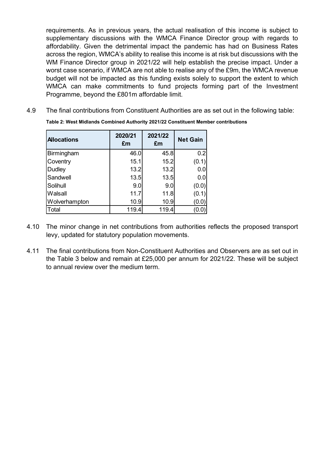requirements. As in previous years, the actual realisation of this income is subject to supplementary discussions with the WMCA Finance Director group with regards to affordability. Given the detrimental impact the pandemic has had on Business Rates across the region, WMCA's ability to realise this income is at risk but discussions with the WM Finance Director group in 2021/22 will help establish the precise impact. Under a worst case scenario, if WMCA are not able to realise any of the £9m, the WMCA revenue budget will not be impacted as this funding exists solely to support the extent to which WMCA can make commitments to fund projects forming part of the Investment Programme, beyond the £801m affordable limit.

4.9 The final contributions from Constituent Authorities are as set out in the following table:

| <b>Allocations</b> | 2020/21<br>£m | 2021/22<br>£m | <b>Net Gain</b> |
|--------------------|---------------|---------------|-----------------|
| Birmingham         | 46.0          | 45.8          | 0.2             |
| Coventry           | 15.1          | 15.2          | (0.1)           |
| <b>Dudley</b>      | 13.2          | 13.2          | 0.0             |
| Sandwell           | 13.5          | 13.5          | 0.0             |
| Solihull           | 9.0           | 9.0           | (0.0)           |
| Walsall            | 11.7          | 11.8          | (0.1)           |
| Wolverhampton      | 10.9          | 10.9          | (0.0)           |
| Total              | 119.4         | 119.4         | (0.0)           |

**Table 2: West Midlands Combined Authority 2021/22 Constituent Member contributions**

- 4.10 The minor change in net contributions from authorities reflects the proposed transport levy, updated for statutory population movements.
- 4.11 The final contributions from Non-Constituent Authorities and Observers are as set out in the Table 3 below and remain at £25,000 per annum for 2021/22. These will be subject to annual review over the medium term.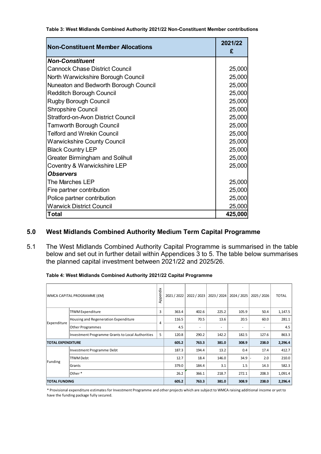**Table 3: West Midlands Combined Authority 2021/22 Non-Constituent Member contributions**

| <b>Non-Constituent Member Allocations</b> | 2021/22<br>£ |
|-------------------------------------------|--------------|
| <b>Non-Constituent</b>                    |              |
| <b>Cannock Chase District Council</b>     | 25,000       |
| North Warwickshire Borough Council        | 25,000       |
| Nuneaton and Bedworth Borough Council     | 25,000       |
| <b>Redditch Borough Council</b>           | 25,000       |
| <b>Rugby Borough Council</b>              | 25,000       |
| <b>Shropshire Council</b>                 | 25,000       |
| <b>Stratford-on-Avon District Council</b> | 25,000       |
| <b>Tamworth Borough Council</b>           | 25,000       |
| <b>Telford and Wrekin Council</b>         | 25,000       |
| <b>Warwickshire County Council</b>        | 25,000       |
| <b>Black Country LEP</b>                  | 25,000       |
| <b>Greater Birmingham and Solihull</b>    | 25,000       |
| Coventry & Warwickshire LEP               | 25,000       |
| <b>Observers</b>                          |              |
| The Marches LEP                           | 25,000       |
| Fire partner contribution                 | 25,000       |
| Police partner contribution               | 25,000       |
| <b>Warwick District Council</b>           | 25,000       |
| Total                                     | 425,000      |

### **5.0 West Midlands Combined Authority Medium Term Capital Programme**

5.1 The West Midlands Combined Authority Capital Programme is summarised in the table below and set out in further detail within Appendices 3 to 5. The table below summarises the planned capital investment between 2021/22 and 2025/26.

|                                                  | WMCA CAPITAL PROGRAMME (£M)          | Appendix | 2021 / 2022 | 2022 / 2023 | 2023 / 2024 | 2024 / 2025 | 2025 / 2026 | <b>TOTAL</b> |
|--------------------------------------------------|--------------------------------------|----------|-------------|-------------|-------------|-------------|-------------|--------------|
|                                                  | TfWM Expenditure                     | 3        | 363.4       | 402.6       | 225.2       | 105.9       | 50.4        | 1,147.5      |
| Expenditure                                      | Housing and Regeneration Expenditure | 4        | 116.5       | 70.5        | 13.6        | 20.5        | 60.0        | 281.1        |
|                                                  | <b>Other Programmes</b>              |          | 4.5         | ۰           | ٠           | ٠           | ٠           | 4.5          |
| Investment Programme Grants to Local Authorities |                                      | 5        | 120.8       | 290.2       | 142.2       | 182.5       | 127.6       | 863.3        |
| <b>TOTAL EXPENDITURE</b>                         |                                      | 605.2    | 763.3       | 381.0       | 308.9       | 238.0       | 2,296.4     |              |
|                                                  | Investment Programme Debt            |          | 187.3       | 194.4       | 13.2        | 0.4         | 17.4        | 412.7        |
| TfWM Debt                                        |                                      | 12.7     | 18.4        | 146.0       | 34.9        | 2.0         | 210.0       |              |
| Funding<br>Grants                                |                                      | 379.0    | 184.4       | 3.1         | 1.5         | 14.3        | 582.3       |              |
| Other*                                           |                                      | 26.2     | 366.1       | 218.7       | 272.1       | 208.3       | 1,091.4     |              |
| <b>TOTAL FUNDING</b>                             |                                      | 605.2    | 763.3       | 381.0       | 308.9       | 238.0       | 2,296.4     |              |

\* Provisional expenditure estimates for Investment Programme and other projects which are subject to WMCA raising additional income or yet to have the funding package fully secured.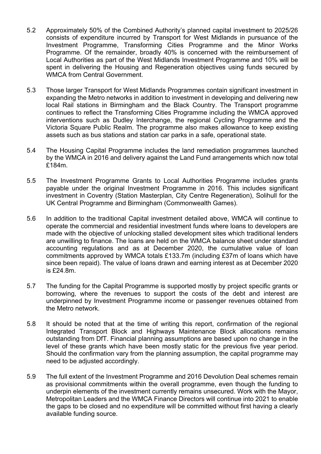- 5.2 Approximately 50% of the Combined Authority's planned capital investment to 2025/26 consists of expenditure incurred by Transport for West Midlands in pursuance of the Investment Programme, Transforming Cities Programme and the Minor Works Programme. Of the remainder, broadly 40% is concerned with the reimbursement of Local Authorities as part of the West Midlands Investment Programme and 10% will be spent in delivering the Housing and Regeneration objectives using funds secured by WMCA from Central Government.
- 5.3 Those larger Transport for West Midlands Programmes contain significant investment in expanding the Metro networks in addition to investment in developing and delivering new local Rail stations in Birmingham and the Black Country. The Transport programme continues to reflect the Transforming Cities Programme including the WMCA approved interventions such as Dudley Interchange, the regional Cycling Programme and the Victoria Square Public Realm. The programme also makes allowance to keep existing assets such as bus stations and station car parks in a safe, operational state.
- 5.4 The Housing Capital Programme includes the land remediation programmes launched by the WMCA in 2016 and delivery against the Land Fund arrangements which now total £184m.
- 5.5 The Investment Programme Grants to Local Authorities Programme includes grants payable under the original Investment Programme in 2016. This includes significant investment in Coventry (Station Masterplan, City Centre Regeneration), Solihull for the UK Central Programme and Birmingham (Commonwealth Games).
- 5.6 In addition to the traditional Capital investment detailed above, WMCA will continue to operate the commercial and residential investment funds where loans to developers are made with the objective of unlocking stalled development sites which traditional lenders are unwilling to finance. The loans are held on the WMCA balance sheet under standard accounting regulations and as at December 2020, the cumulative value of loan commitments approved by WMCA totals £133.7m (including £37m of loans which have since been repaid). The value of loans drawn and earning interest as at December 2020 is £24.8m.
- 5.7 The funding for the Capital Programme is supported mostly by project specific grants or borrowing, where the revenues to support the costs of the debt and interest are underpinned by Investment Programme income or passenger revenues obtained from the Metro network.
- 5.8 It should be noted that at the time of writing this report, confirmation of the regional Integrated Transport Block and Highways Maintenance Block allocations remains outstanding from DfT. Financial planning assumptions are based upon no change in the level of these grants which have been mostly static for the previous five year period. Should the confirmation vary from the planning assumption, the capital programme may need to be adjusted accordingly.
- 5.9 The full extent of the Investment Programme and 2016 Devolution Deal schemes remain as provisional commitments within the overall programme, even though the funding to underpin elements of the investment currently remains unsecured. Work with the Mayor, Metropolitan Leaders and the WMCA Finance Directors will continue into 2021 to enable the gaps to be closed and no expenditure will be committed without first having a clearly available funding source.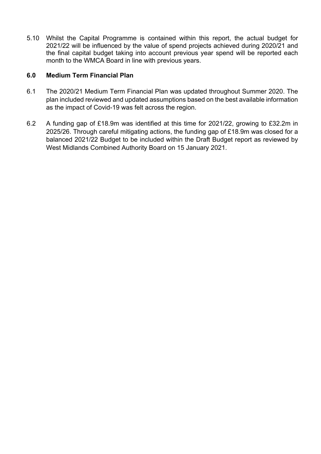5.10 Whilst the Capital Programme is contained within this report, the actual budget for 2021/22 will be influenced by the value of spend projects achieved during 2020/21 and the final capital budget taking into account previous year spend will be reported each month to the WMCA Board in line with previous years.

### **6.0 Medium Term Financial Plan**

- 6.1 The 2020/21 Medium Term Financial Plan was updated throughout Summer 2020. The plan included reviewed and updated assumptions based on the best available information as the impact of Covid-19 was felt across the region.
- 6.2 A funding gap of £18.9m was identified at this time for 2021/22, growing to £32.2m in 2025/26. Through careful mitigating actions, the funding gap of £18.9m was closed for a balanced 2021/22 Budget to be included within the Draft Budget report as reviewed by West Midlands Combined Authority Board on 15 January 2021.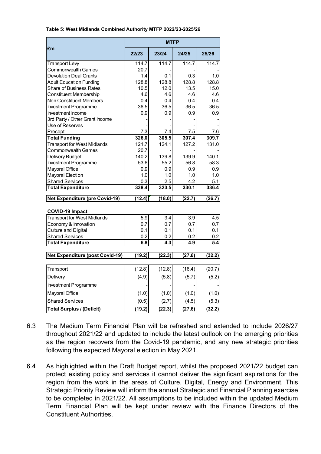|                                        | <b>MTFP</b> |        |        |        |  |  |  |
|----------------------------------------|-------------|--------|--------|--------|--|--|--|
| £m                                     | 22/23       | 23/24  | 24/25  | 25/26  |  |  |  |
| <b>Transport Levy</b>                  | 114.7       | 114.7  | 114.7  | 114.7  |  |  |  |
| <b>Commonwealth Games</b>              | 20.7        |        |        |        |  |  |  |
| <b>Devolution Deal Grants</b>          | 1.4         | 0.1    | 0.3    | 1.0    |  |  |  |
| <b>Adult Education Funding</b>         | 128.8       | 128.8  | 128.8  | 128.8  |  |  |  |
| Share of Business Rates                | 10.5        | 12.0   | 13.5   | 15.0   |  |  |  |
| <b>Constituent Membership</b>          | 4.6         | 4.6    | 4.6    | 4.6    |  |  |  |
| <b>Non Constituent Members</b>         | 0.4         | 0.4    | 0.4    | 0.4    |  |  |  |
| <b>Investment Programme</b>            | 36.5        | 36.5   | 36.5   | 36.5   |  |  |  |
| Investment Income                      | 0.9         | 0.9    | 0.9    | 0.9    |  |  |  |
| 3rd Party / Other Grant Income         |             |        |        |        |  |  |  |
| Use of Reserves                        |             |        |        |        |  |  |  |
| Precept                                | 7.3         | 7.4    | 7.5    | 7.6    |  |  |  |
| <b>Total Funding</b>                   | 326.0       | 305.5  | 307.4  | 309.7  |  |  |  |
| <b>Transport for West Midlands</b>     | 121.7       | 124.1  | 127.2  | 131.0  |  |  |  |
| <b>Commonwealth Games</b>              | 20.7        |        |        |        |  |  |  |
| Delivery Budget                        | 140.2       | 139.8  | 139.9  | 140.1  |  |  |  |
| <b>Investment Programme</b>            | 53.6        | 55.2   | 56.8   | 58.3   |  |  |  |
| Mayoral Office                         | 0.9         | 0.9    | 0.9    | 0.9    |  |  |  |
| <b>Mayoral Election</b>                | 1.0         | 1.0    | 1.0    | 1.0    |  |  |  |
| <b>Shared Services</b>                 | 0.3         | 2.5    | 4.2    | 5.1    |  |  |  |
| <b>Total Expenditure</b>               | 338.4       | 323.5  | 330.1  | 336.4  |  |  |  |
| <b>Net Expenditure (pre Covid-19)</b>  | (12.4)      | (18.0) | (22.7) | (26.7) |  |  |  |
| <b>COVID-19 Impact</b>                 |             |        |        |        |  |  |  |
| <b>Transport for West Midlands</b>     | 5.9         | 3.4    | 3.9    | 4.5    |  |  |  |
| Economy & Innovation                   | 0.7         | 0.7    | 0.7    | 0.7    |  |  |  |
| <b>Culture and Digital</b>             | 0.1         | 0.1    | 0.1    | 0.1    |  |  |  |
| <b>Shared Services</b>                 | 0.2         | 0.2    | 0.2    | 0.2    |  |  |  |
| <b>Total Expenditure</b>               | 6.8         | 4.3    | 4.9    | 5.4    |  |  |  |
|                                        |             |        |        |        |  |  |  |
| <b>Net Expenditure (post Covid-19)</b> | (19.2)      | (22.3) | (27.6) | (32.2) |  |  |  |
| Transport                              | (12.8)      | (12.8) | (16.4) | (20.7) |  |  |  |
| Delivery                               | (4.9)       | (5.8)  | (5.7)  | (5.2)  |  |  |  |
| Investment Programme                   |             |        |        |        |  |  |  |
| Mayoral Office                         | (1.0)       | (1.0)  | (1.0)  | (1.0)  |  |  |  |
| <b>Shared Services</b>                 | (0.5)       | (2.7)  | (4.5)  | (5.3)  |  |  |  |
| <b>Total Surplus / (Deficit)</b>       | (19.2)      | (22.3) | (27.6) | (32.2) |  |  |  |

#### **Table 5: West Midlands Combined Authority MTFP 2022/23-2025/26**

- 6.3 The Medium Term Financial Plan will be refreshed and extended to include 2026/27 throughout 2021/22 and updated to include the latest outlook on the emerging priorities as the region recovers from the Covid-19 pandemic, and any new strategic priorities following the expected Mayoral election in May 2021.
- 6.4 As highlighted within the Draft Budget report, whilst the proposed 2021/22 budget can protect existing policy and services it cannot deliver the significant aspirations for the region from the work in the areas of Culture, Digital, Energy and Environment. This Strategic Priority Review will inform the annual Strategic and Financial Planning exercise to be completed in 2021/22. All assumptions to be included within the updated Medium Term Financial Plan will be kept under review with the Finance Directors of the Constituent Authorities.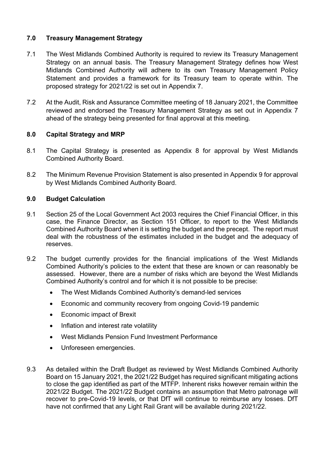### **7.0 Treasury Management Strategy**

- 7.1 The West Midlands Combined Authority is required to review its Treasury Management Strategy on an annual basis. The Treasury Management Strategy defines how West Midlands Combined Authority will adhere to its own Treasury Management Policy Statement and provides a framework for its Treasury team to operate within. The proposed strategy for 2021/22 is set out in Appendix 7.
- 7.2 At the Audit, Risk and Assurance Committee meeting of 18 January 2021, the Committee reviewed and endorsed the Treasury Management Strategy as set out in Appendix 7 ahead of the strategy being presented for final approval at this meeting.

### **8.0 Capital Strategy and MRP**

- 8.1 The Capital Strategy is presented as Appendix 8 for approval by West Midlands Combined Authority Board.
- 8.2 The Minimum Revenue Provision Statement is also presented in Appendix 9 for approval by West Midlands Combined Authority Board.

### **9.0 Budget Calculation**

- 9.1 Section 25 of the Local Government Act 2003 requires the Chief Financial Officer, in this case, the Finance Director, as Section 151 Officer, to report to the West Midlands Combined Authority Board when it is setting the budget and the precept. The report must deal with the robustness of the estimates included in the budget and the adequacy of reserves.
- 9.2 The budget currently provides for the financial implications of the West Midlands Combined Authority's policies to the extent that these are known or can reasonably be assessed. However, there are a number of risks which are beyond the West Midlands Combined Authority's control and for which it is not possible to be precise:
	- The West Midlands Combined Authority's demand-led services
	- Economic and community recovery from ongoing Covid-19 pandemic
	- Economic impact of Brexit
	- Inflation and interest rate volatility
	- West Midlands Pension Fund Investment Performance
	- Unforeseen emergencies.
- 9.3 As detailed within the Draft Budget as reviewed by West Midlands Combined Authority Board on 15 January 2021, the 2021/22 Budget has required significant mitigating actions to close the gap identified as part of the MTFP. Inherent risks however remain within the 2021/22 Budget. The 2021/22 Budget contains an assumption that Metro patronage will recover to pre-Covid-19 levels, or that DfT will continue to reimburse any losses. DfT have not confirmed that any Light Rail Grant will be available during 2021/22.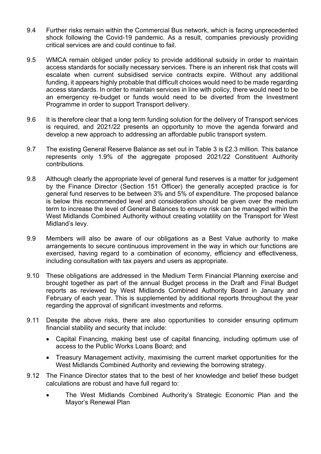- 9.4 Further risks remain within the Commercial Bus network, which is facing unprecedented shock following the Covid-19 pandemic. As a result, companies previously providing critical services are and could continue to fail.
- 9.5 WMCA remain obliged under policy to provide additional subsidy in order to maintain access standards for socially necessary services. There is an inherent risk that costs will escalate when current subsidised service contracts expire. Without any additional funding, it appears highly probable that difficult choices would need to be made regarding access standards. In order to maintain services in line with policy, there would need to be an emergency re-budget or funds would need to be diverted from the Investment Programme in order to support Transport delivery.
- 9.6 It is therefore clear that a long term funding solution for the delivery of Transport services is required, and 2021/22 presents an opportunity to move the agenda forward and develop a new approach to addressing an affordable public transport system.
- 9.7 The existing General Reserve Balance as set out in Table 3 is £2.3 million. This balance represents only 1.9% of the aggregate proposed 2021/22 Constituent Authority contributions.
- 9.8 Although clearly the appropriate level of general fund reserves is a matter for judgement by the Finance Director (Section 151 Officer) the generally accepted practice is for general fund reserves to be between 3% and 5% of expenditure. The proposed balance is below this recommended level and consideration should be given over the medium term to increase the level of General Balances to ensure risk can be managed within the West Midlands Combined Authority without creating volatility on the Transport for West Midland's levy.
- 9.9 Members will also be aware of our obligations as a Best Value authority to make arrangements to secure continuous improvement in the way in which our functions are exercised, having regard to a combination of economy, efficiency and effectiveness, including consultation with tax payers and users as appropriate.
- 9.10 These obligations are addressed in the Medium Term Financial Planning exercise and brought together as part of the annual Budget process in the Draft and Final Budget reports as reviewed by West Midlands Combined Authority Board in January and February of each year. This is supplemented by additional reports throughout the year regarding the approval of significant investments and reforms.
- 9.11 Despite the above risks, there are also opportunities to consider ensuring optimum financial stability and security that include:
	- Capital Financing, making best use of capital financing, including optimum use of access to the Public Works Loans Board; and
	- Treasury Management activity, maximising the current market opportunities for the West Midlands Combined Authority and reviewing the borrowing strategy.
- 9.12 The Finance Director states that to the best of her knowledge and belief these budget calculations are robust and have full regard to:
	- The West Midlands Combined Authority's Strategic Economic Plan and the Mayor's Renewal Plan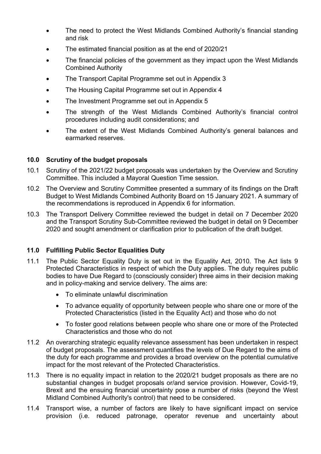- The need to protect the West Midlands Combined Authority's financial standing and risk
- The estimated financial position as at the end of 2020/21
- The financial policies of the government as they impact upon the West Midlands Combined Authority
- The Transport Capital Programme set out in Appendix 3
- The Housing Capital Programme set out in Appendix 4
- The Investment Programme set out in Appendix 5
- The strength of the West Midlands Combined Authority's financial control procedures including audit considerations; and
- The extent of the West Midlands Combined Authority's general balances and earmarked reserves.

### **10.0 Scrutiny of the budget proposals**

- 10.1 Scrutiny of the 2021/22 budget proposals was undertaken by the Overview and Scrutiny Committee. This included a Mayoral Question Time session.
- 10.2 The Overview and Scrutiny Committee presented a summary of its findings on the Draft Budget to West Midlands Combined Authority Board on 15 January 2021. A summary of the recommendations is reproduced in Appendix 6 for information.
- 10.3 The Transport Delivery Committee reviewed the budget in detail on 7 December 2020 and the Transport Scrutiny Sub-Committee reviewed the budget in detail on 9 December 2020 and sought amendment or clarification prior to publication of the draft budget.

### **11.0 Fulfilling Public Sector Equalities Duty**

- 11.1 The Public Sector Equality Duty is set out in the Equality Act, 2010. The Act lists 9 Protected Characteristics in respect of which the Duty applies. The duty requires public bodies to have Due Regard to (consciously consider) three aims in their decision making and in policy-making and service delivery. The aims are:
	- To eliminate unlawful discrimination
	- To advance equality of opportunity between people who share one or more of the Protected Characteristics (listed in the Equality Act) and those who do not
	- To foster good relations between people who share one or more of the Protected Characteristics and those who do not
- 11.2 An overarching strategic equality relevance assessment has been undertaken in respect of budget proposals. The assessment quantifies the levels of Due Regard to the aims of the duty for each programme and provides a broad overview on the potential cumulative impact for the most relevant of the Protected Characteristics.
- 11.3 There is no equality impact in relation to the 2020/21 budget proposals as there are no substantial changes in budget proposals or/and service provision. However, Covid-19, Brexit and the ensuing financial uncertainty pose a number of risks (beyond the West Midland Combined Authority's control) that need to be considered.
- 11.4 Transport wise, a number of factors are likely to have significant impact on service provision (i.e. reduced patronage, operator revenue and uncertainty about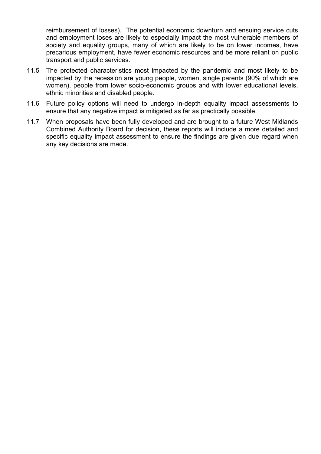reimbursement of losses). The potential economic downturn and ensuing service cuts and employment loses are likely to especially impact the most vulnerable members of society and equality groups, many of which are likely to be on lower incomes, have precarious employment, have fewer economic resources and be more reliant on public transport and public services.

- 11.5 The protected characteristics most impacted by the pandemic and most likely to be impacted by the recession are young people, women, single parents (90% of which are women), people from lower socio-economic groups and with lower educational levels, ethnic minorities and disabled people.
- 11.6 Future policy options will need to undergo in-depth equality impact assessments to ensure that any negative impact is mitigated as far as practically possible.
- 11.7 When proposals have been fully developed and are brought to a future West Midlands Combined Authority Board for decision, these reports will include a more detailed and specific equality impact assessment to ensure the findings are given due regard when any key decisions are made.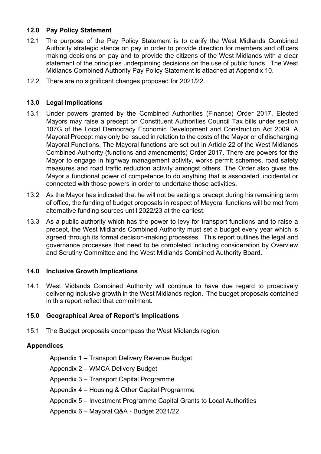### **12.0 Pay Policy Statement**

- 12.1 The purpose of the Pay Policy Statement is to clarify the West Midlands Combined Authority strategic stance on pay in order to provide direction for members and officers making decisions on pay and to provide the citizens of the West Midlands with a clear statement of the principles underpinning decisions on the use of public funds. The West Midlands Combined Authority Pay Policy Statement is attached at Appendix 10.
- 12.2 There are no significant changes proposed for 2021/22.

### **13.0 Legal Implications**

- 13.1 Under powers granted by the Combined Authorities (Finance) Order 2017, Elected Mayors may raise a precept on Constituent Authorities Council Tax bills under section 107G of the Local Democracy Economic Development and Construction Act 2009. A Mayoral Precept may only be issued in relation to the costs of the Mayor or of discharging Mayoral Functions. The Mayoral functions are set out in Article 22 of the West Midlands Combined Authority (functions and amendments) Order 2017. There are powers for the Mayor to engage in highway management activity, works permit schemes, road safety measures and road traffic reduction activity amongst others. The Order also gives the Mayor a functional power of competence to do anything that is associated, incidental or connected with those powers in order to undertake those activities.
- 13.2 As the Mayor has indicated that he will not be setting a precept during his remaining term of office, the funding of budget proposals in respect of Mayoral functions will be met from alternative funding sources until 2022/23 at the earliest.
- 13.3 As a public authority which has the power to levy for transport functions and to raise a precept, the West Midlands Combined Authority must set a budget every year which is agreed through its formal decision-making processes. This report outlines the legal and governance processes that need to be completed including consideration by Overview and Scrutiny Committee and the West Midlands Combined Authority Board.

### **14.0 Inclusive Growth Implications**

14.1 West Midlands Combined Authority will continue to have due regard to proactively delivering inclusive growth in the West Midlands region. The budget proposals contained in this report reflect that commitment.

### **15.0 Geographical Area of Report's Implications**

15.1 The Budget proposals encompass the West Midlands region.

### **Appendices**

Appendix 1 – Transport Delivery Revenue Budget

Appendix 2 – WMCA Delivery Budget

Appendix 3 – Transport Capital Programme

Appendix 4 – Housing & Other Capital Programme

Appendix 5 – Investment Programme Capital Grants to Local Authorities

Appendix 6 – Mayoral Q&A - Budget 2021/22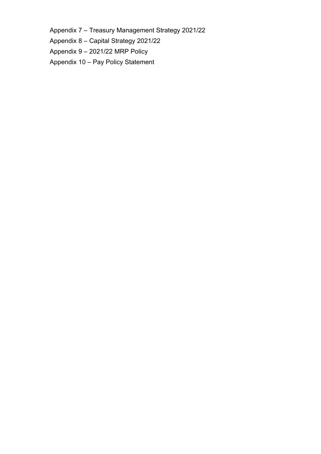Appendix 7 – Treasury Management Strategy 2021/22

Appendix 8 – Capital Strategy 2021/22

Appendix 9 – 2021/22 MRP Policy

Appendix 10 – Pay Policy Statement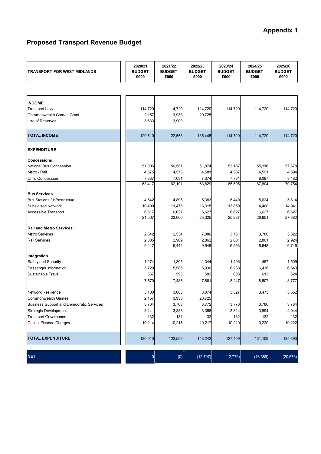## **Appendix 1**

### **Proposed Transport Revenue Budget**

| TRANSPORT FOR WEST MIDLANDS              | 2020/21<br><b>BUDGET</b><br>£000 | 2021/22<br><b>BUDGET</b><br>£000 | 2022/23<br><b>BUDGET</b><br>£000 | 2023/24<br><b>BUDGET</b><br>£000 | 2024/25<br><b>BUDGET</b><br>£000 | 2025/26<br><b>BUDGET</b><br>£000 |
|------------------------------------------|----------------------------------|----------------------------------|----------------------------------|----------------------------------|----------------------------------|----------------------------------|
|                                          |                                  |                                  |                                  |                                  |                                  |                                  |
| <b>INCOME</b>                            |                                  |                                  |                                  |                                  |                                  |                                  |
| <b>Transport Levy</b>                    | 114,720                          | 114,720                          | 114,720                          | 114,720                          | 114,720                          | 114,720                          |
| <b>Commonwealth Games Grant</b>          | 2,157                            | 3,933                            | 20,725                           |                                  |                                  |                                  |
| Use of Reserves                          | 3,633                            | 3,900                            |                                  |                                  |                                  |                                  |
| <b>TOTAL INCOME</b>                      | 120,510                          | 122,553                          | 135,445                          | 114,720                          | 114,720                          | 114,720                          |
| <b>EXPENDITURE</b>                       |                                  |                                  |                                  |                                  |                                  |                                  |
| <b>Concessions</b>                       |                                  |                                  |                                  |                                  |                                  |                                  |
| <b>National Bus Concession</b>           | 51,006                           | 50,587                           | 51,874                           | 53,187                           | 55,116                           | 57,678                           |
| Metro / Rail                             | 4,575                            | 4,573                            | 4,581                            | 4,587                            | 4,591                            | 4,594                            |
| <b>Child Concession</b>                  | 7,837                            | 7,031                            | 7,374                            | 7,731                            | 8,097                            | 8,482                            |
|                                          | 63,417                           | 62,191                           | 63,829                           | 65,505                           | 67,804                           | 70,754                           |
| <b>Bus Services</b>                      |                                  |                                  |                                  |                                  |                                  |                                  |
| Bus Stations / Infrastructure            | 4,542                            | 4,895                            | 5,383                            | 5,440                            | 5,624                            | 5,814                            |
| Subsidised Network                       | 10,409                           | 11,478                           | 13,315                           | 13,859                           | 14,400                           | 14,941                           |
| Accessible Transport                     | 6,617                            | 6,627                            | 6,627                            | 6,627                            | 6,627                            | 6,627                            |
|                                          | 21,567                           | 23,000                           | 25,325                           | 25,927                           | 26,651                           | 27,382                           |
| <b>Rail and Metro Services</b>           |                                  |                                  |                                  |                                  |                                  |                                  |
| <b>Metro Services</b>                    | 2,642                            | 2,534                            | 7,086                            | 3,751                            | 3,786                            | 3,822                            |
| <b>Rail Services</b>                     | 2,805                            | 2,909                            | 2,862                            | 2,801                            | 2,861                            | 2,924                            |
|                                          | 5,447                            | 5,444                            | 9,948                            | 6,553                            | 6,648                            | 6,746                            |
| Integration                              |                                  |                                  |                                  |                                  |                                  |                                  |
| Safety and Security                      | 1,274                            | 1,305                            | 1,344                            | 1,406                            | 1,457                            | 1,509                            |
| Passenger Information                    | 5,729                            | 5,585                            | 5,936                            | 6,238                            | 6,436                            | 6,643                            |
| Sustainable Travel                       | 567                              | 595                              | 582                              | 603                              | 613                              | 624                              |
|                                          | 7,570                            | 7,485                            | 7,861                            | 8,247                            | 8,507                            | 8,777                            |
| <b>Network Resilience</b>                | 3,100                            | 3,003                            | 3,074                            | 3,327                            | 3,473                            | 3,552                            |
| <b>Commonwealth Games</b>                | 2,157                            | 3,933                            | 20,725                           |                                  |                                  |                                  |
| Business Support and Democratic Services | 3,764                            | 3,768                            | 3,772                            | 3,776                            | 3,780                            | 3,784                            |
| <b>Strategic Development</b>             | 3,141                            | 3,383                            | 3,358                            | 3,814                            | 3,894                            | 4,044                            |
| <b>Transport Governance</b>              | 132                              | 131                              | 132                              | 132                              | 132                              | 132                              |
| Capital Finance Charges                  | 10,214                           | 10,215                           | 10,217                           | 10,219                           | 10,220                           | 10,222                           |
| <b>TOTAL EXPENDITURE</b>                 | 120,510                          | 122,553                          | 148,242                          | 127,499                          | 131,109                          | 135,393                          |
| <b>NET</b>                               | 0                                | (0)                              | (12, 797)                        | (12, 779)                        | (16, 389)                        | (20, 673)                        |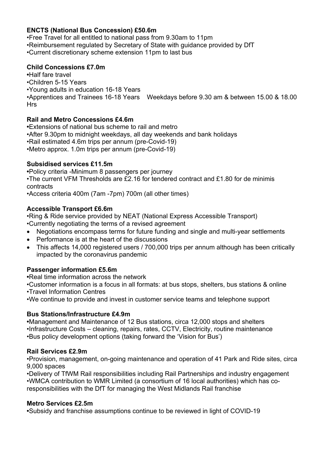### **ENCTS (National Bus Concession) £50.6m**

•Free Travel for all entitled to national pass from 9.30am to 11pm •Reimbursement regulated by Secretary of State with guidance provided by DfT •Current discretionary scheme extension 11pm to last bus

### **Child Concessions £7.0m**

**•**Half fare travel •Children 5-15 Years •Young adults in education 16-18 Years •Apprentices and Trainees 16-18 Years Weekdays before 9.30 am & between 15.00 & 18.00 Hrs

### **Rail and Metro Concessions £4.6m**

**•**Extensions of national bus scheme to rail and metro •After 9.30pm to midnight weekdays, all day weekends and bank holidays •Rail estimated 4.6m trips per annum (pre-Covid-19) •Metro approx. 1.0m trips per annum (pre-Covid-19)

### **Subsidised services £11.5m**

**•**Policy criteria -Minimum 8 passengers per journey

•The current VFM Thresholds are  $£2.16$  for tendered contract and  $£1.80$  for de minimis contracts

•Access criteria 400m (7am -7pm) 700m (all other times)

### **Accessible Transport £6.6m**

•Ring & Ride service provided by NEAT (National Express Accessible Transport)

•Currently negotiating the terms of a revised agreement

- Negotiations encompass terms for future funding and single and multi-year settlements
- Performance is at the heart of the discussions
- This affects 14,000 registered users / 700,000 trips per annum although has been critically impacted by the coronavirus pandemic

### **Passenger information £5.6m**

**•**Real time information across the network

•Customer information is a focus in all formats: at bus stops, shelters, bus stations & online

•Travel Information Centres

•We continue to provide and invest in customer service teams and telephone support

### **Bus Stations/Infrastructure £4.9m**

**•**Management and Maintenance of 12 Bus stations, circa 12,000 stops and shelters •Infrastructure Costs – cleaning, repairs, rates, CCTV, Electricity, routine maintenance •Bus policy development options (taking forward the 'Vision for Bus')

### **Rail Services £2.9m**

•Provision, management, on-going maintenance and operation of 41 Park and Ride sites, circa 9,000 spaces

•Delivery of TfWM Rail responsibilities including Rail Partnerships and industry engagement •WMCA contribution to WMR Limited (a consortium of 16 local authorities) which has coresponsibilities with the DfT for managing the West Midlands Rail franchise

### **Metro Services £2.5m**

**•**Subsidy and franchise assumptions continue to be reviewed in light of COVID-19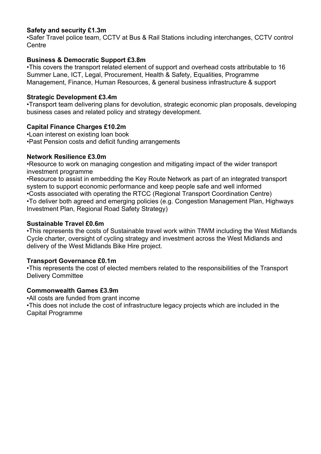### **Safety and security £1.3m**

•Safer Travel police team, CCTV at Bus & Rail Stations including interchanges, CCTV control Centre

### **Business & Democratic Support £3.8m**

•This covers the transport related element of support and overhead costs attributable to 16 Summer Lane, ICT, Legal, Procurement, Health & Safety, Equalities, Programme Management, Finance, Human Resources, & general business infrastructure & support

### **Strategic Development £3.4m**

•Transport team delivering plans for devolution, strategic economic plan proposals, developing business cases and related policy and strategy development.

### **Capital Finance Charges £10.2m**

•Loan interest on existing loan book •Past Pension costs and deficit funding arrangements

### **Network Resilience £3.0m**

•Resource to work on managing congestion and mitigating impact of the wider transport investment programme

•Resource to assist in embedding the Key Route Network as part of an integrated transport system to support economic performance and keep people safe and well informed •Costs associated with operating the RTCC (Regional Transport Coordination Centre) •To deliver both agreed and emerging policies (e.g. Congestion Management Plan, Highways Investment Plan, Regional Road Safety Strategy)

### **Sustainable Travel £0.6m**

•This represents the costs of Sustainable travel work within TfWM including the West Midlands Cycle charter, oversight of cycling strategy and investment across the West Midlands and delivery of the West Midlands Bike Hire project.

### **Transport Governance £0.1m**

•This represents the cost of elected members related to the responsibilities of the Transport Delivery Committee

### **Commonwealth Games £3.9m**

•All costs are funded from grant income •This does not include the cost of infrastructure legacy projects which are included in the Capital Programme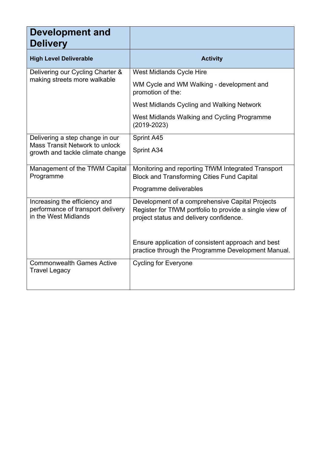| <b>Development and</b><br><b>Delivery</b>                                                  |                                                                                                                                                       |
|--------------------------------------------------------------------------------------------|-------------------------------------------------------------------------------------------------------------------------------------------------------|
| <b>High Level Deliverable</b>                                                              | <b>Activity</b>                                                                                                                                       |
| Delivering our Cycling Charter &                                                           | West Midlands Cycle Hire                                                                                                                              |
| making streets more walkable                                                               | WM Cycle and WM Walking - development and<br>promotion of the:                                                                                        |
|                                                                                            | West Midlands Cycling and Walking Network                                                                                                             |
|                                                                                            | West Midlands Walking and Cycling Programme<br>$(2019 - 2023)$                                                                                        |
| Delivering a step change in our                                                            | Sprint A45                                                                                                                                            |
| Mass Transit Network to unlock<br>growth and tackle climate change                         | Sprint A34                                                                                                                                            |
| Management of the TfWM Capital<br>Programme                                                | Monitoring and reporting TfWM Integrated Transport<br><b>Block and Transforming Cities Fund Capital</b>                                               |
|                                                                                            | Programme deliverables                                                                                                                                |
| Increasing the efficiency and<br>performance of transport delivery<br>in the West Midlands | Development of a comprehensive Capital Projects<br>Register for TfWM portfolio to provide a single view of<br>project status and delivery confidence. |
|                                                                                            | Ensure application of consistent approach and best<br>practice through the Programme Development Manual.                                              |
| <b>Commonwealth Games Active</b><br><b>Travel Legacy</b>                                   | <b>Cycling for Everyone</b>                                                                                                                           |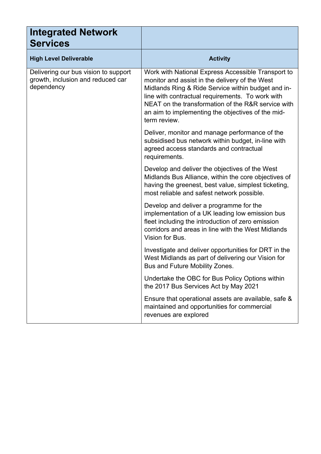| <b>Integrated Network</b><br><b>Services</b>                                            |                                                                                                                                                                                                                                                                                                                                           |
|-----------------------------------------------------------------------------------------|-------------------------------------------------------------------------------------------------------------------------------------------------------------------------------------------------------------------------------------------------------------------------------------------------------------------------------------------|
| <b>High Level Deliverable</b>                                                           | <b>Activity</b>                                                                                                                                                                                                                                                                                                                           |
| Delivering our bus vision to support<br>growth, inclusion and reduced car<br>dependency | Work with National Express Accessible Transport to<br>monitor and assist in the delivery of the West<br>Midlands Ring & Ride Service within budget and in-<br>line with contractual requirements. To work with<br>NEAT on the transformation of the R&R service with<br>an aim to implementing the objectives of the mid-<br>term review. |
|                                                                                         | Deliver, monitor and manage performance of the<br>subsidised bus network within budget, in-line with<br>agreed access standards and contractual<br>requirements.                                                                                                                                                                          |
|                                                                                         | Develop and deliver the objectives of the West<br>Midlands Bus Alliance, within the core objectives of<br>having the greenest, best value, simplest ticketing,<br>most reliable and safest network possible.                                                                                                                              |
|                                                                                         | Develop and deliver a programme for the<br>implementation of a UK leading low emission bus<br>fleet including the introduction of zero emission<br>corridors and areas in line with the West Midlands<br>Vision for Bus.                                                                                                                  |
|                                                                                         | Investigate and deliver opportunities for DRT in the<br>West Midlands as part of delivering our Vision for<br>Bus and Future Mobility Zones.                                                                                                                                                                                              |
|                                                                                         | Undertake the OBC for Bus Policy Options within<br>the 2017 Bus Services Act by May 2021                                                                                                                                                                                                                                                  |
|                                                                                         | Ensure that operational assets are available, safe &<br>maintained and opportunities for commercial<br>revenues are explored                                                                                                                                                                                                              |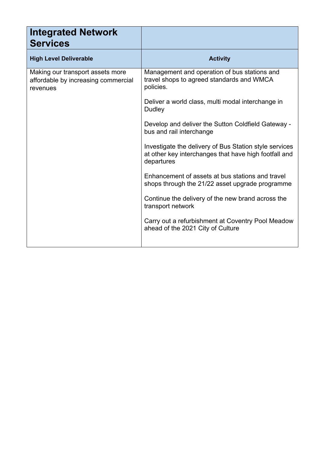| <b>Activity</b>                                                                                                               |
|-------------------------------------------------------------------------------------------------------------------------------|
| Management and operation of bus stations and<br>travel shops to agreed standards and WMCA<br>policies.                        |
| Deliver a world class, multi modal interchange in<br>Dudley                                                                   |
| Develop and deliver the Sutton Coldfield Gateway -<br>bus and rail interchange                                                |
| Investigate the delivery of Bus Station style services<br>at other key interchanges that have high footfall and<br>departures |
| Enhancement of assets at bus stations and travel<br>shops through the 21/22 asset upgrade programme                           |
| Continue the delivery of the new brand across the<br>transport network                                                        |
| Carry out a refurbishment at Coventry Pool Meadow<br>ahead of the 2021 City of Culture                                        |
|                                                                                                                               |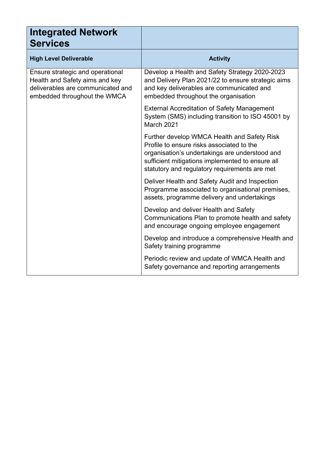| <b>Integrated Network</b><br><b>Services</b>                                                                                            |                                                                                                                                                                                                                                                 |
|-----------------------------------------------------------------------------------------------------------------------------------------|-------------------------------------------------------------------------------------------------------------------------------------------------------------------------------------------------------------------------------------------------|
| <b>High Level Deliverable</b>                                                                                                           | <b>Activity</b>                                                                                                                                                                                                                                 |
| Ensure strategic and operational<br>Health and Safety aims and key<br>deliverables are communicated and<br>embedded throughout the WMCA | Develop a Health and Safety Strategy 2020-2023<br>and Delivery Plan 2021/22 to ensure strategic aims<br>and key deliverables are communicated and<br>embedded throughout the organisation                                                       |
|                                                                                                                                         | <b>External Accreditation of Safety Management</b><br>System (SMS) including transition to ISO 45001 by<br>March 2021                                                                                                                           |
|                                                                                                                                         | Further develop WMCA Health and Safety Risk<br>Profile to ensure risks associated to the<br>organisation's undertakings are understood and<br>sufficient mitigations implemented to ensure all<br>statutory and regulatory requirements are met |
|                                                                                                                                         | Deliver Health and Safety Audit and Inspection<br>Programme associated to organisational premises,<br>assets, programme delivery and undertakings                                                                                               |
|                                                                                                                                         | Develop and deliver Health and Safety<br>Communications Plan to promote health and safety<br>and encourage ongoing employee engagement                                                                                                          |
|                                                                                                                                         | Develop and introduce a comprehensive Health and<br>Safety training programme                                                                                                                                                                   |
|                                                                                                                                         | Periodic review and update of WMCA Health and<br>Safety governance and reporting arrangements                                                                                                                                                   |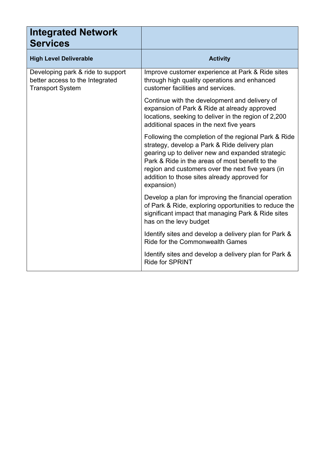| <b>Integrated Network</b><br><b>Services</b>                                                    |                                                                                                                                                                                                                                                                                                                                 |
|-------------------------------------------------------------------------------------------------|---------------------------------------------------------------------------------------------------------------------------------------------------------------------------------------------------------------------------------------------------------------------------------------------------------------------------------|
| <b>High Level Deliverable</b>                                                                   | <b>Activity</b>                                                                                                                                                                                                                                                                                                                 |
| Developing park & ride to support<br>better access to the Integrated<br><b>Transport System</b> | Improve customer experience at Park & Ride sites<br>through high quality operations and enhanced<br>customer facilities and services.                                                                                                                                                                                           |
|                                                                                                 | Continue with the development and delivery of<br>expansion of Park & Ride at already approved<br>locations, seeking to deliver in the region of 2,200<br>additional spaces in the next five years                                                                                                                               |
|                                                                                                 | Following the completion of the regional Park & Ride<br>strategy, develop a Park & Ride delivery plan<br>gearing up to deliver new and expanded strategic<br>Park & Ride in the areas of most benefit to the<br>region and customers over the next five years (in<br>addition to those sites already approved for<br>expansion) |
|                                                                                                 | Develop a plan for improving the financial operation<br>of Park & Ride, exploring opportunities to reduce the<br>significant impact that managing Park & Ride sites<br>has on the levy budget                                                                                                                                   |
|                                                                                                 | Identify sites and develop a delivery plan for Park &<br>Ride for the Commonwealth Games                                                                                                                                                                                                                                        |
|                                                                                                 | Identify sites and develop a delivery plan for Park &<br><b>Ride for SPRINT</b>                                                                                                                                                                                                                                                 |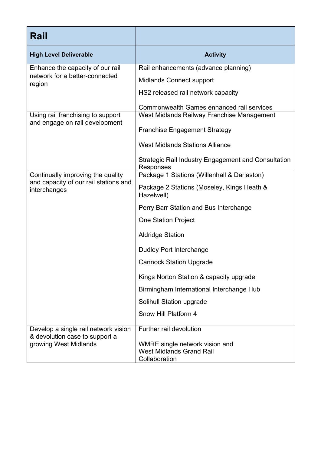| Rail                                                                   |                                                                                    |
|------------------------------------------------------------------------|------------------------------------------------------------------------------------|
| <b>High Level Deliverable</b>                                          | <b>Activity</b>                                                                    |
| Enhance the capacity of our rail                                       | Rail enhancements (advance planning)                                               |
| network for a better-connected<br>region                               | <b>Midlands Connect support</b>                                                    |
|                                                                        | HS2 released rail network capacity                                                 |
|                                                                        | Commonwealth Games enhanced rail services                                          |
| Using rail franchising to support<br>and engage on rail development    | West Midlands Railway Franchise Management                                         |
|                                                                        | <b>Franchise Engagement Strategy</b>                                               |
|                                                                        | <b>West Midlands Stations Alliance</b>                                             |
|                                                                        | Strategic Rail Industry Engagement and Consultation<br>Responses                   |
| Continually improving the quality                                      | Package 1 Stations (Willenhall & Darlaston)                                        |
| and capacity of our rail stations and<br>interchanges                  | Package 2 Stations (Moseley, Kings Heath &<br>Hazelwell)                           |
|                                                                        | Perry Barr Station and Bus Interchange                                             |
|                                                                        | <b>One Station Project</b>                                                         |
|                                                                        | <b>Aldridge Station</b>                                                            |
|                                                                        | <b>Dudley Port Interchange</b>                                                     |
|                                                                        | <b>Cannock Station Upgrade</b>                                                     |
|                                                                        | Kings Norton Station & capacity upgrade                                            |
|                                                                        | Birmingham International Interchange Hub                                           |
|                                                                        | Solihull Station upgrade                                                           |
|                                                                        | Snow Hill Platform 4                                                               |
| Develop a single rail network vision<br>& devolution case to support a | Further rail devolution                                                            |
| growing West Midlands                                                  | WMRE single network vision and<br><b>West Midlands Grand Rail</b><br>Collaboration |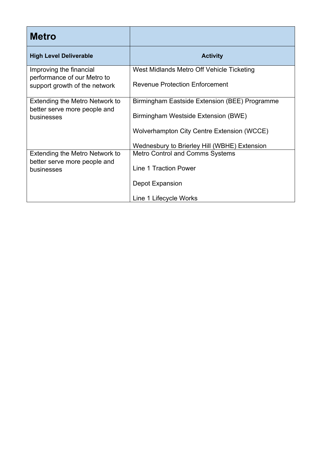| <b>Metro</b>                                                                 |                                               |
|------------------------------------------------------------------------------|-----------------------------------------------|
| <b>High Level Deliverable</b>                                                | <b>Activity</b>                               |
| Improving the financial<br>performance of our Metro to                       | West Midlands Metro Off Vehicle Ticketing     |
| support growth of the network                                                | <b>Revenue Protection Enforcement</b>         |
| Extending the Metro Network to<br>better serve more people and<br>businesses | Birmingham Eastside Extension (BEE) Programme |
|                                                                              | Birmingham Westside Extension (BWE)           |
|                                                                              | Wolverhampton City Centre Extension (WCCE)    |
|                                                                              | Wednesbury to Brierley Hill (WBHE) Extension  |
| Extending the Metro Network to<br>better serve more people and               | <b>Metro Control and Comms Systems</b>        |
| businesses                                                                   | Line 1 Traction Power                         |
|                                                                              | Depot Expansion                               |
|                                                                              | Line 1 Lifecycle Works                        |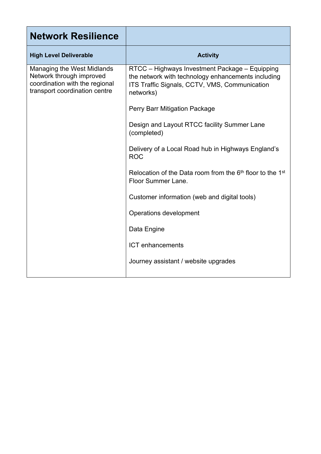| <b>Network Resilience</b>                                                                                                 |                                                                                                                                                                    |
|---------------------------------------------------------------------------------------------------------------------------|--------------------------------------------------------------------------------------------------------------------------------------------------------------------|
| <b>High Level Deliverable</b>                                                                                             | <b>Activity</b>                                                                                                                                                    |
| Managing the West Midlands<br>Network through improved<br>coordination with the regional<br>transport coordination centre | RTCC - Highways Investment Package - Equipping<br>the network with technology enhancements including<br>ITS Traffic Signals, CCTV, VMS, Communication<br>networks) |
|                                                                                                                           | Perry Barr Mitigation Package                                                                                                                                      |
|                                                                                                                           | Design and Layout RTCC facility Summer Lane<br>(completed)                                                                                                         |
|                                                                                                                           | Delivery of a Local Road hub in Highways England's<br><b>ROC</b>                                                                                                   |
|                                                                                                                           | Relocation of the Data room from the $6th$ floor to the 1 <sup>st</sup><br>Floor Summer Lane.                                                                      |
|                                                                                                                           | Customer information (web and digital tools)                                                                                                                       |
|                                                                                                                           | Operations development                                                                                                                                             |
|                                                                                                                           | Data Engine                                                                                                                                                        |
|                                                                                                                           | <b>ICT</b> enhancements                                                                                                                                            |
|                                                                                                                           | Journey assistant / website upgrades                                                                                                                               |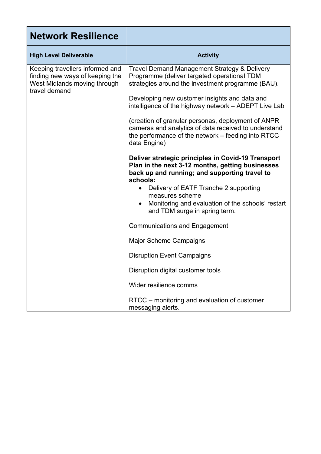| <b>Network Resilience</b>                                                                                           |                                                                                                                                                                                                                                                                                                                       |
|---------------------------------------------------------------------------------------------------------------------|-----------------------------------------------------------------------------------------------------------------------------------------------------------------------------------------------------------------------------------------------------------------------------------------------------------------------|
| <b>High Level Deliverable</b>                                                                                       | <b>Activity</b>                                                                                                                                                                                                                                                                                                       |
| Keeping travellers informed and<br>finding new ways of keeping the<br>West Midlands moving through<br>travel demand | Travel Demand Management Strategy & Delivery<br>Programme (deliver targeted operational TDM<br>strategies around the investment programme (BAU).                                                                                                                                                                      |
|                                                                                                                     | Developing new customer insights and data and<br>intelligence of the highway network – ADEPT Live Lab                                                                                                                                                                                                                 |
|                                                                                                                     | (creation of granular personas, deployment of ANPR)<br>cameras and analytics of data received to understand<br>the performance of the network – feeding into RTCC<br>data Engine)                                                                                                                                     |
|                                                                                                                     | Deliver strategic principles in Covid-19 Transport<br>Plan in the next 3-12 months, getting businesses<br>back up and running; and supporting travel to<br>schools:<br>Delivery of EATF Tranche 2 supporting<br>measures scheme<br>Monitoring and evaluation of the schools' restart<br>and TDM surge in spring term. |
|                                                                                                                     | <b>Communications and Engagement</b>                                                                                                                                                                                                                                                                                  |
|                                                                                                                     | <b>Major Scheme Campaigns</b>                                                                                                                                                                                                                                                                                         |
|                                                                                                                     | <b>Disruption Event Campaigns</b>                                                                                                                                                                                                                                                                                     |
|                                                                                                                     | Disruption digital customer tools                                                                                                                                                                                                                                                                                     |
|                                                                                                                     | Wider resilience comms                                                                                                                                                                                                                                                                                                |
|                                                                                                                     | RTCC - monitoring and evaluation of customer<br>messaging alerts.                                                                                                                                                                                                                                                     |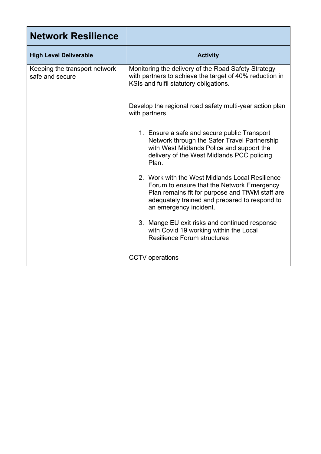| <b>Network Resilience</b>                        |                                                                                                                                                                                                                             |
|--------------------------------------------------|-----------------------------------------------------------------------------------------------------------------------------------------------------------------------------------------------------------------------------|
| <b>High Level Deliverable</b>                    | <b>Activity</b>                                                                                                                                                                                                             |
| Keeping the transport network<br>safe and secure | Monitoring the delivery of the Road Safety Strategy<br>with partners to achieve the target of 40% reduction in<br>KSIs and fulfil statutory obligations.                                                                    |
|                                                  | Develop the regional road safety multi-year action plan<br>with partners                                                                                                                                                    |
|                                                  | 1. Ensure a safe and secure public Transport<br>Network through the Safer Travel Partnership<br>with West Midlands Police and support the<br>delivery of the West Midlands PCC policing<br>Plan.                            |
|                                                  | 2. Work with the West Midlands Local Resilience<br>Forum to ensure that the Network Emergency<br>Plan remains fit for purpose and TfWM staff are<br>adequately trained and prepared to respond to<br>an emergency incident. |
|                                                  | 3. Mange EU exit risks and continued response<br>with Covid 19 working within the Local<br><b>Resilience Forum structures</b>                                                                                               |
|                                                  | <b>CCTV</b> operations                                                                                                                                                                                                      |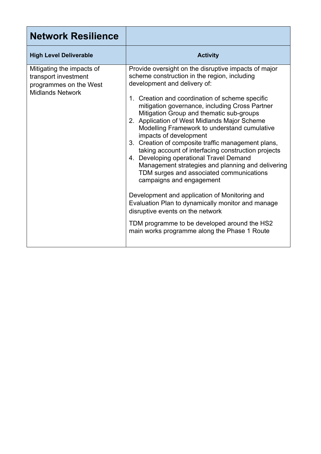| <b>Network Resilience</b>                                                                              |                                                                                                                                                                                                                                                                                                                                                                                                                                                                                                                                                                                                                                                                                                                                                                                                                                                                                                                                                |
|--------------------------------------------------------------------------------------------------------|------------------------------------------------------------------------------------------------------------------------------------------------------------------------------------------------------------------------------------------------------------------------------------------------------------------------------------------------------------------------------------------------------------------------------------------------------------------------------------------------------------------------------------------------------------------------------------------------------------------------------------------------------------------------------------------------------------------------------------------------------------------------------------------------------------------------------------------------------------------------------------------------------------------------------------------------|
| <b>High Level Deliverable</b>                                                                          | <b>Activity</b>                                                                                                                                                                                                                                                                                                                                                                                                                                                                                                                                                                                                                                                                                                                                                                                                                                                                                                                                |
| Mitigating the impacts of<br>transport investment<br>programmes on the West<br><b>Midlands Network</b> | Provide oversight on the disruptive impacts of major<br>scheme construction in the region, including<br>development and delivery of:<br>1. Creation and coordination of scheme specific<br>mitigation governance, including Cross Partner<br>Mitigation Group and thematic sub-groups<br>2. Application of West Midlands Major Scheme<br>Modelling Framework to understand cumulative<br>impacts of development<br>3. Creation of composite traffic management plans,<br>taking account of interfacing construction projects<br>4. Developing operational Travel Demand<br>Management strategies and planning and delivering<br>TDM surges and associated communications<br>campaigns and engagement<br>Development and application of Monitoring and<br>Evaluation Plan to dynamically monitor and manage<br>disruptive events on the network<br>TDM programme to be developed around the HS2<br>main works programme along the Phase 1 Route |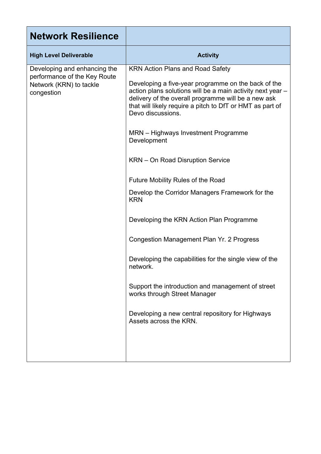| <b>Network Resilience</b>                                                                             |                                                                                                                                                                                                                                                                                                                                                                                                                                                                                                                                                                                                                                                                                                                                                                                                                                                |
|-------------------------------------------------------------------------------------------------------|------------------------------------------------------------------------------------------------------------------------------------------------------------------------------------------------------------------------------------------------------------------------------------------------------------------------------------------------------------------------------------------------------------------------------------------------------------------------------------------------------------------------------------------------------------------------------------------------------------------------------------------------------------------------------------------------------------------------------------------------------------------------------------------------------------------------------------------------|
| <b>High Level Deliverable</b>                                                                         | <b>Activity</b>                                                                                                                                                                                                                                                                                                                                                                                                                                                                                                                                                                                                                                                                                                                                                                                                                                |
| Developing and enhancing the<br>performance of the Key Route<br>Network (KRN) to tackle<br>congestion | <b>KRN Action Plans and Road Safety</b><br>Developing a five-year programme on the back of the<br>action plans solutions will be a main activity next year -<br>delivery of the overall programme will be a new ask<br>that will likely require a pitch to DfT or HMT as part of<br>Devo discussions.<br>MRN - Highways Investment Programme<br>Development<br>KRN – On Road Disruption Service<br><b>Future Mobility Rules of the Road</b><br>Develop the Corridor Managers Framework for the<br><b>KRN</b><br>Developing the KRN Action Plan Programme<br>Congestion Management Plan Yr. 2 Progress<br>Developing the capabilities for the single view of the<br>network.<br>Support the introduction and management of street<br>works through Street Manager<br>Developing a new central repository for Highways<br>Assets across the KRN. |
|                                                                                                       |                                                                                                                                                                                                                                                                                                                                                                                                                                                                                                                                                                                                                                                                                                                                                                                                                                                |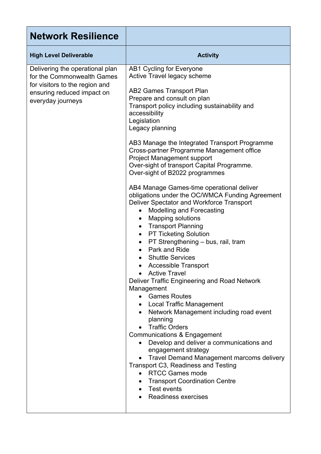| <b>Network Resilience</b>                                                                                                                          |                                                                                                                                                                                                                                                                                                                                                                                                                                                                                                                                                                                                                                                                                                                                                                                                                                                                                                                                                                                                                                                                                                                                                                                                                                                                                                                                                                                                                    |
|----------------------------------------------------------------------------------------------------------------------------------------------------|--------------------------------------------------------------------------------------------------------------------------------------------------------------------------------------------------------------------------------------------------------------------------------------------------------------------------------------------------------------------------------------------------------------------------------------------------------------------------------------------------------------------------------------------------------------------------------------------------------------------------------------------------------------------------------------------------------------------------------------------------------------------------------------------------------------------------------------------------------------------------------------------------------------------------------------------------------------------------------------------------------------------------------------------------------------------------------------------------------------------------------------------------------------------------------------------------------------------------------------------------------------------------------------------------------------------------------------------------------------------------------------------------------------------|
| <b>High Level Deliverable</b>                                                                                                                      | <b>Activity</b>                                                                                                                                                                                                                                                                                                                                                                                                                                                                                                                                                                                                                                                                                                                                                                                                                                                                                                                                                                                                                                                                                                                                                                                                                                                                                                                                                                                                    |
| Delivering the operational plan<br>for the Commonwealth Games<br>for visitors to the region and<br>ensuring reduced impact on<br>everyday journeys | <b>AB1 Cycling for Everyone</b><br>Active Travel legacy scheme<br>AB2 Games Transport Plan<br>Prepare and consult on plan<br>Transport policy including sustainability and<br>accessibility<br>Legislation<br>Legacy planning<br>AB3 Manage the Integrated Transport Programme<br>Cross-partner Programme Management office<br><b>Project Management support</b><br>Over-sight of transport Capital Programme.<br>Over-sight of B2022 programmes<br>AB4 Manage Games-time operational deliver<br>obligations under the OC/WMCA Funding Agreement<br>Deliver Spectator and Workforce Transport<br><b>Modelling and Forecasting</b><br><b>Mapping solutions</b><br>$\bullet$<br><b>Transport Planning</b><br>$\bullet$<br><b>PT Ticketing Solution</b><br>$\bullet$<br>PT Strengthening - bus, rail, tram<br>$\bullet$<br>Park and Ride<br><b>Shuttle Services</b><br><b>Accessible Transport</b><br><b>Active Travel</b><br>Deliver Traffic Engineering and Road Network<br>Management<br>• Games Routes<br>• Local Traffic Management<br>Network Management including road event<br>planning<br><b>Traffic Orders</b><br>Communications & Engagement<br>Develop and deliver a communications and<br>engagement strategy<br>Travel Demand Management marcoms delivery<br>Transport C3, Readiness and Testing<br>• RTCC Games mode<br>• Transport Coordination Centre<br>• Test events<br><b>Readiness exercises</b> |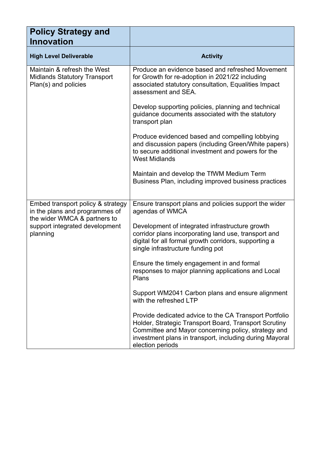| <b>Policy Strategy and</b><br><b>Innovation</b>                                                                                                   |                                                                                                                                                                                                                                                       |
|---------------------------------------------------------------------------------------------------------------------------------------------------|-------------------------------------------------------------------------------------------------------------------------------------------------------------------------------------------------------------------------------------------------------|
| <b>High Level Deliverable</b>                                                                                                                     | <b>Activity</b>                                                                                                                                                                                                                                       |
| Maintain & refresh the West<br><b>Midlands Statutory Transport</b><br>Plan(s) and policies                                                        | Produce an evidence based and refreshed Movement<br>for Growth for re-adoption in 2021/22 including<br>associated statutory consultation, Equalities Impact<br>assessment and SEA.                                                                    |
|                                                                                                                                                   | Develop supporting policies, planning and technical<br>guidance documents associated with the statutory<br>transport plan                                                                                                                             |
|                                                                                                                                                   | Produce evidenced based and compelling lobbying<br>and discussion papers (including Green/White papers)<br>to secure additional investment and powers for the<br><b>West Midlands</b>                                                                 |
|                                                                                                                                                   | Maintain and develop the TfWM Medium Term<br>Business Plan, including improved business practices                                                                                                                                                     |
| Embed transport policy & strategy<br>in the plans and programmes of<br>the wider WMCA & partners to<br>support integrated development<br>planning | Ensure transport plans and policies support the wider<br>agendas of WMCA                                                                                                                                                                              |
|                                                                                                                                                   | Development of integrated infrastructure growth<br>corridor plans incorporating land use, transport and<br>digital for all formal growth corridors, supporting a<br>single infrastructure funding pot                                                 |
|                                                                                                                                                   | Ensure the timely engagement in and formal<br>responses to major planning applications and Local<br>Plans                                                                                                                                             |
|                                                                                                                                                   | Support WM2041 Carbon plans and ensure alignment<br>with the refreshed LTP                                                                                                                                                                            |
|                                                                                                                                                   | Provide dedicated advice to the CA Transport Portfolio<br>Holder, Strategic Transport Board, Transport Scrutiny<br>Committee and Mayor concerning policy, strategy and<br>investment plans in transport, including during Mayoral<br>election periods |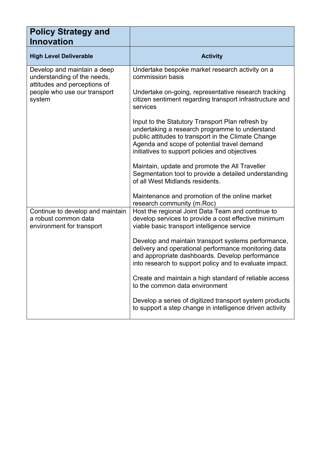| <b>Policy Strategy and</b><br><b>Innovation</b>                                                                                      |                                                                                                                                                                                                                                                            |
|--------------------------------------------------------------------------------------------------------------------------------------|------------------------------------------------------------------------------------------------------------------------------------------------------------------------------------------------------------------------------------------------------------|
| <b>High Level Deliverable</b>                                                                                                        | <b>Activity</b>                                                                                                                                                                                                                                            |
| Develop and maintain a deep<br>understanding of the needs,<br>attitudes and perceptions of<br>people who use our transport<br>system | Undertake bespoke market research activity on a<br>commission basis                                                                                                                                                                                        |
|                                                                                                                                      | Undertake on-going, representative research tracking<br>citizen sentiment regarding transport infrastructure and<br>services                                                                                                                               |
|                                                                                                                                      | Input to the Statutory Transport Plan refresh by<br>undertaking a research programme to understand<br>public attitudes to transport in the Climate Change<br>Agenda and scope of potential travel demand<br>initiatives to support policies and objectives |
|                                                                                                                                      | Maintain, update and promote the All Traveller<br>Segmentation tool to provide a detailed understanding<br>of all West Midlands residents.                                                                                                                 |
|                                                                                                                                      | Maintenance and promotion of the online market<br>research community (m.Roc)                                                                                                                                                                               |
| Continue to develop and maintain<br>a robust common data<br>environment for transport                                                | Host the regional Joint Data Team and continue to<br>develop services to provide a cost effective minimum<br>viable basic transport intelligence service                                                                                                   |
|                                                                                                                                      | Develop and maintain transport systems performance,<br>delivery and operational performance monitoring data<br>and appropriate dashboards. Develop performance<br>into research to support policy and to evaluate impact.                                  |
|                                                                                                                                      | Create and maintain a high standard of reliable access<br>to the common data environment                                                                                                                                                                   |
|                                                                                                                                      | Develop a series of digitized transport system products<br>to support a step change in intelligence driven activity                                                                                                                                        |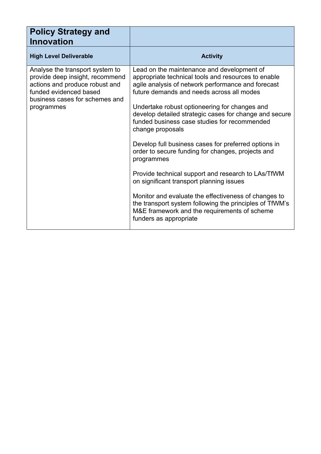| <b>Policy Strategy and</b><br><b>Innovation</b>                                                                                                                                |                                                                                                                                                                                                                                                                                                                                                                                                                                                                                                                                                                                                                                                                                                                                                                                                               |
|--------------------------------------------------------------------------------------------------------------------------------------------------------------------------------|---------------------------------------------------------------------------------------------------------------------------------------------------------------------------------------------------------------------------------------------------------------------------------------------------------------------------------------------------------------------------------------------------------------------------------------------------------------------------------------------------------------------------------------------------------------------------------------------------------------------------------------------------------------------------------------------------------------------------------------------------------------------------------------------------------------|
| <b>High Level Deliverable</b>                                                                                                                                                  | <b>Activity</b>                                                                                                                                                                                                                                                                                                                                                                                                                                                                                                                                                                                                                                                                                                                                                                                               |
| Analyse the transport system to<br>provide deep insight, recommend<br>actions and produce robust and<br>funded evidenced based<br>business cases for schemes and<br>programmes | Lead on the maintenance and development of<br>appropriate technical tools and resources to enable<br>agile analysis of network performance and forecast<br>future demands and needs across all modes<br>Undertake robust optioneering for changes and<br>develop detailed strategic cases for change and secure<br>funded business case studies for recommended<br>change proposals<br>Develop full business cases for preferred options in<br>order to secure funding for changes, projects and<br>programmes<br>Provide technical support and research to LAs/TfWM<br>on significant transport planning issues<br>Monitor and evaluate the effectiveness of changes to<br>the transport system following the principles of TfWM's<br>M&E framework and the requirements of scheme<br>funders as appropriate |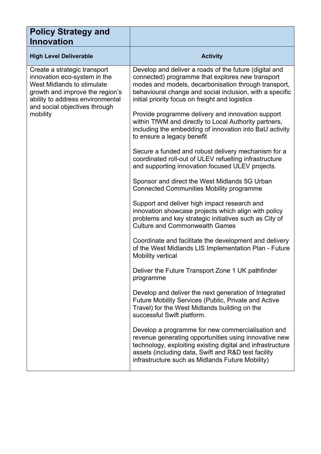| <b>Policy Strategy and</b><br><b>Innovation</b>                                                                                                                                                                |                                                                                                                                                                                                                                                                                     |
|----------------------------------------------------------------------------------------------------------------------------------------------------------------------------------------------------------------|-------------------------------------------------------------------------------------------------------------------------------------------------------------------------------------------------------------------------------------------------------------------------------------|
| <b>High Level Deliverable</b>                                                                                                                                                                                  | <b>Activity</b>                                                                                                                                                                                                                                                                     |
| Create a strategic transport<br>innovation eco-system in the<br>West Midlands to stimulate<br>growth and improve the region's<br>ability to address environmental<br>and social objectives through<br>mobility | Develop and deliver a roads of the future (digital and<br>connected) programme that explores new transport<br>modes and models, decarbonisation through transport,<br>behavioural change and social inclusion, with a specific<br>initial priority focus on freight and logistics   |
|                                                                                                                                                                                                                | Provide programme delivery and innovation support<br>within TfWM and directly to Local Authority partners,<br>including the embedding of innovation into BaU activity<br>to ensure a legacy benefit                                                                                 |
|                                                                                                                                                                                                                | Secure a funded and robust delivery mechanism for a<br>coordinated roll-out of ULEV refuelling infrastructure<br>and supporting innovation focused ULEV projects.                                                                                                                   |
|                                                                                                                                                                                                                | Sponsor and direct the West Midlands 5G Urban<br><b>Connected Communities Mobility programme</b>                                                                                                                                                                                    |
|                                                                                                                                                                                                                | Support and deliver high impact research and<br>innovation showcase projects which align with policy<br>problems and key strategic initiatives such as City of<br><b>Culture and Commonwealth Games</b>                                                                             |
|                                                                                                                                                                                                                | Coordinate and facilitate the development and delivery<br>of the West Midlands LIS Implementation Plan - Future<br>Mobility vertical                                                                                                                                                |
|                                                                                                                                                                                                                | Deliver the Future Transport Zone 1 UK pathfinder<br>programme                                                                                                                                                                                                                      |
|                                                                                                                                                                                                                | Develop and deliver the next generation of Integrated<br>Future Mobility Services (Public, Private and Active<br>Travel) for the West Midlands building on the<br>successful Swift platform.                                                                                        |
|                                                                                                                                                                                                                | Develop a programme for new commercialisation and<br>revenue generating opportunities using innovative new<br>technology, exploiting existing digital and infrastructure<br>assets (including data, Swift and R&D test facility<br>infrastructure such as Midlands Future Mobility) |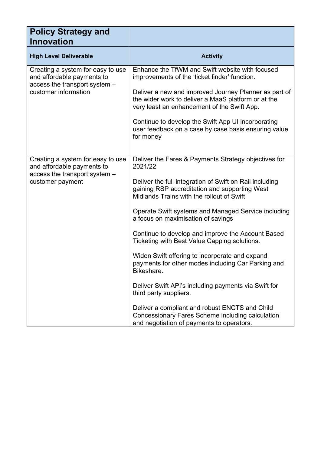| <b>Policy Strategy and</b><br><b>Innovation</b>                                                                          |                                                                                                                                                                                                                                                                                                                                                                                                                                                                                                                                                                                                                                                                                                                                                                                       |
|--------------------------------------------------------------------------------------------------------------------------|---------------------------------------------------------------------------------------------------------------------------------------------------------------------------------------------------------------------------------------------------------------------------------------------------------------------------------------------------------------------------------------------------------------------------------------------------------------------------------------------------------------------------------------------------------------------------------------------------------------------------------------------------------------------------------------------------------------------------------------------------------------------------------------|
| <b>High Level Deliverable</b>                                                                                            | <b>Activity</b>                                                                                                                                                                                                                                                                                                                                                                                                                                                                                                                                                                                                                                                                                                                                                                       |
| Creating a system for easy to use<br>and affordable payments to<br>access the transport system -<br>customer information | Enhance the TfWM and Swift website with focused<br>improvements of the 'ticket finder' function.<br>Deliver a new and improved Journey Planner as part of<br>the wider work to deliver a MaaS platform or at the<br>very least an enhancement of the Swift App.<br>Continue to develop the Swift App UI incorporating<br>user feedback on a case by case basis ensuring value<br>for money                                                                                                                                                                                                                                                                                                                                                                                            |
| Creating a system for easy to use<br>and affordable payments to<br>access the transport system -<br>customer payment     | Deliver the Fares & Payments Strategy objectives for<br>2021/22<br>Deliver the full integration of Swift on Rail including<br>gaining RSP accreditation and supporting West<br>Midlands Trains with the rollout of Swift<br>Operate Swift systems and Managed Service including<br>a focus on maximisation of savings<br>Continue to develop and improve the Account Based<br>Ticketing with Best Value Capping solutions.<br>Widen Swift offering to incorporate and expand<br>payments for other modes including Car Parking and<br>Bikeshare.<br>Deliver Swift API's including payments via Swift for<br>third party suppliers.<br>Deliver a compliant and robust ENCTS and Child<br>Concessionary Fares Scheme including calculation<br>and negotiation of payments to operators. |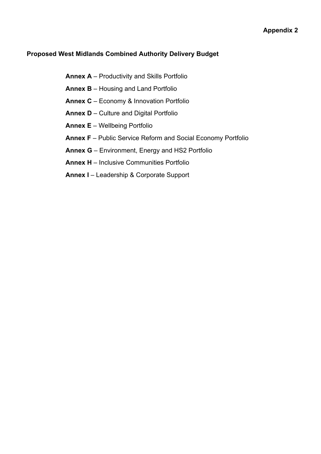#### **Proposed West Midlands Combined Authority Delivery Budget**

**Annex A** – Productivity and Skills Portfolio **Annex B** – Housing and Land Portfolio **Annex C** – Economy & Innovation Portfolio **Annex D** – Culture and Digital Portfolio **Annex E** – Wellbeing Portfolio **Annex F** – Public Service Reform and Social Economy Portfolio **Annex G** – Environment, Energy and HS2 Portfolio **Annex H** – Inclusive Communities Portfolio **Annex I** – Leadership & Corporate Support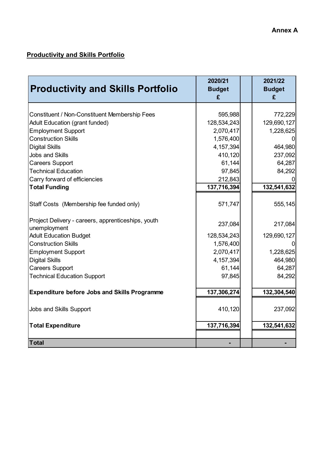### **Productivity and Skills Portfolio**

| <b>Productivity and Skills Portfolio</b>                           | 2020/21<br><b>Budget</b><br>£ | 2021/22<br><b>Budget</b><br>£ |
|--------------------------------------------------------------------|-------------------------------|-------------------------------|
|                                                                    |                               |                               |
| Constituent / Non-Constituent Membership Fees                      | 595,988                       | 772,229                       |
| <b>Adult Education (grant funded)</b>                              | 128,534,243                   | 129,690,127                   |
| <b>Employment Support</b>                                          | 2,070,417                     | 1,228,625                     |
| <b>Construction Skills</b>                                         | 1,576,400                     |                               |
| <b>Digital Skills</b>                                              | 4, 157, 394                   | 464,980                       |
| <b>Jobs and Skills</b>                                             | 410,120                       | 237,092                       |
| <b>Careers Support</b>                                             | 61,144                        | 64,287                        |
| <b>Technical Education</b>                                         | 97,845                        | 84,292                        |
| Carry forward of efficiencies                                      | 212,843                       |                               |
| <b>Total Funding</b>                                               | 137,716,394                   | 132,541,632                   |
| Staff Costs (Membership fee funded only)                           | 571,747                       | 555,145                       |
| Project Delivery - careers, apprenticeships, youth<br>unemployment | 237,084                       | 217,084                       |
| <b>Adult Education Budget</b>                                      | 128,534,243                   | 129,690,127                   |
| <b>Construction Skills</b>                                         | 1,576,400                     |                               |
| <b>Employment Support</b>                                          | 2,070,417                     | 1,228,625                     |
| <b>Digital Skills</b>                                              | 4, 157, 394                   | 464,980                       |
| <b>Careers Support</b>                                             | 61,144                        | 64,287                        |
| <b>Technical Education Support</b>                                 | 97,845                        | 84,292                        |
| <b>Expenditure before Jobs and Skills Programme</b>                | 137,306,274                   | 132,304,540                   |
| Jobs and Skills Support                                            | 410,120                       | 237,092                       |
| <b>Total Expenditure</b>                                           | 137,716,394                   | 132,541,632                   |
| <b>Total</b>                                                       |                               |                               |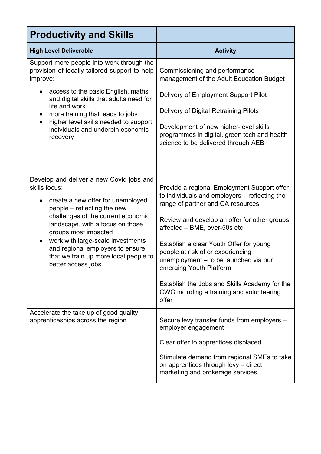| <b>Productivity and Skills</b>                                                                                                                                                                                                                                                                                                                                                       |                                                                                                                                                                                                                                                                                                                                                                                                                                                                              |  |  |
|--------------------------------------------------------------------------------------------------------------------------------------------------------------------------------------------------------------------------------------------------------------------------------------------------------------------------------------------------------------------------------------|------------------------------------------------------------------------------------------------------------------------------------------------------------------------------------------------------------------------------------------------------------------------------------------------------------------------------------------------------------------------------------------------------------------------------------------------------------------------------|--|--|
| <b>High Level Deliverable</b>                                                                                                                                                                                                                                                                                                                                                        | <b>Activity</b>                                                                                                                                                                                                                                                                                                                                                                                                                                                              |  |  |
| Support more people into work through the<br>provision of locally tailored support to help<br>improve:<br>access to the basic English, maths<br>and digital skills that adults need for<br>life and work<br>more training that leads to jobs<br>$\bullet$<br>higher level skills needed to support<br>$\bullet$<br>individuals and underpin economic<br>recovery                     | Commissioning and performance<br>management of the Adult Education Budget<br>Delivery of Employment Support Pilot<br>Delivery of Digital Retraining Pilots<br>Development of new higher-level skills<br>programmes in digital, green tech and health<br>science to be delivered through AEB                                                                                                                                                                                  |  |  |
| Develop and deliver a new Covid jobs and<br>skills focus:<br>create a new offer for unemployed<br>people – reflecting the new<br>challenges of the current economic<br>landscape, with a focus on those<br>groups most impacted<br>work with large-scale investments<br>$\bullet$<br>and regional employers to ensure<br>that we train up more local people to<br>better access jobs | Provide a regional Employment Support offer<br>to individuals and employers - reflecting the<br>range of partner and CA resources<br>Review and develop an offer for other groups<br>affected - BME, over-50s etc<br>Establish a clear Youth Offer for young<br>people at risk of or experiencing<br>unemployment - to be launched via our<br>emerging Youth Platform<br>Establish the Jobs and Skills Academy for the<br>CWG including a training and volunteering<br>offer |  |  |
| Accelerate the take up of good quality<br>apprenticeships across the region                                                                                                                                                                                                                                                                                                          | Secure levy transfer funds from employers -<br>employer engagement<br>Clear offer to apprentices displaced<br>Stimulate demand from regional SMEs to take<br>on apprentices through levy - direct<br>marketing and brokerage services                                                                                                                                                                                                                                        |  |  |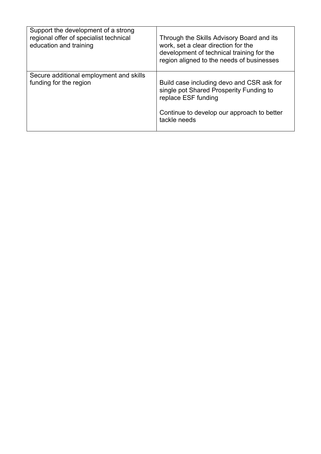| Support the development of a strong<br>regional offer of specialist technical<br>education and training | Through the Skills Advisory Board and its<br>work, set a clear direction for the<br>development of technical training for the<br>region aligned to the needs of businesses |
|---------------------------------------------------------------------------------------------------------|----------------------------------------------------------------------------------------------------------------------------------------------------------------------------|
| Secure additional employment and skills<br>funding for the region                                       | Build case including devo and CSR ask for<br>single pot Shared Prosperity Funding to<br>replace ESF funding<br>Continue to develop our approach to better<br>tackle needs  |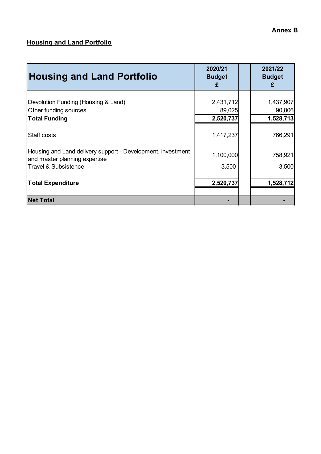#### **Annex B**

### **Housing and Land Portfolio**

| <b>Housing and Land Portfolio</b>                                                                                               | 2020/21<br><b>Budget</b><br>£    | 2021/22<br><b>Budget</b><br>£    |
|---------------------------------------------------------------------------------------------------------------------------------|----------------------------------|----------------------------------|
| Devolution Funding (Housing & Land)<br>Other funding sources<br><b>Total Funding</b>                                            | 2,431,712<br>89,025<br>2,520,737 | 1,437,907<br>90,806<br>1,528,713 |
| Staff costs                                                                                                                     | 1,417,237                        | 766,291                          |
| Housing and Land delivery support - Development, investment<br>and master planning expertise<br><b>Travel &amp; Subsistence</b> | 1,100,000<br>3,500               | 758,921<br>3,500                 |
| <b>Total Expenditure</b>                                                                                                        | 2,520,737                        | 1,528,712                        |
| <b>Net Total</b>                                                                                                                |                                  |                                  |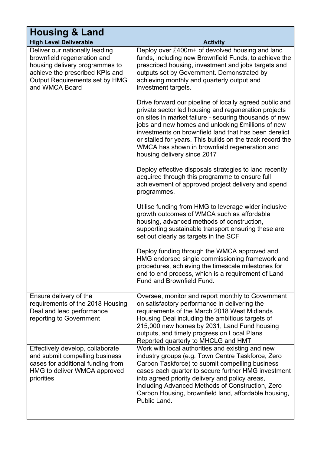| <b>Housing &amp; Land</b>                                                                                                                                                              |                                                                                                                                                                                                                                                                                                                                                                                                                                      |  |  |  |
|----------------------------------------------------------------------------------------------------------------------------------------------------------------------------------------|--------------------------------------------------------------------------------------------------------------------------------------------------------------------------------------------------------------------------------------------------------------------------------------------------------------------------------------------------------------------------------------------------------------------------------------|--|--|--|
| <b>High Level Deliverable</b>                                                                                                                                                          | <b>Activity</b>                                                                                                                                                                                                                                                                                                                                                                                                                      |  |  |  |
| Deliver our nationally leading<br>brownfield regeneration and<br>housing delivery programmes to<br>achieve the prescribed KPIs and<br>Output Requirements set by HMG<br>and WMCA Board | Deploy over £400m+ of devolved housing and land<br>funds, including new Brownfield Funds, to achieve the<br>prescribed housing, investment and jobs targets and<br>outputs set by Government. Demonstrated by<br>achieving monthly and quarterly output and<br>investment targets.                                                                                                                                                   |  |  |  |
|                                                                                                                                                                                        | Drive forward our pipeline of locally agreed public and<br>private sector led housing and regeneration projects<br>on sites in market failure - securing thousands of new<br>jobs and new homes and unlocking Emillions of new<br>investments on brownfield land that has been derelict<br>or stalled for years. This builds on the track record the<br>WMCA has shown in brownfield regeneration and<br>housing delivery since 2017 |  |  |  |
|                                                                                                                                                                                        | Deploy effective disposals strategies to land recently<br>acquired through this programme to ensure full<br>achievement of approved project delivery and spend<br>programmes.                                                                                                                                                                                                                                                        |  |  |  |
|                                                                                                                                                                                        | Utilise funding from HMG to leverage wider inclusive<br>growth outcomes of WMCA such as affordable<br>housing, advanced methods of construction,<br>supporting sustainable transport ensuring these are<br>set out clearly as targets in the SCF                                                                                                                                                                                     |  |  |  |
|                                                                                                                                                                                        | Deploy funding through the WMCA approved and<br>HMG endorsed single commissioning framework and<br>procedures, achieving the timescale milestones for<br>end to end process, which is a requirement of Land<br>Fund and Brownfield Fund.                                                                                                                                                                                             |  |  |  |
| Ensure delivery of the<br>requirements of the 2018 Housing<br>Deal and lead performance<br>reporting to Government                                                                     | Oversee, monitor and report monthly to Government<br>on satisfactory performance in delivering the<br>requirements of the March 2018 West Midlands<br>Housing Deal including the ambitious targets of<br>215,000 new homes by 2031, Land Fund housing<br>outputs, and timely progress on Local Plans<br>Reported quarterly to MHCLG and HMT                                                                                          |  |  |  |
| Effectively develop, collaborate<br>and submit compelling business<br>cases for additional funding from<br>HMG to deliver WMCA approved<br>priorities                                  | Work with local authorities and existing and new<br>industry groups (e.g. Town Centre Taskforce, Zero<br>Carbon Taskforce) to submit compelling business<br>cases each quarter to secure further HMG investment<br>into agreed priority delivery and policy areas,<br>including Advanced Methods of Construction, Zero<br>Carbon Housing, brownfield land, affordable housing,<br>Public Land.                                       |  |  |  |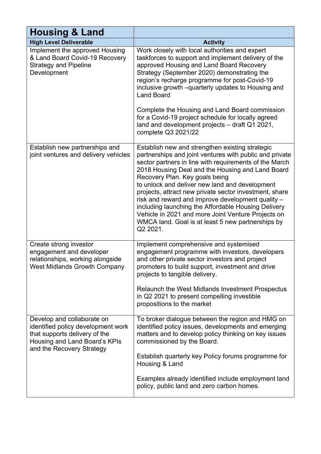| <b>Housing &amp; Land</b>                                                                                                                                       |                                                                                                                                                                                                                                                                                                                                                                                                                                                                                                                                                                                                           |  |  |
|-----------------------------------------------------------------------------------------------------------------------------------------------------------------|-----------------------------------------------------------------------------------------------------------------------------------------------------------------------------------------------------------------------------------------------------------------------------------------------------------------------------------------------------------------------------------------------------------------------------------------------------------------------------------------------------------------------------------------------------------------------------------------------------------|--|--|
| <b>High Level Deliverable</b>                                                                                                                                   | <b>Activity</b>                                                                                                                                                                                                                                                                                                                                                                                                                                                                                                                                                                                           |  |  |
| Implement the approved Housing<br>& Land Board Covid-19 Recovery<br><b>Strategy and Pipeline</b><br>Development                                                 | Work closely with local authorities and expert<br>taskforces to support and implement delivery of the<br>approved Housing and Land Board Recovery<br>Strategy (September 2020) demonstrating the<br>region's recharge programme for post-Covid-19<br>inclusive growth -quarterly updates to Housing and<br><b>Land Board</b><br>Complete the Housing and Land Board commission<br>for a Covid-19 project schedule for locally agreed<br>land and development projects - draft Q1 2021,<br>complete Q3 2021/22                                                                                             |  |  |
| Establish new partnerships and<br>joint ventures and delivery vehicles                                                                                          | Establish new and strengthen existing strategic<br>partnerships and joint ventures with public and private<br>sector partners in line with requirements of the March<br>2018 Housing Deal and the Housing and Land Board<br>Recovery Plan. Key goals being<br>to unlock and deliver new land and development<br>projects, attract new private sector investment, share<br>risk and reward and improve development quality -<br>including launching the Affordable Housing Delivery<br>Vehicle in 2021 and more Joint Venture Projects on<br>WMCA land. Goal is at least 5 new partnerships by<br>Q2 2021. |  |  |
| Create strong investor<br>engagement and developer<br>relationships, working alongside<br><b>West Midlands Growth Company</b>                                   | Implement comprehensive and systemised<br>engagement programme with investors, developers<br>and other private sector investors and project<br>promoters to build support, investment and drive<br>projects to tangible delivery.<br>Relaunch the West Midlands Investment Prospectus<br>in Q2 2021 to present compelling investible<br>propositions to the market                                                                                                                                                                                                                                        |  |  |
| Develop and collaborate on<br>identified policy development work<br>that supports delivery of the<br>Housing and Land Board's KPIs<br>and the Recovery Strategy | To broker dialogue between the region and HMG on<br>identified policy issues, developments and emerging<br>matters and to develop policy thinking on key issues<br>commissioned by the Board.<br>Establish quarterly key Policy forums programme for<br>Housing & Land<br>Examples already identified include employment land<br>policy, public land and zero carbon homes.                                                                                                                                                                                                                               |  |  |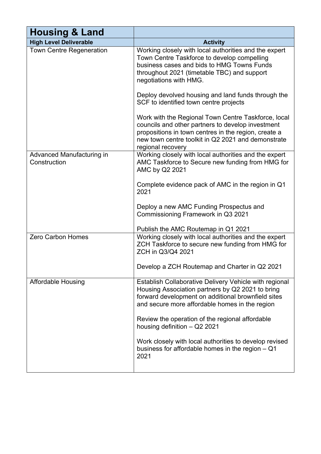| <b>Housing &amp; Land</b>                 |                                                                                                                                                                                                                                                                                                                                                                                                                         |  |  |
|-------------------------------------------|-------------------------------------------------------------------------------------------------------------------------------------------------------------------------------------------------------------------------------------------------------------------------------------------------------------------------------------------------------------------------------------------------------------------------|--|--|
| <b>High Level Deliverable</b>             | <b>Activity</b>                                                                                                                                                                                                                                                                                                                                                                                                         |  |  |
| <b>Town Centre Regeneration</b>           | Working closely with local authorities and the expert<br>Town Centre Taskforce to develop compelling<br>business cases and bids to HMG Towns Funds<br>throughout 2021 (timetable TBC) and support<br>negotiations with HMG.                                                                                                                                                                                             |  |  |
|                                           | Deploy devolved housing and land funds through the<br>SCF to identified town centre projects                                                                                                                                                                                                                                                                                                                            |  |  |
|                                           | Work with the Regional Town Centre Taskforce, local<br>councils and other partners to develop investment<br>propositions in town centres in the region, create a<br>new town centre toolkit in Q2 2021 and demonstrate<br>regional recovery                                                                                                                                                                             |  |  |
| Advanced Manufacturing in<br>Construction | Working closely with local authorities and the expert<br>AMC Taskforce to Secure new funding from HMG for<br>AMC by Q2 2021                                                                                                                                                                                                                                                                                             |  |  |
|                                           | Complete evidence pack of AMC in the region in Q1<br>2021                                                                                                                                                                                                                                                                                                                                                               |  |  |
|                                           | Deploy a new AMC Funding Prospectus and<br>Commissioning Framework in Q3 2021                                                                                                                                                                                                                                                                                                                                           |  |  |
|                                           | Publish the AMC Routemap in Q1 2021                                                                                                                                                                                                                                                                                                                                                                                     |  |  |
| <b>Zero Carbon Homes</b>                  | Working closely with local authorities and the expert<br>ZCH Taskforce to secure new funding from HMG for<br>ZCH in Q3/Q4 2021                                                                                                                                                                                                                                                                                          |  |  |
|                                           | Develop a ZCH Routemap and Charter in Q2 2021                                                                                                                                                                                                                                                                                                                                                                           |  |  |
| <b>Affordable Housing</b>                 | Establish Collaborative Delivery Vehicle with regional<br>Housing Association partners by Q2 2021 to bring<br>forward development on additional brownfield sites<br>and secure more affordable homes in the region<br>Review the operation of the regional affordable<br>housing definition $-$ Q2 2021<br>Work closely with local authorities to develop revised<br>business for affordable homes in the region $-$ Q1 |  |  |
|                                           | 2021                                                                                                                                                                                                                                                                                                                                                                                                                    |  |  |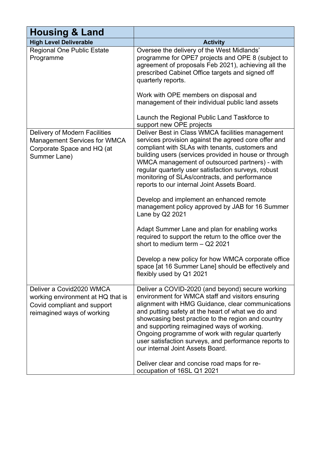| <b>Housing &amp; Land</b>                                                                                                  |                                                                                                                                                                                                                                                                                                                                                                                                                                                                     |  |  |
|----------------------------------------------------------------------------------------------------------------------------|---------------------------------------------------------------------------------------------------------------------------------------------------------------------------------------------------------------------------------------------------------------------------------------------------------------------------------------------------------------------------------------------------------------------------------------------------------------------|--|--|
| <b>High Level Deliverable</b>                                                                                              | <b>Activity</b>                                                                                                                                                                                                                                                                                                                                                                                                                                                     |  |  |
| <b>Regional One Public Estate</b><br>Programme                                                                             | Oversee the delivery of the West Midlands'<br>programme for OPE7 projects and OPE 8 (subject to<br>agreement of proposals Feb 2021), achieving all the<br>prescribed Cabinet Office targets and signed off<br>quarterly reports.                                                                                                                                                                                                                                    |  |  |
|                                                                                                                            | Work with OPE members on disposal and<br>management of their individual public land assets<br>Launch the Regional Public Land Taskforce to                                                                                                                                                                                                                                                                                                                          |  |  |
|                                                                                                                            | support new OPE projects                                                                                                                                                                                                                                                                                                                                                                                                                                            |  |  |
| Delivery of Modern Facilities<br><b>Management Services for WMCA</b><br>Corporate Space and HQ (at<br>Summer Lane)         | Deliver Best in Class WMCA facilities management<br>services provision against the agreed core offer and<br>compliant with SLAs with tenants, customers and<br>building users (services provided in house or through<br>WMCA management of outsourced partners) - with<br>regular quarterly user satisfaction surveys, robust<br>monitoring of SLAs/contracts, and performance<br>reports to our internal Joint Assets Board.                                       |  |  |
|                                                                                                                            | Develop and implement an enhanced remote<br>management policy approved by JAB for 16 Summer<br>Lane by Q2 2021                                                                                                                                                                                                                                                                                                                                                      |  |  |
|                                                                                                                            | Adapt Summer Lane and plan for enabling works<br>required to support the return to the office over the<br>short to medium term - Q2 2021                                                                                                                                                                                                                                                                                                                            |  |  |
|                                                                                                                            | Develop a new policy for how WMCA corporate office<br>space [at 16 Summer Lane] should be effectively and<br>flexibly used by Q1 2021                                                                                                                                                                                                                                                                                                                               |  |  |
| Deliver a Covid2020 WMCA<br>working environment at HQ that is<br>Covid compliant and support<br>reimagined ways of working | Deliver a COVID-2020 (and beyond) secure working<br>environment for WMCA staff and visitors ensuring<br>alignment with HMG Guidance, clear communications<br>and putting safety at the heart of what we do and<br>showcasing best practice to the region and country<br>and supporting reimagined ways of working.<br>Ongoing programme of work with regular quarterly<br>user satisfaction surveys, and performance reports to<br>our internal Joint Assets Board. |  |  |
|                                                                                                                            | Deliver clear and concise road maps for re-<br>occupation of 16SL Q1 2021                                                                                                                                                                                                                                                                                                                                                                                           |  |  |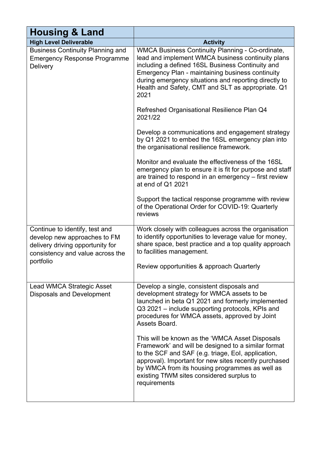| <b>Housing &amp; Land</b>                                                                                                                           |                                                                                                                                                                                                                                                                                                                                            |
|-----------------------------------------------------------------------------------------------------------------------------------------------------|--------------------------------------------------------------------------------------------------------------------------------------------------------------------------------------------------------------------------------------------------------------------------------------------------------------------------------------------|
| <b>High Level Deliverable</b>                                                                                                                       | <b>Activity</b>                                                                                                                                                                                                                                                                                                                            |
| <b>Business Continuity Planning and</b><br><b>Emergency Response Programme</b><br><b>Delivery</b>                                                   | <b>WMCA Business Continuity Planning - Co-ordinate,</b><br>lead and implement WMCA business continuity plans<br>including a defined 16SL Business Continuity and<br>Emergency Plan - maintaining business continuity<br>during emergency situations and reporting directly to<br>Health and Safety, CMT and SLT as appropriate. Q1<br>2021 |
|                                                                                                                                                     | Refreshed Organisational Resilience Plan Q4<br>2021/22                                                                                                                                                                                                                                                                                     |
|                                                                                                                                                     | Develop a communications and engagement strategy<br>by Q1 2021 to embed the 16SL emergency plan into<br>the organisational resilience framework.                                                                                                                                                                                           |
|                                                                                                                                                     | Monitor and evaluate the effectiveness of the 16SL<br>emergency plan to ensure it is fit for purpose and staff<br>are trained to respond in an emergency - first review<br>at end of Q1 2021                                                                                                                                               |
|                                                                                                                                                     | Support the tactical response programme with review<br>of the Operational Order for COVID-19: Quarterly<br>reviews                                                                                                                                                                                                                         |
| Continue to identify, test and<br>develop new approaches to FM<br>delivery driving opportunity for<br>consistency and value across the<br>portfolio | Work closely with colleagues across the organisation<br>to identify opportunities to leverage value for money,<br>share space, best practice and a top quality approach<br>to facilities management.                                                                                                                                       |
|                                                                                                                                                     | Review opportunities & approach Quarterly                                                                                                                                                                                                                                                                                                  |
| Lead WMCA Strategic Asset<br><b>Disposals and Development</b>                                                                                       | Develop a single, consistent disposals and<br>development strategy for WMCA assets to be<br>launched in beta Q1 2021 and formerly implemented<br>Q3 2021 – include supporting protocols, KPIs and<br>procedures for WMCA assets, approved by Joint<br>Assets Board.                                                                        |
|                                                                                                                                                     | This will be known as the 'WMCA Asset Disposals<br>Framework' and will be designed to a similar format<br>to the SCF and SAF (e.g. triage, EoI, application,<br>approval). Important for new sites recently purchased<br>by WMCA from its housing programmes as well as<br>existing TfWM sites considered surplus to<br>requirements       |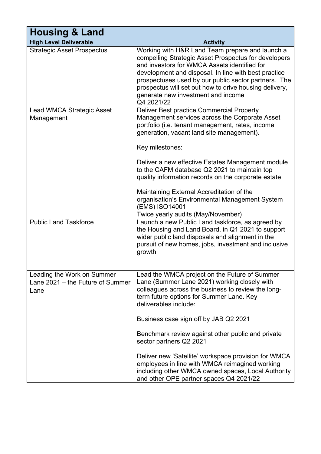| <b>Housing &amp; Land</b>                                              |                                                                                                                                                                                                                                                                                                                                                                                                                                                                                                                                                              |  |  |
|------------------------------------------------------------------------|--------------------------------------------------------------------------------------------------------------------------------------------------------------------------------------------------------------------------------------------------------------------------------------------------------------------------------------------------------------------------------------------------------------------------------------------------------------------------------------------------------------------------------------------------------------|--|--|
| <b>High Level Deliverable</b>                                          | <b>Activity</b>                                                                                                                                                                                                                                                                                                                                                                                                                                                                                                                                              |  |  |
| <b>Strategic Asset Prospectus</b>                                      | Working with H&R Land Team prepare and launch a<br>compelling Strategic Asset Prospectus for developers<br>and investors for WMCA Assets identified for<br>development and disposal. In line with best practice<br>prospectuses used by our public sector partners. The<br>prospectus will set out how to drive housing delivery,<br>generate new investment and income<br>Q4 2021/22                                                                                                                                                                        |  |  |
| Lead WMCA Strategic Asset<br>Management                                | Deliver Best practice Commercial Property<br>Management services across the Corporate Asset<br>portfolio (i.e. tenant management, rates, income<br>generation, vacant land site management).<br>Key milestones:<br>Deliver a new effective Estates Management module<br>to the CAFM database Q2 2021 to maintain top<br>quality information records on the corporate estate<br>Maintaining External Accreditation of the<br>organisation's Environmental Management System<br>(EMS) ISO14001<br>Twice yearly audits (May/November)                           |  |  |
| <b>Public Land Taskforce</b>                                           | Launch a new Public Land taskforce, as agreed by<br>the Housing and Land Board, in Q1 2021 to support<br>wider public land disposals and alignment in the<br>pursuit of new homes, jobs, investment and inclusive<br>growth                                                                                                                                                                                                                                                                                                                                  |  |  |
| Leading the Work on Summer<br>Lane 2021 – the Future of Summer<br>Lane | Lead the WMCA project on the Future of Summer<br>Lane (Summer Lane 2021) working closely with<br>colleagues across the business to review the long-<br>term future options for Summer Lane. Key<br>deliverables include:<br>Business case sign off by JAB Q2 2021<br>Benchmark review against other public and private<br>sector partners Q2 2021<br>Deliver new 'Satellite' workspace provision for WMCA<br>employees in line with WMCA reimagined working<br>including other WMCA owned spaces, Local Authority<br>and other OPE partner spaces Q4 2021/22 |  |  |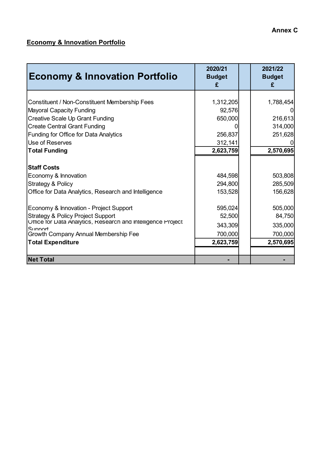### **Economy & Innovation Portfolio**

| <b>Economy &amp; Innovation Portfolio</b>                                                                                                                                                                                             | 2020/21<br><b>Budget</b><br>£                        | 2021/22<br><b>Budget</b><br>£                        |
|---------------------------------------------------------------------------------------------------------------------------------------------------------------------------------------------------------------------------------------|------------------------------------------------------|------------------------------------------------------|
| Constituent / Non-Constituent Membership Fees<br><b>Mayoral Capacity Funding</b><br>Creative Scale Up Grant Funding<br><b>Create Central Grant Funding</b><br>Funding for Office for Data Analytics<br>Use of Reserves                | 1,312,205<br>92,576<br>650,000<br>256,837<br>312,141 | 1,788,454<br>216,613<br>314,000<br>251,628           |
| <b>Total Funding</b><br><b>Staff Costs</b><br>Economy & Innovation<br><b>Strategy &amp; Policy</b><br>Office for Data Analytics, Research and Intelligence                                                                            | 2,623,759<br>484,598<br>294,800<br>153,528           | 2,570,695<br>503,808<br>285,509<br>156,628           |
| Economy & Innovation - Project Support<br><b>Strategy &amp; Policy Project Support</b><br>Uffice for Data Analytics, Research and Intelligence Project<br>Sunnort<br>Growth Company Annual Membership Fee<br><b>Total Expenditure</b> | 595,024<br>52,500<br>343,309<br>700,000<br>2,623,759 | 505,000<br>84,750<br>335,000<br>700,000<br>2,570,695 |
| <b>Net Total</b>                                                                                                                                                                                                                      |                                                      |                                                      |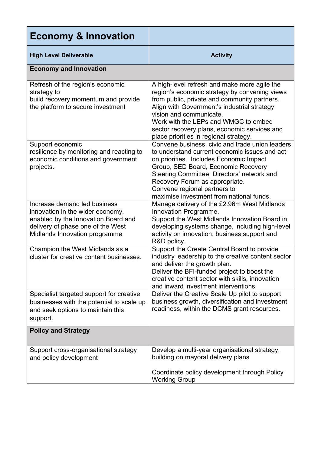| <b>Economy &amp; Innovation</b>                                                                                                                                               |                                                                                                                                                                                                                                                                                                                                                           |
|-------------------------------------------------------------------------------------------------------------------------------------------------------------------------------|-----------------------------------------------------------------------------------------------------------------------------------------------------------------------------------------------------------------------------------------------------------------------------------------------------------------------------------------------------------|
| <b>High Level Deliverable</b>                                                                                                                                                 | <b>Activity</b>                                                                                                                                                                                                                                                                                                                                           |
| <b>Economy and Innovation</b>                                                                                                                                                 |                                                                                                                                                                                                                                                                                                                                                           |
| Refresh of the region's economic<br>strategy to<br>build recovery momentum and provide<br>the platform to secure investment                                                   | A high-level refresh and make more agile the<br>region's economic strategy by convening views<br>from public, private and community partners.<br>Align with Government's industrial strategy<br>vision and communicate.<br>Work with the LEPs and WMGC to embed<br>sector recovery plans, economic services and<br>place priorities in regional strategy. |
| Support economic<br>resilience by monitoring and reacting to<br>economic conditions and government<br>projects.                                                               | Convene business, civic and trade union leaders<br>to understand current economic issues and act<br>on priorities. Includes Economic Impact<br>Group, SED Board, Economic Recovery<br>Steering Committee, Directors' network and<br>Recovery Forum as appropriate.<br>Convene regional partners to<br>maximise investment from national funds.            |
| Increase demand led business<br>innovation in the wider economy,<br>enabled by the Innovation Board and<br>delivery of phase one of the West<br>Midlands Innovation programme | Manage delivery of the £2.96m West Midlands<br>Innovation Programme.<br>Support the West Midlands Innovation Board in<br>developing systems change, including high-level<br>activity on innovation, business support and<br>R&D policy.                                                                                                                   |
| Champion the West Midlands as a<br>cluster for creative content businesses.                                                                                                   | Support the Create Central Board to provide<br>industry leadership to the creative content sector<br>and deliver the growth plan.<br>Deliver the BFI-funded project to boost the<br>creative content sector with skills, innovation<br>and inward investment interventions.                                                                               |
| Specialist targeted support for creative<br>businesses with the potential to scale up<br>and seek options to maintain this<br>support.                                        | Deliver the Creative Scale Up pilot to support<br>business growth, diversification and investment<br>readiness, within the DCMS grant resources.                                                                                                                                                                                                          |
| <b>Policy and Strategy</b>                                                                                                                                                    |                                                                                                                                                                                                                                                                                                                                                           |
| Support cross-organisational strategy<br>and policy development                                                                                                               | Develop a multi-year organisational strategy,<br>building on mayoral delivery plans<br>Coordinate policy development through Policy<br><b>Working Group</b>                                                                                                                                                                                               |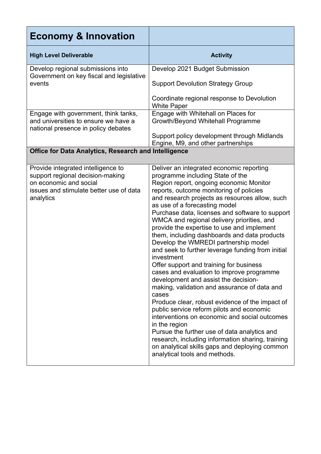| <b>Economy &amp; Innovation</b>                                                                                                                          |                                                                                                                                                                                                                                                                                                                                                                                                                                                                                                                                                                                                                                                                                                                                                                                                                                                                                                                                                                                                                                                                                                                    |
|----------------------------------------------------------------------------------------------------------------------------------------------------------|--------------------------------------------------------------------------------------------------------------------------------------------------------------------------------------------------------------------------------------------------------------------------------------------------------------------------------------------------------------------------------------------------------------------------------------------------------------------------------------------------------------------------------------------------------------------------------------------------------------------------------------------------------------------------------------------------------------------------------------------------------------------------------------------------------------------------------------------------------------------------------------------------------------------------------------------------------------------------------------------------------------------------------------------------------------------------------------------------------------------|
| <b>High Level Deliverable</b>                                                                                                                            | <b>Activity</b>                                                                                                                                                                                                                                                                                                                                                                                                                                                                                                                                                                                                                                                                                                                                                                                                                                                                                                                                                                                                                                                                                                    |
| Develop regional submissions into<br>Government on key fiscal and legislative                                                                            | Develop 2021 Budget Submission                                                                                                                                                                                                                                                                                                                                                                                                                                                                                                                                                                                                                                                                                                                                                                                                                                                                                                                                                                                                                                                                                     |
| events                                                                                                                                                   | <b>Support Devolution Strategy Group</b>                                                                                                                                                                                                                                                                                                                                                                                                                                                                                                                                                                                                                                                                                                                                                                                                                                                                                                                                                                                                                                                                           |
|                                                                                                                                                          | Coordinate regional response to Devolution<br><b>White Paper</b>                                                                                                                                                                                                                                                                                                                                                                                                                                                                                                                                                                                                                                                                                                                                                                                                                                                                                                                                                                                                                                                   |
| Engage with government, think tanks,<br>and universities to ensure we have a<br>national presence in policy debates                                      | Engage with Whitehall on Places for<br>Growth/Beyond Whitehall Programme                                                                                                                                                                                                                                                                                                                                                                                                                                                                                                                                                                                                                                                                                                                                                                                                                                                                                                                                                                                                                                           |
|                                                                                                                                                          | Support policy development through Midlands<br>Engine, M9, and other partnerships                                                                                                                                                                                                                                                                                                                                                                                                                                                                                                                                                                                                                                                                                                                                                                                                                                                                                                                                                                                                                                  |
| Office for Data Analytics, Research and Intelligence                                                                                                     |                                                                                                                                                                                                                                                                                                                                                                                                                                                                                                                                                                                                                                                                                                                                                                                                                                                                                                                                                                                                                                                                                                                    |
| Provide integrated intelligence to<br>support regional decision-making<br>on economic and social<br>issues and stimulate better use of data<br>analytics | Deliver an integrated economic reporting<br>programme including State of the<br>Region report, ongoing economic Monitor<br>reports, outcome monitoring of policies<br>and research projects as resources allow, such<br>as use of a forecasting model<br>Purchase data, licenses and software to support<br>WMCA and regional delivery priorities, and<br>provide the expertise to use and implement<br>them, including dashboards and data products<br>Develop the WMREDI partnership model<br>and seek to further leverage funding from initial<br>investment<br>Offer support and training for business<br>cases and evaluation to improve programme<br>development and assist the decision-<br>making, validation and assurance of data and<br>cases<br>Produce clear, robust evidence of the impact of<br>public service reform pilots and economic<br>interventions on economic and social outcomes<br>in the region<br>Pursue the further use of data analytics and<br>research, including information sharing, training<br>on analytical skills gaps and deploying common<br>analytical tools and methods. |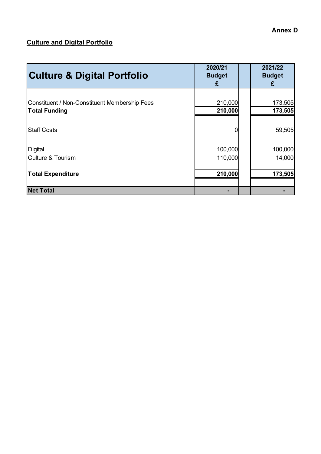### **Culture and Digital Portfolio**

| <b>Culture &amp; Digital Portfolio</b>                                | 2020/21<br><b>Budget</b><br>£ | 2021/22<br><b>Budget</b><br>£ |
|-----------------------------------------------------------------------|-------------------------------|-------------------------------|
| Constituent / Non-Constituent Membership Fees<br><b>Total Funding</b> | 210,000<br>210,000            | 173,505<br>173,505            |
| <b>Staff Costs</b>                                                    | 0                             | 59,505                        |
| Digital<br>Culture & Tourism                                          | 100,000<br>110,000            | 100,000<br>14,000             |
| <b>Total Expenditure</b>                                              | 210,000                       | 173,505                       |
| <b>Net Total</b>                                                      |                               |                               |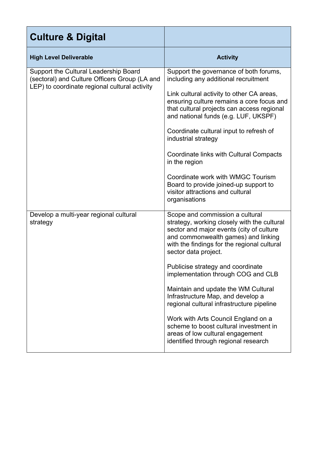| <b>Culture &amp; Digital</b>                                                                                                            |                                                                                                                                                                                                                                                                                                                                                                                                                                                                                                                                                                                                           |
|-----------------------------------------------------------------------------------------------------------------------------------------|-----------------------------------------------------------------------------------------------------------------------------------------------------------------------------------------------------------------------------------------------------------------------------------------------------------------------------------------------------------------------------------------------------------------------------------------------------------------------------------------------------------------------------------------------------------------------------------------------------------|
| <b>High Level Deliverable</b>                                                                                                           | <b>Activity</b>                                                                                                                                                                                                                                                                                                                                                                                                                                                                                                                                                                                           |
| Support the Cultural Leadership Board<br>(sectoral) and Culture Officers Group (LA and<br>LEP) to coordinate regional cultural activity | Support the governance of both forums,<br>including any additional recruitment<br>Link cultural activity to other CA areas,<br>ensuring culture remains a core focus and<br>that cultural projects can access regional<br>and national funds (e.g. LUF, UKSPF)<br>Coordinate cultural input to refresh of<br>industrial strategy<br>Coordinate links with Cultural Compacts<br>in the region<br>Coordinate work with WMGC Tourism<br>Board to provide joined-up support to<br>visitor attractions and cultural<br>organisations                                                                           |
| Develop a multi-year regional cultural<br>strategy                                                                                      | Scope and commission a cultural<br>strategy, working closely with the cultural<br>sector and major events (city of culture<br>and commonwealth games) and linking<br>with the findings for the regional cultural<br>sector data project.<br>Publicise strategy and coordinate<br>implementation through COG and CLB<br>Maintain and update the WM Cultural<br>Infrastructure Map, and develop a<br>regional cultural infrastructure pipeline<br>Work with Arts Council England on a<br>scheme to boost cultural investment in<br>areas of low cultural engagement<br>identified through regional research |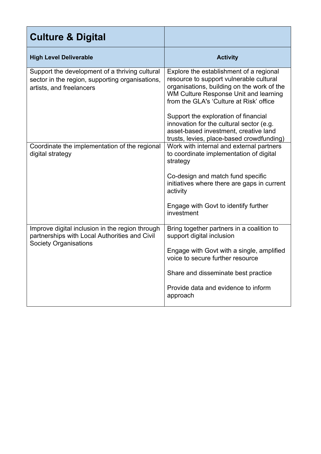| <b>Culture &amp; Digital</b>                                                                                                     |                                                                                                                                                                                                                      |
|----------------------------------------------------------------------------------------------------------------------------------|----------------------------------------------------------------------------------------------------------------------------------------------------------------------------------------------------------------------|
| <b>High Level Deliverable</b>                                                                                                    | <b>Activity</b>                                                                                                                                                                                                      |
| Support the development of a thriving cultural<br>sector in the region, supporting organisations,<br>artists, and freelancers    | Explore the establishment of a regional<br>resource to support vulnerable cultural<br>organisations, building on the work of the<br>WM Culture Response Unit and learning<br>from the GLA's 'Culture at Risk' office |
|                                                                                                                                  | Support the exploration of financial<br>innovation for the cultural sector (e.g.<br>asset-based investment, creative land<br>trusts, levies, place-based crowdfunding)                                               |
| Coordinate the implementation of the regional<br>digital strategy                                                                | Work with internal and external partners<br>to coordinate implementation of digital<br>strategy                                                                                                                      |
|                                                                                                                                  | Co-design and match fund specific<br>initiatives where there are gaps in current<br>activity                                                                                                                         |
|                                                                                                                                  | Engage with Govt to identify further<br>investment                                                                                                                                                                   |
| Improve digital inclusion in the region through<br>partnerships with Local Authorities and Civil<br><b>Society Organisations</b> | Bring together partners in a coalition to<br>support digital inclusion                                                                                                                                               |
|                                                                                                                                  | Engage with Govt with a single, amplified<br>voice to secure further resource                                                                                                                                        |
|                                                                                                                                  | Share and disseminate best practice                                                                                                                                                                                  |
|                                                                                                                                  | Provide data and evidence to inform<br>approach                                                                                                                                                                      |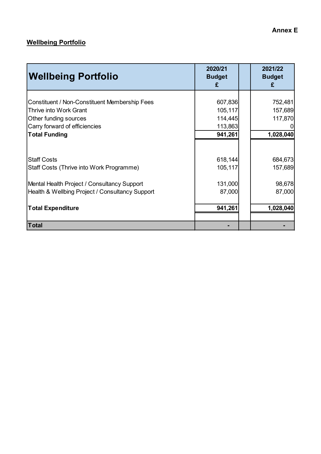### **Wellbeing Portfolio**

| <b>Wellbeing Portfolio</b>                                                                     | 2020/21<br><b>Budget</b><br>£ | 2021/22<br><b>Budget</b><br>£ |
|------------------------------------------------------------------------------------------------|-------------------------------|-------------------------------|
| Constituent / Non-Constituent Membership Fees<br><b>Thrive into Work Grant</b>                 | 607,836<br>105,117            | 752,481<br>157,689<br>117,870 |
| Other funding sources<br>Carry forward of efficiencies<br><b>Total Funding</b>                 | 114,445<br>113,863<br>941,261 | 1,028,040                     |
| <b>Staff Costs</b><br>Staff Costs (Thrive into Work Programme)                                 | 618,144<br>105,117            | 684,673<br>157,689            |
| Mental Health Project / Consultancy Support<br>Health & Wellbing Project / Consultancy Support | 131,000<br>87,000             | 98,678<br>87,000              |
| <b>Total Expenditure</b>                                                                       | 941,261                       | 1,028,040                     |
| <b>Total</b>                                                                                   |                               |                               |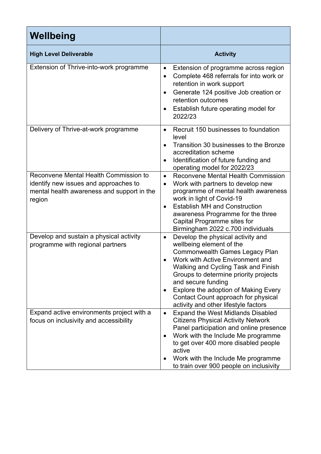| Wellbeing                                                                                                                              |                                                                                                                                                                                                                                                                                                                                                                                            |
|----------------------------------------------------------------------------------------------------------------------------------------|--------------------------------------------------------------------------------------------------------------------------------------------------------------------------------------------------------------------------------------------------------------------------------------------------------------------------------------------------------------------------------------------|
| <b>High Level Deliverable</b>                                                                                                          | <b>Activity</b>                                                                                                                                                                                                                                                                                                                                                                            |
| Extension of Thrive-into-work programme                                                                                                | Extension of programme across region<br>$\bullet$<br>Complete 468 referrals for into work or<br>$\bullet$<br>retention in work support<br>Generate 124 positive Job creation or<br>$\bullet$<br>retention outcomes<br>Establish future operating model for<br>$\bullet$<br>2022/23                                                                                                         |
| Delivery of Thrive-at-work programme                                                                                                   | Recruit 150 businesses to foundation<br>$\bullet$<br>level<br>Transition 30 businesses to the Bronze<br>accreditation scheme<br>Identification of future funding and<br>$\bullet$<br>operating model for 2022/23                                                                                                                                                                           |
| Reconvene Mental Health Commission to<br>identify new issues and approaches to<br>mental health awareness and support in the<br>region | Reconvene Mental Health Commission<br>$\bullet$<br>Work with partners to develop new<br>$\bullet$<br>programme of mental health awareness<br>work in light of Covid-19<br><b>Establish MH and Construction</b><br>$\bullet$<br>awareness Programme for the three<br>Capital Programme sites for<br>Birmingham 2022 c.700 individuals                                                       |
| Develop and sustain a physical activity<br>programme with regional partners                                                            | Develop the physical activity and<br>$\bullet$<br>wellbeing element of the<br>Commonwealth Games Legacy Plan<br>Work with Active Environment and<br>Walking and Cycling Task and Finish<br>Groups to determine priority projects<br>and secure funding<br>Explore the adoption of Making Every<br>$\bullet$<br>Contact Count approach for physical<br>activity and other lifestyle factors |
| Expand active environments project with a<br>focus on inclusivity and accessibility                                                    | Expand the West Midlands Disabled<br>$\bullet$<br><b>Citizens Physical Activity Network</b><br>Panel participation and online presence<br>Work with the Include Me programme<br>to get over 400 more disabled people<br>active<br>Work with the Include Me programme<br>to train over 900 people on inclusivity                                                                            |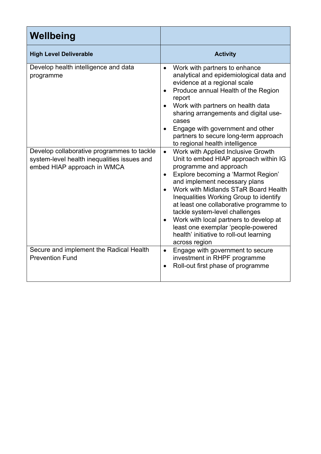| Wellbeing                                                                                                                |                                                                                                                                                                                                                                                                                                                                                                                                                                                                                                                   |
|--------------------------------------------------------------------------------------------------------------------------|-------------------------------------------------------------------------------------------------------------------------------------------------------------------------------------------------------------------------------------------------------------------------------------------------------------------------------------------------------------------------------------------------------------------------------------------------------------------------------------------------------------------|
| <b>High Level Deliverable</b>                                                                                            | <b>Activity</b>                                                                                                                                                                                                                                                                                                                                                                                                                                                                                                   |
| Develop health intelligence and data<br>programme                                                                        | Work with partners to enhance<br>$\bullet$<br>analytical and epidemiological data and<br>evidence at a regional scale<br>Produce annual Health of the Region<br>report<br>Work with partners on health data<br>$\bullet$<br>sharing arrangements and digital use-<br>cases<br>Engage with government and other<br>partners to secure long-term approach<br>to regional health intelligence                                                                                                                        |
| Develop collaborative programmes to tackle<br>system-level health inequalities issues and<br>embed HIAP approach in WMCA | Work with Applied Inclusive Growth<br>$\bullet$<br>Unit to embed HIAP approach within IG<br>programme and approach<br>Explore becoming a 'Marmot Region'<br>$\bullet$<br>and implement necessary plans<br>Work with Midlands STaR Board Health<br>Inequalities Working Group to identify<br>at least one collaborative programme to<br>tackle system-level challenges<br>Work with local partners to develop at<br>least one exemplar 'people-powered<br>health' initiative to roll-out learning<br>across region |
| Secure and implement the Radical Health<br><b>Prevention Fund</b>                                                        | Engage with government to secure<br>$\bullet$<br>investment in RHPF programme<br>Roll-out first phase of programme<br>$\bullet$                                                                                                                                                                                                                                                                                                                                                                                   |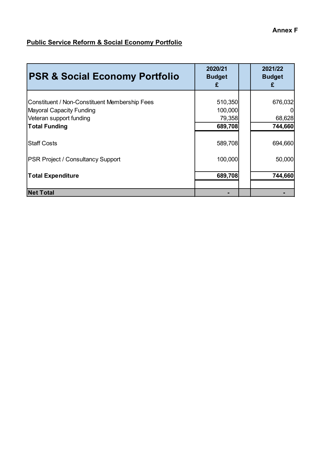### **Public Service Reform & Social Economy Portfolio**

| <b>PSR &amp; Social Economy Portfolio</b>                                                                                           | 2020/21<br><b>Budget</b><br>£           | 2021/22<br><b>Budget</b><br>£ |
|-------------------------------------------------------------------------------------------------------------------------------------|-----------------------------------------|-------------------------------|
| Constituent / Non-Constituent Membership Fees<br><b>Mayoral Capacity Funding</b><br>Veteran support funding<br><b>Total Funding</b> | 510,350<br>100,000<br>79,358<br>689,708 | 676,032<br>68,628<br>744,660  |
| <b>Staff Costs</b>                                                                                                                  | 589,708                                 | 694,660                       |
| <b>PSR Project / Consultancy Support</b>                                                                                            | 100,000                                 | 50,000                        |
| <b>Total Expenditure</b>                                                                                                            | 689,708                                 | 744,660                       |
| <b>Net Total</b>                                                                                                                    |                                         |                               |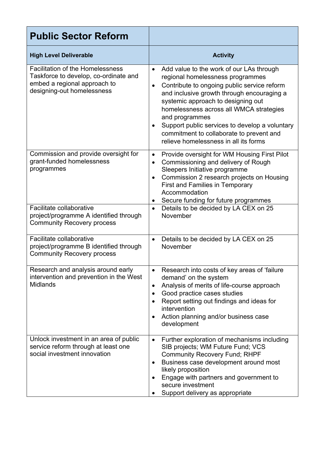| <b>Public Sector Reform</b>                                                                                                                    |                                                                                                                                                                                                                                                                                                                                                                                                                                               |
|------------------------------------------------------------------------------------------------------------------------------------------------|-----------------------------------------------------------------------------------------------------------------------------------------------------------------------------------------------------------------------------------------------------------------------------------------------------------------------------------------------------------------------------------------------------------------------------------------------|
| <b>High Level Deliverable</b>                                                                                                                  | <b>Activity</b>                                                                                                                                                                                                                                                                                                                                                                                                                               |
| <b>Facilitation of the Homelessness</b><br>Taskforce to develop, co-ordinate and<br>embed a regional approach to<br>designing-out homelessness | Add value to the work of our LAs through<br>$\bullet$<br>regional homelessness programmes<br>Contribute to ongoing public service reform<br>$\bullet$<br>and inclusive growth through encouraging a<br>systemic approach to designing out<br>homelessness across all WMCA strategies<br>and programmes<br>Support public services to develop a voluntary<br>commitment to collaborate to prevent and<br>relieve homelessness in all its forms |
| Commission and provide oversight for<br>grant-funded homelessness<br>programmes                                                                | Provide oversight for WM Housing First Pilot<br>$\bullet$<br>Commissioning and delivery of Rough<br>$\bullet$<br>Sleepers Initiative programme<br>Commission 2 research projects on Housing<br><b>First and Families in Temporary</b><br>Accommodation<br>Secure funding for future programmes                                                                                                                                                |
| Facilitate collaborative<br>project/programme A identified through<br><b>Community Recovery process</b>                                        | Details to be decided by LA CEX on 25<br>$\bullet$<br>November                                                                                                                                                                                                                                                                                                                                                                                |
| Facilitate collaborative<br>project/programme B identified through<br><b>Community Recovery process</b>                                        | Details to be decided by LA CEX on 25<br>$\bullet$<br>November                                                                                                                                                                                                                                                                                                                                                                                |
| Research and analysis around early<br>intervention and prevention in the West<br><b>Midlands</b>                                               | Research into costs of key areas of 'failure'<br>٠<br>demand' on the system<br>Analysis of merits of life-course approach<br>$\bullet$<br>Good practice cases studies<br>$\bullet$<br>Report setting out findings and ideas for<br>intervention<br>Action planning and/or business case<br>development                                                                                                                                        |
| Unlock investment in an area of public<br>service reform through at least one<br>social investment innovation                                  | Further exploration of mechanisms including<br>$\bullet$<br>SIB projects; WM Future Fund; VCS<br><b>Community Recovery Fund; RHPF</b><br>Business case development around most<br>likely proposition<br>Engage with partners and government to<br>secure investment<br>Support delivery as appropriate                                                                                                                                        |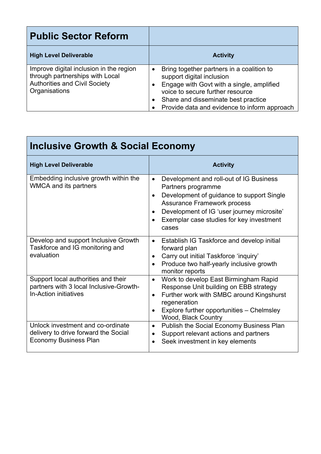| <b>Public Sector Reform</b>                                                                                                         |                                                                                                                                                                                                                                                             |
|-------------------------------------------------------------------------------------------------------------------------------------|-------------------------------------------------------------------------------------------------------------------------------------------------------------------------------------------------------------------------------------------------------------|
| <b>High Level Deliverable</b>                                                                                                       | <b>Activity</b>                                                                                                                                                                                                                                             |
| Improve digital inclusion in the region<br>through partnerships with Local<br><b>Authorities and Civil Society</b><br>Organisations | Bring together partners in a coalition to<br>support digital inclusion<br>Engage with Govt with a single, amplified<br>voice to secure further resource<br>Share and disseminate best practice<br>$\bullet$<br>Provide data and evidence to inform approach |

Г

| <b>Inclusive Growth &amp; Social Economy</b>                                                              |                                                                                                                                                                                                                                                                                                         |  |  |
|-----------------------------------------------------------------------------------------------------------|---------------------------------------------------------------------------------------------------------------------------------------------------------------------------------------------------------------------------------------------------------------------------------------------------------|--|--|
| <b>High Level Deliverable</b>                                                                             | <b>Activity</b>                                                                                                                                                                                                                                                                                         |  |  |
| Embedding inclusive growth within the<br><b>WMCA and its partners</b>                                     | Development and roll-out of IG Business<br>$\bullet$<br>Partners programme<br>Development of guidance to support Single<br>$\bullet$<br><b>Assurance Framework process</b><br>Development of IG 'user journey microsite'<br>$\bullet$<br>Exemplar case studies for key investment<br>$\bullet$<br>cases |  |  |
| Develop and support Inclusive Growth<br>Taskforce and IG monitoring and<br>evaluation                     | Establish IG Taskforce and develop initial<br>$\bullet$<br>forward plan<br>Carry out initial Taskforce 'inquiry'<br>$\bullet$<br>Produce two half-yearly inclusive growth<br>monitor reports                                                                                                            |  |  |
| Support local authorities and their<br>partners with 3 local Inclusive-Growth-<br>In-Action initiatives   | Work to develop East Birmingham Rapid<br>$\bullet$<br>Response Unit building on EBB strategy<br>Further work with SMBC around Kingshurst<br>$\bullet$<br>regeneration<br>Explore further opportunities - Chelmsley<br>$\bullet$<br>Wood, Black Country                                                  |  |  |
| Unlock investment and co-ordinate<br>delivery to drive forward the Social<br><b>Economy Business Plan</b> | Publish the Social Economy Business Plan<br>$\bullet$<br>Support relevant actions and partners<br>Seek investment in key elements                                                                                                                                                                       |  |  |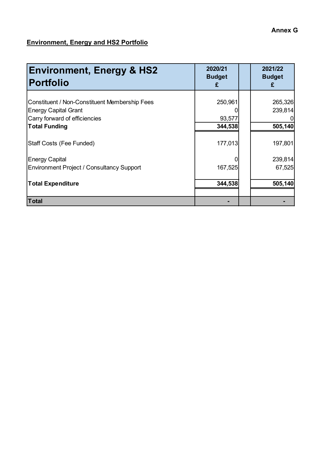### **Environment, Energy and HS2 Portfolio**

| <b>Environment, Energy &amp; HS2</b><br><b>Portfolio</b>                                                                                     | 2020/21<br><b>Budget</b><br>£ | 2021/22<br><b>Budget</b><br>£ |
|----------------------------------------------------------------------------------------------------------------------------------------------|-------------------------------|-------------------------------|
| <b>Constituent / Non-Constituent Membership Fees</b><br><b>Energy Capital Grant</b><br>Carry forward of efficiencies<br><b>Total Funding</b> | 250,961<br>93,577<br>344,538  | 265,326<br>239,814<br>505,140 |
| Staff Costs (Fee Funded)                                                                                                                     | 177,013                       | 197,801                       |
| <b>Energy Capital</b><br><b>Environment Project / Consultancy Support</b><br><b>Total Expenditure</b>                                        | 167,525<br>344,538            | 239,814<br>67,525<br>505,140  |
| <b>Total</b>                                                                                                                                 |                               |                               |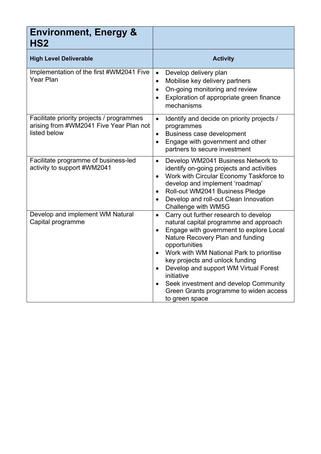| <b>Environment, Energy &amp;</b><br>HS <sub>2</sub>                                                  |                                                                                                                                                                                                                                                                                                                                                                                                                                                                   |
|------------------------------------------------------------------------------------------------------|-------------------------------------------------------------------------------------------------------------------------------------------------------------------------------------------------------------------------------------------------------------------------------------------------------------------------------------------------------------------------------------------------------------------------------------------------------------------|
| <b>High Level Deliverable</b>                                                                        | <b>Activity</b>                                                                                                                                                                                                                                                                                                                                                                                                                                                   |
| Implementation of the first #WM2041 Five<br>Year Plan                                                | Develop delivery plan<br>$\bullet$<br>Mobilise key delivery partners<br>$\bullet$<br>On-going monitoring and review<br>$\bullet$<br>Exploration of appropriate green finance<br>$\bullet$<br>mechanisms                                                                                                                                                                                                                                                           |
| Facilitate priority projects / programmes<br>arising from #WM2041 Five Year Plan not<br>listed below | Identify and decide on priority projects /<br>$\bullet$<br>programmes<br>Business case development<br>$\bullet$<br>Engage with government and other<br>$\bullet$<br>partners to secure investment                                                                                                                                                                                                                                                                 |
| Facilitate programme of business-led<br>activity to support #WM2041                                  | Develop WM2041 Business Network to<br>$\bullet$<br>identify on-going projects and activities<br>Work with Circular Economy Taskforce to<br>$\bullet$<br>develop and implement 'roadmap'<br>Roll-out WM2041 Business Pledge<br>$\bullet$<br>Develop and roll-out Clean Innovation<br>$\bullet$<br>Challenge with WM5G                                                                                                                                              |
| Develop and implement WM Natural<br>Capital programme                                                | Carry out further research to develop<br>$\bullet$<br>natural capital programme and approach<br>Engage with government to explore Local<br>$\bullet$<br>Nature Recovery Plan and funding<br>opportunities<br>Work with WM National Park to prioritise<br>$\bullet$<br>key projects and unlock funding<br>Develop and support WM Virtual Forest<br>initiative<br>Seek investment and develop Community<br>Green Grants programme to widen access<br>to green space |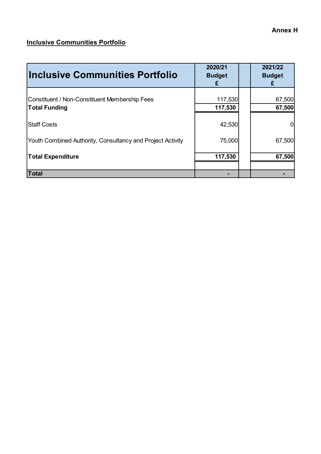#### **Annex H**

#### **Inclusive Communities Portfolio**

| Inclusive Communities Portfolio                                              | 2020/21<br><b>Budget</b><br>£ | 2021/22<br><b>Budget</b><br>£ |
|------------------------------------------------------------------------------|-------------------------------|-------------------------------|
| <b>Constituent / Non-Constituent Membership Fees</b><br><b>Total Funding</b> | 117,530<br>117,530            | 67,500<br>67,500              |
| <b>Staff Costs</b>                                                           | 42,530                        |                               |
| Youth Combined Authority, Consultancy and Project Activity                   | 75,000                        | 67,500                        |
| <b>Total Expenditure</b>                                                     | 117,530                       | 67,500                        |
| Total                                                                        |                               |                               |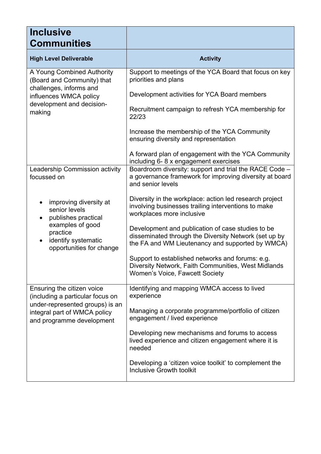| <b>Inclusive</b><br><b>Communities</b>                                                            |                                                                                                                                                                |
|---------------------------------------------------------------------------------------------------|----------------------------------------------------------------------------------------------------------------------------------------------------------------|
| <b>High Level Deliverable</b>                                                                     | <b>Activity</b>                                                                                                                                                |
| A Young Combined Authority<br>(Board and Community) that                                          | Support to meetings of the YCA Board that focus on key<br>priorities and plans                                                                                 |
| challenges, informs and<br>influences WMCA policy                                                 | Development activities for YCA Board members                                                                                                                   |
| development and decision-<br>making                                                               | Recruitment campaign to refresh YCA membership for<br>22/23                                                                                                    |
|                                                                                                   | Increase the membership of the YCA Community<br>ensuring diversity and representation                                                                          |
|                                                                                                   | A forward plan of engagement with the YCA Community<br>including 6-8 x engagement exercises                                                                    |
| Leadership Commission activity<br>focussed on                                                     | Boardroom diversity: support and trial the RACE Code -<br>a governance framework for improving diversity at board<br>and senior levels                         |
| improving diversity at<br>senior levels<br>publishes practical<br>$\bullet$                       | Diversity in the workplace: action led research project<br>involving businesses trailing interventions to make<br>workplaces more inclusive                    |
| examples of good<br>practice<br>identify systematic<br>$\bullet$<br>opportunities for change      | Development and publication of case studies to be<br>disseminated through the Diversity Network (set up by<br>the FA and WM Lieutenancy and supported by WMCA) |
|                                                                                                   | Support to established networks and forums: e.g.<br>Diversity Network, Faith Communities, West Midlands<br>Women's Voice, Fawcett Society                      |
| Ensuring the citizen voice<br>(including a particular focus on<br>under-represented groups) is an | Identifying and mapping WMCA access to lived<br>experience                                                                                                     |
| integral part of WMCA policy<br>and programme development                                         | Managing a corporate programme/portfolio of citizen<br>engagement / lived experience                                                                           |
|                                                                                                   | Developing new mechanisms and forums to access<br>lived experience and citizen engagement where it is<br>needed                                                |
|                                                                                                   | Developing a 'citizen voice toolkit' to complement the<br><b>Inclusive Growth toolkit</b>                                                                      |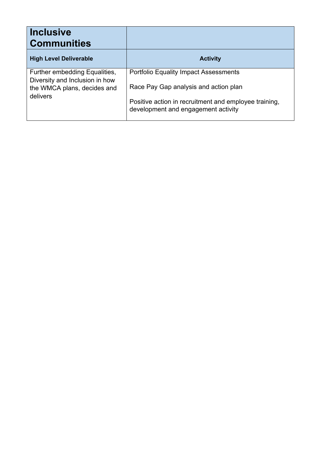| <b>Inclusive</b><br><b>Communities</b>                                                                     |                                                                                              |
|------------------------------------------------------------------------------------------------------------|----------------------------------------------------------------------------------------------|
| <b>High Level Deliverable</b>                                                                              | <b>Activity</b>                                                                              |
| Further embedding Equalities,<br>Diversity and Inclusion in how<br>the WMCA plans, decides and<br>delivers | <b>Portfolio Equality Impact Assessments</b><br>Race Pay Gap analysis and action plan        |
|                                                                                                            | Positive action in recruitment and employee training,<br>development and engagement activity |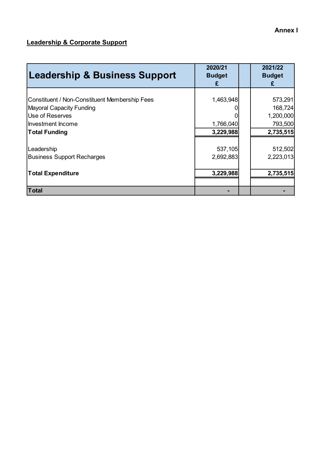### **Leadership & Corporate Support**

| <b>Leadership &amp; Business Support</b>             | 2020/21<br><b>Budget</b><br>£ | 2021/22<br><b>Budget</b><br>£ |
|------------------------------------------------------|-------------------------------|-------------------------------|
| <b>Constituent / Non-Constituent Membership Fees</b> | 1,463,948                     | 573,291                       |
| <b>Mayoral Capacity Funding</b>                      |                               | 168,724                       |
| Use of Reserves                                      |                               | 1,200,000                     |
| Investment Income                                    | 1,766,040                     | 793,500                       |
| <b>Total Funding</b>                                 | 3,229,988                     | 2,735,515                     |
| Leadership                                           | 537,105                       | 512,502                       |
| <b>Business Support Recharges</b>                    | 2,692,883                     | 2,223,013                     |
| <b>Total Expenditure</b>                             | 3,229,988                     | 2,735,515                     |
| <b>Total</b>                                         |                               |                               |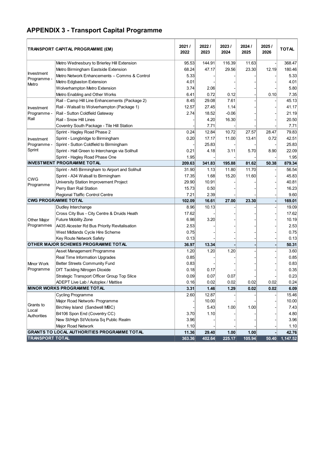# **APPENDIX 3 - Transport Capital Programme**

|                           | TRANSPORT CAPITAL PROGRAMME (£M)                   | 2021/<br>2022 | 2022/<br>2023 | 2023/<br>2024 | 2024 /<br>2025 | 2025/<br>2026 | <b>TOTAL</b> |
|---------------------------|----------------------------------------------------|---------------|---------------|---------------|----------------|---------------|--------------|
|                           | Metro Wednesbury to Brierley Hill Extension        | 95.53         | 144.91        | 116.39        | 11.63          |               | 368.47       |
|                           | Metro Birmingham Eastside Extension                | 68.24         | 47.17         | 29.56         | 23.30          | 12.19         | 180.46       |
| Investment<br>Programme - | Metro Network Enhancements - Comms & Control       | 5.33          |               |               |                |               | 5.33         |
| Metro                     | Metro Edgbaston Extension                          | 4.01          |               |               |                |               | 4.01         |
|                           | Wolverhampton Metro Extension                      | 3.74          | 2.06          |               |                |               | 5.80         |
|                           | Metro Enabling and Other Works                     | 6.41          | 0.72          | 0.12          |                | 0.10          | 7.35         |
|                           | Rail - Camp Hill Line Enhancements (Package 2)     | 8.45          | 29.08         | 7.61          |                |               | 45.13        |
| Investment                | Rail - Walsall to Wolverhampton (Package 1)        | 12.57         | 27.45         | 1.14          |                |               | 41.17        |
| Programme -               | Rail - Sutton Coldfield Gateway                    | 2.74          | 18.52         | $-0.06$       |                |               | 21.19        |
| Rail                      | Rail - Snow Hill Lines                             |               | 4.20          | 16.30         |                |               | 20.50        |
|                           | Coventry South Package - Tile Hill Station         |               | 7.71          |               |                |               | 7.71         |
|                           | Sprint - Hagley Road Phase 2                       | 0.24          | 12.84         | 10.72         | 27.57          | 28.47         | 79.83        |
| Investment                | Sprint - Longbridge to Birmingham                  | 0.20          | 17.17         | 11.00         | 13.41          | 0.72          | 42.51        |
| Programme -               | Sprint - Sutton Coldfield to Birmingham            |               | 25.83         |               |                |               | 25.83        |
| Sprint                    | Sprint - Hall Green to Interchange via Solihull    | 0.21          | 4.18          | 3.11          | 5.70           | 8.90          | 22.09        |
|                           | Sprint - Hagley Road Phase One                     | 1.95          |               |               |                |               | 1.95         |
|                           | <b>INVESTMENT PROGRAMME TOTAL</b>                  | 209.63        | 341.83        | 195.88        | 81.62          | 50.38         | 879.34       |
|                           | Sprint - A45 Birmingham to Airport and Solihull    | 31.90         | 1.13          | 11.80         | 11.70          |               | 56.54        |
|                           | Sprint - A34 Walsall to Birmingham                 | 17.35         | 1.68          | 15.20         | 11.60          |               | 45.83        |
| <b>CWG</b><br>Programme   | University Station Improvement Project             | 29.90         | 10.91         |               |                |               | 40.81        |
|                           | Perry Barr Rail Station                            | 15.73         | 0.50          |               |                |               | 16.23        |
|                           | Regional Ttaffic Control Centre                    | 7.21          | 2.39          |               |                |               | 9.60         |
|                           | <b>CWG PROGRAMME TOTAL</b>                         | 102.09        | 16.61         | 27.00         | 23.30          |               | 169.01       |
|                           | Dudley Interchange                                 | 8.96          | 10.13         |               |                |               | 19.09        |
|                           | Cross City Bus - City Centre & Druids Heath        | 17.62         |               |               |                |               | 17.62        |
| <b>Other Major</b>        | <b>Future Mobility Zone</b>                        | 6.98          | 3.20          |               |                |               | 10.19        |
| Programmes                | A435 Alcester Rd Bus Priority Revitalisation       | 2.53          |               |               |                |               | 2.53         |
|                           | West Midlands Cycle Hire Scheme                    | 0.75          |               |               |                |               | 0.75         |
|                           | Key Route Network Safety                           | 0.13          |               |               |                |               | 0.13         |
|                           | OTHER MAJOR SCHEMES PROGRAMME TOTAL                | 36.97         | 13.34         |               |                |               | 50.31        |
|                           | Asset Management Programme                         | 1.20          | 1.20          | 1.20          |                |               | 3.60         |
|                           | Real Time Information Upgrades                     | 0.85          |               |               |                |               | 0.85         |
| Minor Work                | Better Streets Community Fund                      | 0.83          |               |               |                |               | 0.83         |
| Programme                 | <b>DfT Tackling Nitrogen Dioxide</b>               | 0.18          | 0.17          |               |                |               | 0.35         |
|                           | Strategic Transport Officer Group Top Slice        | 0.09          | 0.07          | 0.07          |                |               | 0.23         |
|                           | ADEPT Live Lab / Autoplex / Mattise                | 0.16          | 0.02          | 0.02          | 0.02           | 0.02          | 0.24         |
|                           | <b>MINOR WORKS PROGRAMME TOTAL</b>                 | 3.31          | 1.46          | 1.29          | 0.02           | 0.02          | 6.09         |
|                           | Cycling Programme                                  | 2.60          | 12.87         |               |                |               | 15.46        |
|                           | Major Road Network- Programme                      |               | 10.00         |               |                |               | 10.00        |
| Grants to                 | Birchley Island (Sandwell MBC)                     |               | 5.43          | 1.00          | 1.00           |               | 7.43         |
| Local<br>Authorities      | B4106 Spon End (Coventry CC)                       | 3.70          | 1.10          |               |                |               | 4.80         |
|                           | New St/High St/Victoria Sq Public Realm            | 3.96          |               |               |                |               | 3.96         |
|                           | Major Road Network                                 | 1.10          |               |               |                |               | 1.10         |
|                           | <b>GRANTS TO LOCAL AUTHORITIES PROGRAMME TOTAL</b> | 11.36         | 29.40         | 1.00          | 1.00           |               | 42.76        |
| <b>TRANSPORT TOTAL</b>    |                                                    | 363.36        | 402.64        | 225.17        | 105.94         | 50.40         | 1,147.52     |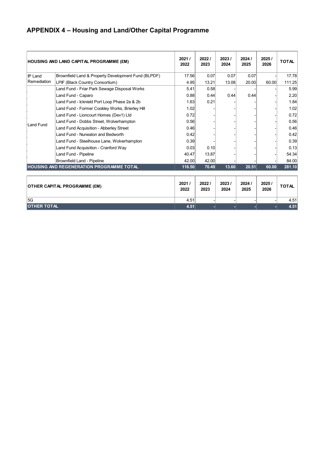# **APPENDIX 4 – Housing and Land/Other Capital Programme**

|                  | <b>HOUSING AND LAND CAPITAL PROGRAMME (£M)</b>      | 2021/<br>2022 | 2022/<br>2023 | 2023/<br>2024 | 2024/<br>2025 | 2025/<br>2026 | <b>TOTAL</b> |
|------------------|-----------------------------------------------------|---------------|---------------|---------------|---------------|---------------|--------------|
| <b>IP Land</b>   | Brownfield Land & Property Development Fund (BLPDF) | 17.56         | 0.07          | 0.07          | 0.07          |               | 17.78        |
| Remediation      | LPIF (Black Country Consortium)                     | 4.95          | 13.21         | 13.08         | 20.00         | 60.00         | 111.25       |
|                  | Land Fund - Friar Park Sewage Disposal Works        | 5.41          | 0.58          |               |               |               | 5.99         |
|                  | Land Fund - Caparo                                  | 0.88          | 0.44          | 0.44          | 0.44          |               | 2.20         |
|                  | Land Fund - Icknield Port Loop Phase 2a & 2b        | 1.63          | 0.21          |               |               |               | 1.84         |
|                  | Land Fund - Former Cookley Works, Brierley Hill     | 1.02          |               |               |               |               | 1.02         |
|                  | Land Fund - Lioncourt Homes (Dev1) Ltd              | 0.72          |               |               |               |               | 0.72         |
| <b>Land Fund</b> | Land Fund - Dobbs Street, Wolverhampton             | 0.56          |               |               |               |               | 0.56         |
|                  | Land Fund Acquisition - Abberley Street             | 0.46          |               |               |               |               | 0.46         |
|                  | Land Fund - Nuneaton and Bedworth                   | 0.42          |               |               |               |               | 0.42         |
|                  | Land Fund - Steelhouse Lane, Wolverhampton          | 0.39          |               |               |               |               | 0.39         |
|                  | Land Fund Acquisition - Cranford Way                | 0.03          | 0.10          |               |               |               | 0.13         |
|                  | Land Fund - Pipeline                                | 40.47         | 13.87         |               |               |               | 54.34        |
|                  | Brownfield Land - Pipeline                          | 42.00         | 42.00         |               |               |               | 84.00        |
|                  | <b>HOUSING AND REGENERATION PROGRAMME TOTAL</b>     | 116.50        | 70.49         | 13.60         | 20.51         | 60.00         | 281.10       |

| <b>OTHER CAPITAL PROGRAMME (£M)</b> | 2021<br>2022 | 2022<br>2023 | 2023/<br>2024 | 2024/<br>2025 | 2025/<br>2026 | TOTAL |
|-------------------------------------|--------------|--------------|---------------|---------------|---------------|-------|
| 5G                                  | 4.51         |              |               |               |               | 4.51  |
| <b>OTHER TOTAL</b>                  | 4.51         |              |               |               |               | 4.51  |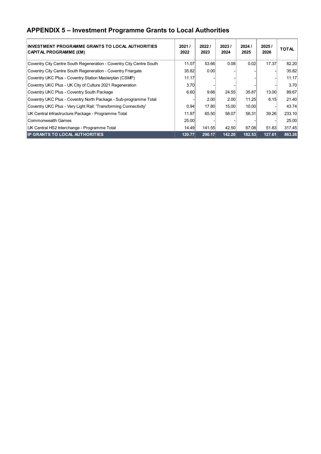## **APPENDIX 5 – Investment Programme Grants to Local Authorities**

| INVESTMENT PROGRAMME GRANTS TO LOCAL AUTHORITIES<br>CAPITAL PROGRAMME (£M) | 2021/<br>2022 | 2022/<br>2023 | 2023/<br>2024 | 2024/<br>2025 | 2025/<br>2026 | <b>TOTAL</b> |
|----------------------------------------------------------------------------|---------------|---------------|---------------|---------------|---------------|--------------|
| Coventry City Centre South Regeneration - Coventry City Centre South       | 11.07         | 53.66         | 0.08          | 0.02          | 17.37         | 82.20        |
| Coventry City Centre South Regeneration - Coventry Friargate               | 35.82         | 0.00          |               |               |               | 35.82        |
| Coventry UKC Plus - Coventry Station Masterplan (CSMP)                     | 11.17         |               |               |               |               | 11.17        |
| Coventry UKC Plus - UK City of Culture 2021 Regeneration                   | 3.70          |               |               |               |               | 3.70         |
| Coventry UKC Plus - Coventry South Package                                 | 6.60          | 9.66          | 24.55         | 35.87         | 13.00         | 89.67        |
| Coventry UKC Plus - Coventry North Package - Sub-programme Total           |               | 2.00          | 2.00          | 11.25         | 6.15          | 21.40        |
| Coventry UKC Plus - Very Light Rail: 'Transforming Connectivity'           | 0.94          | 17.80         | 15.00         | 10.00         |               | 43.74        |
| UK Central Infrastructure Package - Programme Total                        | 11.97         | 65.50         | 58.07         | 58.31         | 39.26         | 233.10       |
| Commonwealth Games                                                         | 25.00         |               |               |               |               | 25.00        |
| UK Central HS2 Interchange - Programme Total                               | 14.49         | 141.55        | 42.50         | 67.08         | 51.83         | 317.45       |
| <b>IP GRANTS TO LOCAL AUTHORITIES</b>                                      | 120.77        | 290.17        | 142.20        | 182.53        | 127.61        | 863.26       |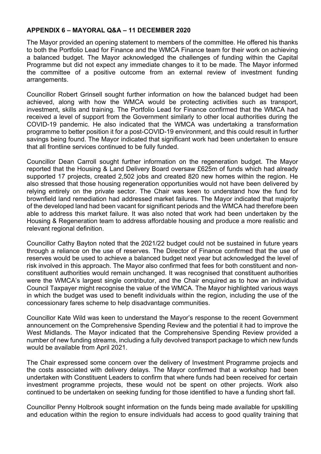#### **APPENDIX 6 – MAYORAL Q&A – 11 DECEMBER 2020**

The Mayor provided an opening statement to members of the committee. He offered his thanks to both the Portfolio Lead for Finance and the WMCA Finance team for their work on achieving a balanced budget. The Mayor acknowledged the challenges of funding within the Capital Programme but did not expect any immediate changes to it to be made. The Mayor informed the committee of a positive outcome from an external review of investment funding arrangements.

Councillor Robert Grinsell sought further information on how the balanced budget had been achieved, along with how the WMCA would be protecting activities such as transport, investment, skills and training. The Portfolio Lead for Finance confirmed that the WMCA had received a level of support from the Government similarly to other local authorities during the COVID-19 pandemic. He also indicated that the WMCA was undertaking a transformation programme to better position it for a post-COVID-19 environment, and this could result in further savings being found. The Mayor indicated that significant work had been undertaken to ensure that all frontline services continued to be fully funded.

Councillor Dean Carroll sought further information on the regeneration budget. The Mayor reported that the Housing & Land Delivery Board oversaw £625m of funds which had already supported 17 projects, created 2,502 jobs and created 820 new homes within the region. He also stressed that those housing regeneration opportunities would not have been delivered by relying entirely on the private sector. The Chair was keen to understand how the fund for brownfield land remediation had addressed market failures. The Mayor indicated that majority of the developed land had been vacant for significant periods and the WMCA had therefore been able to address this market failure. It was also noted that work had been undertaken by the Housing & Regeneration team to address affordable housing and produce a more realistic and relevant regional definition.

Councillor Cathy Bayton noted that the 2021/22 budget could not be sustained in future years through a reliance on the use of reserves. The Director of Finance confirmed that the use of reserves would be used to achieve a balanced budget next year but acknowledged the level of risk involved in this approach. The Mayor also confirmed that fees for both constituent and nonconstituent authorities would remain unchanged. It was recognised that constituent authorities were the WMCA's largest single contributor, and the Chair enquired as to how an individual Council Taxpayer might recognise the value of the WMCA. The Mayor highlighted various ways in which the budget was used to benefit individuals within the region, including the use of the concessionary fares scheme to help disadvantage communities.

Councillor Kate Wild was keen to understand the Mayor's response to the recent Government announcement on the Comprehensive Spending Review and the potential it had to improve the West Midlands. The Mayor indicated that the Comprehensive Spending Review provided a number of new funding streams, including a fully devolved transport package to which new funds would be available from April 2021.

The Chair expressed some concern over the delivery of Investment Programme projects and the costs associated with delivery delays. The Mayor confirmed that a workshop had been undertaken with Constituent Leaders to confirm that where funds had been received for certain investment programme projects, these would not be spent on other projects. Work also continued to be undertaken on seeking funding for those identified to have a funding short fall.

Councillor Penny Holbrook sought information on the funds being made available for upskilling and education within the region to ensure individuals had access to good quality training that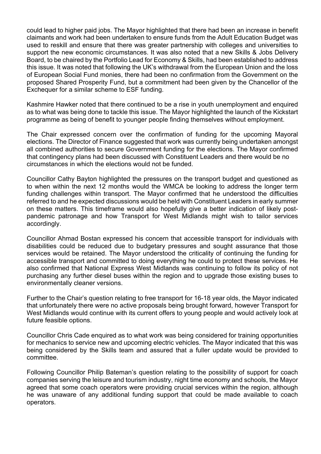could lead to higher paid jobs. The Mayor highlighted that there had been an increase in benefit claimants and work had been undertaken to ensure funds from the Adult Education Budget was used to reskill and ensure that there was greater partnership with colleges and universities to support the new economic circumstances. It was also noted that a new Skills & Jobs Delivery Board, to be chaired by the Portfolio Lead for Economy & Skills, had been established to address this issue. It was noted that following the UK's withdrawal from the European Union and the loss of European Social Fund monies, there had been no confirmation from the Government on the proposed Shared Prosperity Fund, but a commitment had been given by the Chancellor of the Exchequer for a similar scheme to ESF funding.

Kashmire Hawker noted that there continued to be a rise in youth unemployment and enquired as to what was being done to tackle this issue. The Mayor highlighted the launch of the Kickstart programme as being of benefit to younger people finding themselves without employment.

The Chair expressed concern over the confirmation of funding for the upcoming Mayoral elections. The Director of Finance suggested that work was currently being undertaken amongst all combined authorities to secure Government funding for the elections. The Mayor confirmed that contingency plans had been discussed with Constituent Leaders and there would be no circumstances in which the elections would not be funded.

Councillor Cathy Bayton highlighted the pressures on the transport budget and questioned as to when within the next 12 months would the WMCA be looking to address the longer term funding challenges within transport. The Mayor confirmed that he understood the difficulties referred to and he expected discussions would be held with Constituent Leaders in early summer on these matters. This timeframe would also hopefully give a better indication of likely postpandemic patronage and how Transport for West Midlands might wish to tailor services accordingly.

Councillor Ahmad Bostan expressed his concern that accessible transport for individuals with disabilities could be reduced due to budgetary pressures and sought assurance that those services would be retained. The Mayor understood the criticality of continuing the funding for accessible transport and committed to doing everything he could to protect these services. He also confirmed that National Express West Midlands was continuing to follow its policy of not purchasing any further diesel buses within the region and to upgrade those existing buses to environmentally cleaner versions.

Further to the Chair's question relating to free transport for 16-18 year olds, the Mayor indicated that unfortunately there were no active proposals being brought forward, however Transport for West Midlands would continue with its current offers to young people and would actively look at future feasible options.

Councillor Chris Cade enquired as to what work was being considered for training opportunities for mechanics to service new and upcoming electric vehicles. The Mayor indicated that this was being considered by the Skills team and assured that a fuller update would be provided to committee.

Following Councillor Philip Bateman's question relating to the possibility of support for coach companies serving the leisure and tourism industry, night time economy and schools, the Mayor agreed that some coach operators were providing crucial services within the region, although he was unaware of any additional funding support that could be made available to coach operators.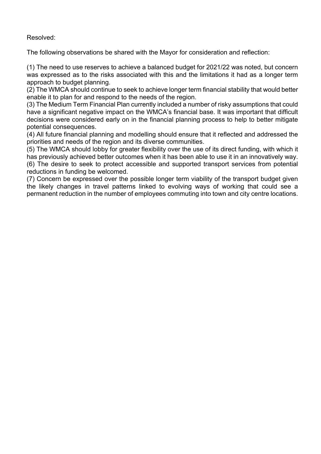Resolved:

The following observations be shared with the Mayor for consideration and reflection:

(1) The need to use reserves to achieve a balanced budget for 2021/22 was noted, but concern was expressed as to the risks associated with this and the limitations it had as a longer term approach to budget planning.

(2) The WMCA should continue to seek to achieve longer term financial stability that would better enable it to plan for and respond to the needs of the region.

(3) The Medium Term Financial Plan currently included a number of risky assumptions that could have a significant negative impact on the WMCA's financial base. It was important that difficult decisions were considered early on in the financial planning process to help to better mitigate potential consequences.

(4) All future financial planning and modelling should ensure that it reflected and addressed the priorities and needs of the region and its diverse communities.

(5) The WMCA should lobby for greater flexibility over the use of its direct funding, with which it has previously achieved better outcomes when it has been able to use it in an innovatively way. (6) The desire to seek to protect accessible and supported transport services from potential reductions in funding be welcomed.

(7) Concern be expressed over the possible longer term viability of the transport budget given the likely changes in travel patterns linked to evolving ways of working that could see a permanent reduction in the number of employees commuting into town and city centre locations.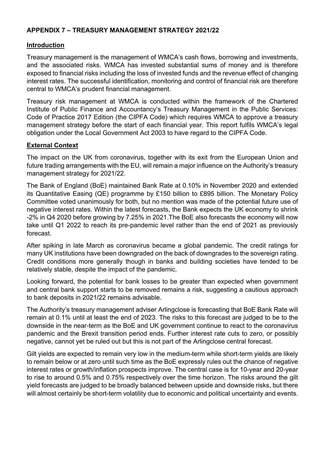# **APPENDIX 7 – TREASURY MANAGEMENT STRATEGY 2021/22**

#### **Introduction**

Treasury management is the management of WMCA's cash flows, borrowing and investments, and the associated risks. WMCA has invested substantial sums of money and is therefore exposed to financial risks including the loss of invested funds and the revenue effect of changing interest rates. The successful identification, monitoring and control of financial risk are therefore central to WMCA's prudent financial management.

Treasury risk management at WMCA is conducted within the framework of the Chartered Institute of Public Finance and Accountancy's Treasury Management in the Public Services: Code of Practice 2017 Edition (the CIPFA Code) which requires WMCA to approve a treasury management strategy before the start of each financial year. This report fulfils WMCA's legal obligation under the Local Government Act 2003 to have regard to the CIPFA Code.

# **External Context**

The impact on the UK from coronavirus, together with its exit from the European Union and future trading arrangements with the EU, will remain a major influence on the Authority's treasury management strategy for 2021/22.

The Bank of England (BoE) maintained Bank Rate at 0.10% in November 2020 and extended its Quantitative Easing (QE) programme by £150 billion to £895 billion. The Monetary Policy Committee voted unanimously for both, but no mention was made of the potential future use of negative interest rates. Within the latest forecasts, the Bank expects the UK economy to shrink -2% in Q4 2020 before growing by 7.25% in 2021.The BoE also forecasts the economy will now take until Q1 2022 to reach its pre-pandemic level rather than the end of 2021 as previously forecast.

After spiking in late March as coronavirus became a global pandemic. The credit ratings for many UK institutions have been downgraded on the back of downgrades to the sovereign rating. Credit conditions more generally though in banks and building societies have tended to be relatively stable, despite the impact of the pandemic.

Looking forward, the potential for bank losses to be greater than expected when government and central bank support starts to be removed remains a risk, suggesting a cautious approach to bank deposits in 2021/22 remains advisable.

The Authority's treasury management adviser Arlingclose is forecasting that BoE Bank Rate will remain at 0.1% until at least the end of 2023. The risks to this forecast are judged to be to the downside in the near-term as the BoE and UK government continue to react to the coronavirus pandemic and the Brexit transition period ends. Further interest rate cuts to zero, or possibly negative, cannot yet be ruled out but this is not part of the Arlingclose central forecast.

Gilt yields are expected to remain very low in the medium-term while short-term yields are likely to remain below or at zero until such time as the BoE expressly rules out the chance of negative interest rates or growth/inflation prospects improve. The central case is for 10-year and 20-year to rise to around 0.5% and 0.75% respectively over the time horizon. The risks around the gilt yield forecasts are judged to be broadly balanced between upside and downside risks, but there will almost certainly be short-term volatility due to economic and political uncertainty and events.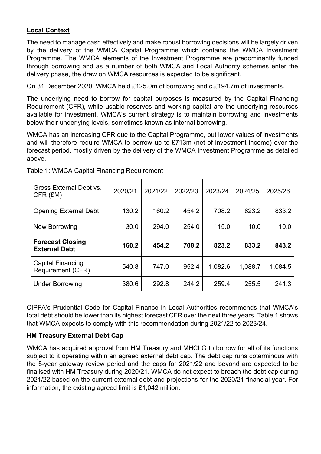# **Local Context**

The need to manage cash effectively and make robust borrowing decisions will be largely driven by the delivery of the WMCA Capital Programme which contains the WMCA Investment Programme. The WMCA elements of the Investment Programme are predominantly funded through borrowing and as a number of both WMCA and Local Authority schemes enter the delivery phase, the draw on WMCA resources is expected to be significant.

On 31 December 2020, WMCA held £125.0m of borrowing and c.£194.7m of investments.

The underlying need to borrow for capital purposes is measured by the Capital Financing Requirement (CFR), while usable reserves and working capital are the underlying resources available for investment. WMCA's current strategy is to maintain borrowing and investments below their underlying levels, sometimes known as internal borrowing.

WMCA has an increasing CFR due to the Capital Programme, but lower values of investments and will therefore require WMCA to borrow up to £713m (net of investment income) over the forecast period, mostly driven by the delivery of the WMCA Investment Programme as detailed above.

| Gross External Debt vs.<br>CFR (£M)             | 2020/21 | 2021/22 | 2022/23 | 2023/24 | 2024/25 | 2025/26 |
|-------------------------------------------------|---------|---------|---------|---------|---------|---------|
| <b>Opening External Debt</b>                    | 130.2   | 160.2   | 454.2   | 708.2   | 823.2   | 833.2   |
| New Borrowing                                   | 30.0    | 294.0   | 254.0   | 115.0   | 10.0    | 10.0    |
| <b>Forecast Closing</b><br><b>External Debt</b> | 160.2   | 454.2   | 708.2   | 823.2   | 833.2   | 843.2   |
| <b>Capital Financing</b><br>Requirement (CFR)   | 540.8   | 747.0   | 952.4   | 1,082.6 | 1,088.7 | 1,084.5 |
| <b>Under Borrowing</b>                          | 380.6   | 292.8   | 244.2   | 259.4   | 255.5   | 241.3   |

Table 1: WMCA Capital Financing Requirement

CIPFA's Prudential Code for Capital Finance in Local Authorities recommends that WMCA's total debt should be lower than its highest forecast CFR over the next three years. Table 1 shows that WMCA expects to comply with this recommendation during 2021/22 to 2023/24.

# **HM Treasury External Debt Cap**

WMCA has acquired approval from HM Treasury and MHCLG to borrow for all of its functions subject to it operating within an agreed external debt cap. The debt cap runs coterminous with the 5-year gateway review period and the caps for 2021/22 and beyond are expected to be finalised with HM Treasury during 2020/21. WMCA do not expect to breach the debt cap during 2021/22 based on the current external debt and projections for the 2020/21 financial year. For information, the existing agreed limit is £1,042 million.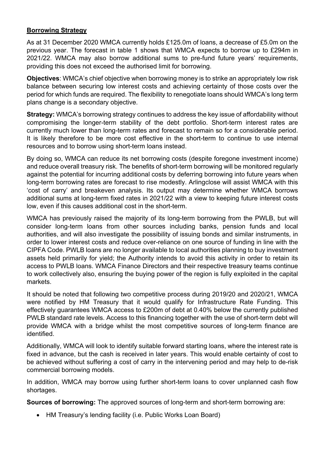# **Borrowing Strategy**

As at 31 December 2020 WMCA currently holds £125.0m of loans, a decrease of £5.0m on the previous year. The forecast in table 1 shows that WMCA expects to borrow up to £294m in 2021/22. WMCA may also borrow additional sums to pre-fund future years' requirements, providing this does not exceed the authorised limit for borrowing.

**Objectives**: WMCA's chief objective when borrowing money is to strike an appropriately low risk balance between securing low interest costs and achieving certainty of those costs over the period for which funds are required. The flexibility to renegotiate loans should WMCA's long term plans change is a secondary objective.

**Strategy:** WMCA's borrowing strategy continues to address the key issue of affordability without compromising the longer-term stability of the debt portfolio. Short-term interest rates are currently much lower than long-term rates and forecast to remain so for a considerable period. It is likely therefore to be more cost effective in the short-term to continue to use internal resources and to borrow using short-term loans instead.

By doing so, WMCA can reduce its net borrowing costs (despite foregone investment income) and reduce overall treasury risk. The benefits of short-term borrowing will be monitored regularly against the potential for incurring additional costs by deferring borrowing into future years when long-term borrowing rates are forecast to rise modestly. Arlingclose will assist WMCA with this 'cost of carry' and breakeven analysis. Its output may determine whether WMCA borrows additional sums at long-term fixed rates in 2021/22 with a view to keeping future interest costs low, even if this causes additional cost in the short-term.

WMCA has previously raised the majority of its long-term borrowing from the PWLB, but will consider long-term loans from other sources including banks, pension funds and local authorities, and will also investigate the possibility of issuing bonds and similar instruments, in order to lower interest costs and reduce over-reliance on one source of funding in line with the CIPFA Code. PWLB loans are no longer available to local authorities planning to buy investment assets held primarily for yield; the Authority intends to avoid this activity in order to retain its access to PWLB loans. WMCA Finance Directors and their respective treasury teams continue to work collectively also, ensuring the buying power of the region is fully exploited in the capital markets.

It should be noted that following two competitive process during 2019/20 and 2020/21, WMCA were notified by HM Treasury that it would qualify for Infrastructure Rate Funding. This effectively guarantees WMCA access to £200m of debt at 0.40% below the currently published PWLB standard rate levels. Access to this financing together with the use of short-term debt will provide WMCA with a bridge whilst the most competitive sources of long-term finance are identified.

Additionally, WMCA will look to identify suitable forward starting loans, where the interest rate is fixed in advance, but the cash is received in later years. This would enable certainty of cost to be achieved without suffering a cost of carry in the intervening period and may help to de-risk commercial borrowing models.

In addition, WMCA may borrow using further short-term loans to cover unplanned cash flow shortages.

**Sources of borrowing:** The approved sources of long-term and short-term borrowing are:

• HM Treasury's lending facility (i.e. Public Works Loan Board)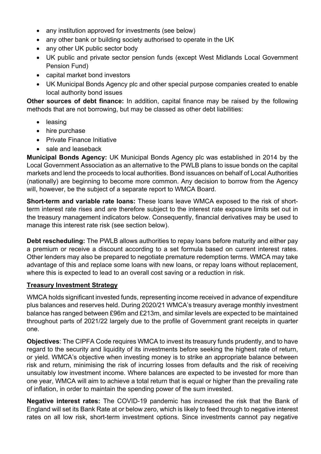- any institution approved for investments (see below)
- any other bank or building society authorised to operate in the UK
- any other UK public sector body
- UK public and private sector pension funds (except West Midlands Local Government Pension Fund)
- capital market bond investors
- UK Municipal Bonds Agency plc and other special purpose companies created to enable local authority bond issues

**Other sources of debt finance:** In addition, capital finance may be raised by the following methods that are not borrowing, but may be classed as other debt liabilities:

- leasing
- hire purchase
- **•** Private Finance Initiative
- sale and leaseback

**Municipal Bonds Agency:** UK Municipal Bonds Agency plc was established in 2014 by the Local Government Association as an alternative to the PWLB plans to issue bonds on the capital markets and lend the proceeds to local authorities. Bond issuances on behalf of Local Authorities (nationally) are beginning to become more common. Any decision to borrow from the Agency will, however, be the subject of a separate report to WMCA Board.

**Short-term and variable rate loans:** These loans leave WMCA exposed to the risk of shortterm interest rate rises and are therefore subject to the interest rate exposure limits set out in the treasury management indicators below. Consequently, financial derivatives may be used to manage this interest rate risk (see section below).

**Debt rescheduling:** The PWLB allows authorities to repay loans before maturity and either pay a premium or receive a discount according to a set formula based on current interest rates. Other lenders may also be prepared to negotiate premature redemption terms. WMCA may take advantage of this and replace some loans with new loans, or repay loans without replacement, where this is expected to lead to an overall cost saving or a reduction in risk.

# **Treasury Investment Strategy**

WMCA holds significant invested funds, representing income received in advance of expenditure plus balances and reserves held. During 2020/21 WMCA's treasury average monthly investment balance has ranged between £96m and £213m, and similar levels are expected to be maintained throughout parts of 2021/22 largely due to the profile of Government grant receipts in quarter one.

**Objectives**: The CIPFA Code requires WMCA to invest its treasury funds prudently, and to have regard to the security and liquidity of its investments before seeking the highest rate of return, or yield. WMCA's objective when investing money is to strike an appropriate balance between risk and return, minimising the risk of incurring losses from defaults and the risk of receiving unsuitably low investment income. Where balances are expected to be invested for more than one year, WMCA will aim to achieve a total return that is equal or higher than the prevailing rate of inflation, in order to maintain the spending power of the sum invested.

**Negative interest rates:** The COVID-19 pandemic has increased the risk that the Bank of England will set its Bank Rate at or below zero, which is likely to feed through to negative interest rates on all low risk, short-term investment options. Since investments cannot pay negative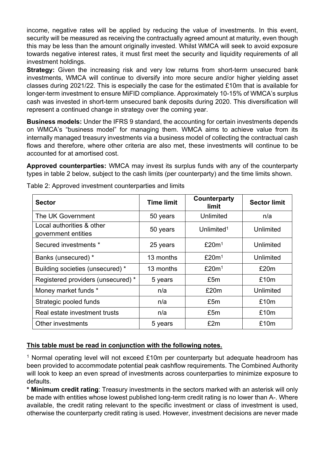income, negative rates will be applied by reducing the value of investments. In this event, security will be measured as receiving the contractually agreed amount at maturity, even though this may be less than the amount originally invested. Whilst WMCA will seek to avoid exposure towards negative interest rates, it must first meet the security and liquidity requirements of all investment holdings.

**Strategy:** Given the increasing risk and very low returns from short-term unsecured bank investments, WMCA will continue to diversify into more secure and/or higher yielding asset classes during 2021/22. This is especially the case for the estimated £10m that is available for longer-term investment to ensure MiFID compliance. Approximately 10-15% of WMCA's surplus cash was invested in short-term unsecured bank deposits during 2020. This diversification will represent a continued change in strategy over the coming year.

**Business models:** Under the IFRS 9 standard, the accounting for certain investments depends on WMCA's "business model" for managing them. WMCA aims to achieve value from its internally managed treasury investments via a business model of collecting the contractual cash flows and therefore, where other criteria are also met, these investments will continue to be accounted for at amortised cost.

**Approved counterparties:** WMCA may invest its surplus funds with any of the counterparty types in table 2 below, subject to the cash limits (per counterparty) and the time limits shown.

| <b>Sector</b>                                    | <b>Time limit</b> | <b>Counterparty</b><br>limit | <b>Sector limit</b> |
|--------------------------------------------------|-------------------|------------------------------|---------------------|
| The UK Government                                | 50 years          | Unlimited                    | n/a                 |
| Local authorities & other<br>government entities | 50 years          | Unlimited <sup>1</sup>       | Unlimited           |
| Secured investments *                            | 25 years          | £20m <sup>1</sup>            | Unlimited           |
| Banks (unsecured) *                              | 13 months         | £20m <sup>1</sup>            | Unlimited           |
| Building societies (unsecured) *                 | 13 months         | £20m <sup>1</sup>            | £20m                |
| Registered providers (unsecured) *               | 5 years           | £5m                          | £10m                |
| Money market funds *                             | n/a               | £20m                         | Unlimited           |
| Strategic pooled funds                           | n/a               | £5m                          | £10m                |
| Real estate investment trusts                    | n/a               | £5m                          | £10m                |
| Other investments                                | 5 years           | £2m                          | £10m                |

Table 2: Approved investment counterparties and limits

# **This table must be read in conjunction with the following notes.**

<sup>1</sup> Normal operating level will not exceed £10m per counterparty but adequate headroom has been provided to accommodate potential peak cashflow requirements. The Combined Authority will look to keep an even spread of investments across counterparties to minimize exposure to defaults.

**\* Minimum credit rating**: Treasury investments in the sectors marked with an asterisk will only be made with entities whose lowest published long-term credit rating is no lower than A-. Where available, the credit rating relevant to the specific investment or class of investment is used, otherwise the counterparty credit rating is used. However, investment decisions are never made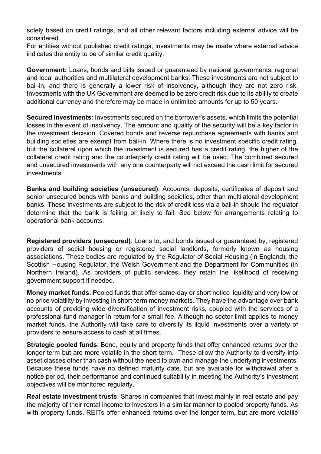solely based on credit ratings, and all other relevant factors including external advice will be considered.

For entities without published credit ratings, investments may be made where external advice indicates the entity to be of similar credit quality.

**Government:** Loans, bonds and bills issued or guaranteed by national governments, regional and local authorities and multilateral development banks. These investments are not subject to bail-in, and there is generally a lower risk of insolvency, although they are not zero risk. Investments with the UK Government are deemed to be zero credit risk due to its ability to create additional currency and therefore may be made in unlimited amounts for up to 50 years.

**Secured investments**: Investments secured on the borrower's assets, which limits the potential losses in the event of insolvency. The amount and quality of the security will be a key factor in the investment decision. Covered bonds and reverse repurchase agreements with banks and building societies are exempt from bail-in. Where there is no investment specific credit rating, but the collateral upon which the investment is secured has a credit rating, the higher of the collateral credit rating and the counterparty credit rating will be used. The combined secured and unsecured investments with any one counterparty will not exceed the cash limit for secured investments.

**Banks and building societies (unsecured)**: Accounts, deposits, certificates of deposit and senior unsecured bonds with banks and building societies, other than multilateral development banks. These investments are subject to the risk of credit loss via a bail-in should the regulator determine that the bank is failing or likely to fail. See below for arrangements relating to operational bank accounts.

**Registered providers (unsecured)**: Loans to, and bonds issued or guaranteed by, registered providers of social housing or registered social landlords, formerly known as housing associations. These bodies are regulated by the Regulator of Social Housing (in England), the Scottish Housing Regulator, the Welsh Government and the Department for Communities (in Northern Ireland). As providers of public services, they retain the likelihood of receiving government support if needed.

**Money market funds**: Pooled funds that offer same-day or short notice liquidity and very low or no price volatility by investing in short-term money markets. They have the advantage over bank accounts of providing wide diversification of investment risks, coupled with the services of a professional fund manager in return for a small fee. Although no sector limit applies to money market funds, the Authority will take care to diversify its liquid investments over a variety of providers to ensure access to cash at all times.

**Strategic pooled funds**: Bond, equity and property funds that offer enhanced returns over the longer term but are more volatile in the short term. These allow the Authority to diversify into asset classes other than cash without the need to own and manage the underlying investments. Because these funds have no defined maturity date, but are available for withdrawal after a notice period, their performance and continued suitability in meeting the Authority's investment objectives will be monitored regularly.

**Real estate investment trusts**: Shares in companies that invest mainly in real estate and pay the majority of their rental income to investors in a similar manner to pooled property funds. As with property funds, REITs offer enhanced returns over the longer term, but are more volatile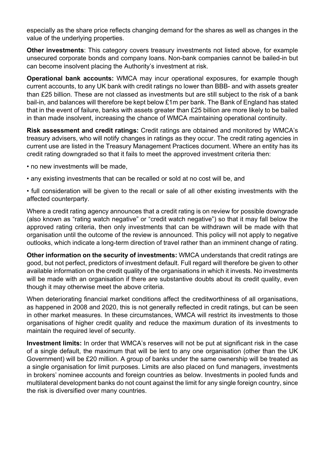especially as the share price reflects changing demand for the shares as well as changes in the value of the underlying properties.

**Other investments**: This category covers treasury investments not listed above, for example unsecured corporate bonds and company loans. Non-bank companies cannot be bailed-in but can become insolvent placing the Authority's investment at risk.

**Operational bank accounts:** WMCA may incur operational exposures, for example though current accounts, to any UK bank with credit ratings no lower than BBB- and with assets greater than £25 billion. These are not classed as investments but are still subject to the risk of a bank bail-in, and balances will therefore be kept below £1m per bank. The Bank of England has stated that in the event of failure, banks with assets greater than £25 billion are more likely to be bailed in than made insolvent, increasing the chance of WMCA maintaining operational continuity.

**Risk assessment and credit ratings:** Credit ratings are obtained and monitored by WMCA's treasury advisers, who will notify changes in ratings as they occur. The credit rating agencies in current use are listed in the Treasury Management Practices document. Where an entity has its credit rating downgraded so that it fails to meet the approved investment criteria then:

- no new investments will be made,
- any existing investments that can be recalled or sold at no cost will be, and

• full consideration will be given to the recall or sale of all other existing investments with the affected counterparty.

Where a credit rating agency announces that a credit rating is on review for possible downgrade (also known as "rating watch negative" or "credit watch negative") so that it may fall below the approved rating criteria, then only investments that can be withdrawn will be made with that organisation until the outcome of the review is announced. This policy will not apply to negative outlooks, which indicate a long-term direction of travel rather than an imminent change of rating.

**Other information on the security of investments:** WMCA understands that credit ratings are good, but not perfect, predictors of investment default. Full regard will therefore be given to other available information on the credit quality of the organisations in which it invests. No investments will be made with an organisation if there are substantive doubts about its credit quality, even though it may otherwise meet the above criteria.

When deteriorating financial market conditions affect the creditworthiness of all organisations, as happened in 2008 and 2020, this is not generally reflected in credit ratings, but can be seen in other market measures. In these circumstances, WMCA will restrict its investments to those organisations of higher credit quality and reduce the maximum duration of its investments to maintain the required level of security.

**Investment limits:** In order that WMCA's reserves will not be put at significant risk in the case of a single default, the maximum that will be lent to any one organisation (other than the UK Government) will be £20 million. A group of banks under the same ownership will be treated as a single organisation for limit purposes. Limits are also placed on fund managers, investments in brokers' nominee accounts and foreign countries as below. Investments in pooled funds and multilateral development banks do not count against the limit for any single foreign country, since the risk is diversified over many countries.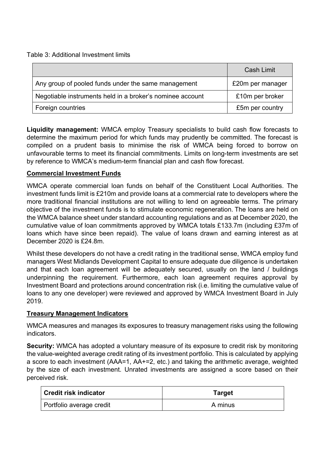Table 3: Additional Investment limits

|                                                           | Cash Limit       |
|-----------------------------------------------------------|------------------|
| Any group of pooled funds under the same management       | £20m per manager |
| Negotiable instruments held in a broker's nominee account | £10m per broker  |
| Foreign countries                                         | £5m per country  |

**Liquidity management:** WMCA employ Treasury specialists to build cash flow forecasts to determine the maximum period for which funds may prudently be committed. The forecast is compiled on a prudent basis to minimise the risk of WMCA being forced to borrow on unfavourable terms to meet its financial commitments. Limits on long-term investments are set by reference to WMCA's medium-term financial plan and cash flow forecast.

# **Commercial Investment Funds**

WMCA operate commercial loan funds on behalf of the Constituent Local Authorities. The investment funds limit is £210m and provide loans at a commercial rate to developers where the more traditional financial institutions are not willing to lend on agreeable terms. The primary objective of the investment funds is to stimulate economic regeneration. The loans are held on the WMCA balance sheet under standard accounting regulations and as at December 2020, the cumulative value of loan commitments approved by WMCA totals £133.7m (including £37m of loans which have since been repaid). The value of loans drawn and earning interest as at December 2020 is £24.8m.

Whilst these developers do not have a credit rating in the traditional sense, WMCA employ fund managers West Midlands Development Capital to ensure adequate due diligence is undertaken and that each loan agreement will be adequately secured, usually on the land / buildings underpinning the requirement. Furthermore, each loan agreement requires approval by Investment Board and protections around concentration risk (i.e. limiting the cumulative value of loans to any one developer) were reviewed and approved by WMCA Investment Board in July 2019.

# **Treasury Management Indicators**

WMCA measures and manages its exposures to treasury management risks using the following indicators.

**Security:** WMCA has adopted a voluntary measure of its exposure to credit risk by monitoring the value-weighted average credit rating of its investment portfolio. This is calculated by applying a score to each investment (AAA=1, AA+=2, etc.) and taking the arithmetic average, weighted by the size of each investment. Unrated investments are assigned a score based on their perceived risk.

| <b>Credit risk indicator</b> | <b>Target</b> |
|------------------------------|---------------|
| Portfolio average credit     | A minus       |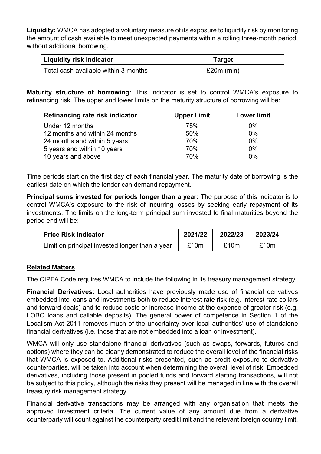**Liquidity:** WMCA has adopted a voluntary measure of its exposure to liquidity risk by monitoring the amount of cash available to meet unexpected payments within a rolling three-month period, without additional borrowing.

| Liquidity risk indicator             | Target       |
|--------------------------------------|--------------|
| Total cash available within 3 months | $£20m$ (min) |

**Maturity structure of borrowing:** This indicator is set to control WMCA's exposure to refinancing risk. The upper and lower limits on the maturity structure of borrowing will be:

| Refinancing rate risk indicator | <b>Upper Limit</b> | <b>Lower limit</b> |
|---------------------------------|--------------------|--------------------|
| Under 12 months                 | 75%                | 0%                 |
| 12 months and within 24 months  | 50%                | 0%                 |
| 24 months and within 5 years    | 70%                | $0\%$              |
| 5 years and within 10 years     | 70%                | $0\%$              |
| 10 years and above              | 70%                | $0\%$              |

Time periods start on the first day of each financial year. The maturity date of borrowing is the earliest date on which the lender can demand repayment.

**Principal sums invested for periods longer than a year:** The purpose of this indicator is to control WMCA's exposure to the risk of incurring losses by seeking early repayment of its investments. The limits on the long-term principal sum invested to final maturities beyond the period end will be:

| Price Risk Indicator                           | 2021/22 | 2022/23 | 2023/24 |
|------------------------------------------------|---------|---------|---------|
| Limit on principal invested longer than a year | £10m    | £10m    | £10m    |

# **Related Matters**

The CIPFA Code requires WMCA to include the following in its treasury management strategy.

**Financial Derivatives:** Local authorities have previously made use of financial derivatives embedded into loans and investments both to reduce interest rate risk (e.g. interest rate collars and forward deals) and to reduce costs or increase income at the expense of greater risk (e.g. LOBO loans and callable deposits). The general power of competence in Section 1 of the Localism Act 2011 removes much of the uncertainty over local authorities' use of standalone financial derivatives (i.e. those that are not embedded into a loan or investment).

WMCA will only use standalone financial derivatives (such as swaps, forwards, futures and options) where they can be clearly demonstrated to reduce the overall level of the financial risks that WMCA is exposed to. Additional risks presented, such as credit exposure to derivative counterparties, will be taken into account when determining the overall level of risk. Embedded derivatives, including those present in pooled funds and forward starting transactions, will not be subject to this policy, although the risks they present will be managed in line with the overall treasury risk management strategy.

Financial derivative transactions may be arranged with any organisation that meets the approved investment criteria. The current value of any amount due from a derivative counterparty will count against the counterparty credit limit and the relevant foreign country limit.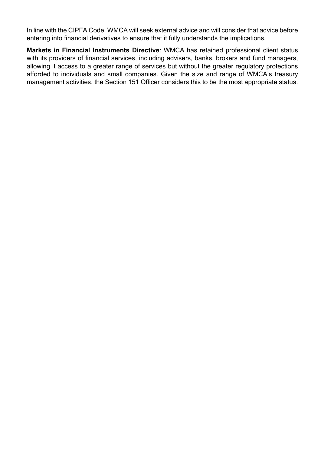In line with the CIPFA Code, WMCA will seek external advice and will consider that advice before entering into financial derivatives to ensure that it fully understands the implications.

**Markets in Financial Instruments Directive**: WMCA has retained professional client status with its providers of financial services, including advisers, banks, brokers and fund managers, allowing it access to a greater range of services but without the greater regulatory protections afforded to individuals and small companies. Given the size and range of WMCA's treasury management activities, the Section 151 Officer considers this to be the most appropriate status.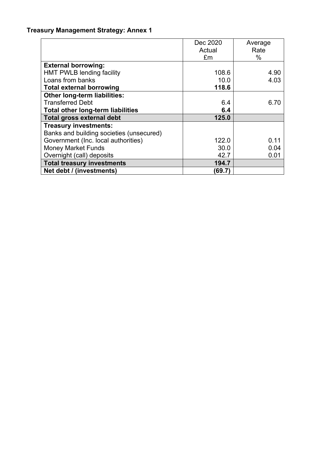# **Treasury Management Strategy: Annex 1**

|                                          | Dec 2020 | Average |
|------------------------------------------|----------|---------|
|                                          | Actual   | Rate    |
|                                          | £m       | $\%$    |
| <b>External borrowing:</b>               |          |         |
| <b>HMT PWLB lending facility</b>         | 108.6    | 4.90    |
| Loans from banks                         | 10.0     | 4.03    |
| <b>Total external borrowing</b>          | 118.6    |         |
| Other long-term liabilities:             |          |         |
| <b>Transferred Debt</b>                  | 6.4      | 6.70    |
| <b>Total other long-term liabilities</b> | 6.4      |         |
| <b>Total gross external debt</b>         | 125.0    |         |
| <b>Treasury investments:</b>             |          |         |
| Banks and building societies (unsecured) |          |         |
| Government (Inc. local authorities)      | 122.0    | 0.11    |
| <b>Money Market Funds</b>                | 30.0     | 0.04    |
| Overnight (call) deposits                | 42.7     | 0.01    |
| <b>Total treasury investments</b>        | 194.7    |         |
| Net debt / (investments)                 | (69.7)   |         |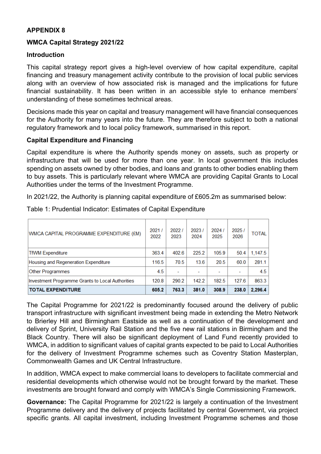# **APPENDIX 8**

# **WMCA Capital Strategy 2021/22**

#### **Introduction**

This capital strategy report gives a high-level overview of how capital expenditure, capital financing and treasury management activity contribute to the provision of local public services along with an overview of how associated risk is managed and the implications for future financial sustainability. It has been written in an accessible style to enhance members' understanding of these sometimes technical areas.

Decisions made this year on capital and treasury management will have financial consequences for the Authority for many years into the future. They are therefore subject to both a national regulatory framework and to local policy framework, summarised in this report.

#### **Capital Expenditure and Financing**

Capital expenditure is where the Authority spends money on assets, such as property or infrastructure that will be used for more than one year. In local government this includes spending on assets owned by other bodies, and loans and grants to other bodies enabling them to buy assets. This is particularly relevant where WMCA are providing Capital Grants to Local Authorities under the terms of the Investment Programme.

In 2021/22, the Authority is planning capital expenditure of £605.2m as summarised below:

| WMCA CAPITAL PROGRAMME EXPENDITURE (£M)          | 2021/<br>2022 | 20221<br>2023 | 2023/<br>2024 | 2024/<br>2025 | 2025/<br>2026 | <b>TOTAL</b> |
|--------------------------------------------------|---------------|---------------|---------------|---------------|---------------|--------------|
| <b>TfWM Expenditure</b>                          | 363.4         | 402.6         | 225.2         | 105.9         | 50.4          | 1.147.5      |
| Housing and Regeneration Expenditure             | 116.5         | 70.5          | 13.6          | 20.5          | 60.0          | 281.1        |
| Other Programmes                                 | 4.5           |               |               |               |               | 4.5          |
| Investment Programme Grants to Local Authorities | 120.8         | 290.2         | 142.2         | 182.5         | 127.6         | 863.3        |
| <b>TOTAL EXPENDITURE</b>                         | 605.2         | 763.3         | 381.0         | 308.9         | 238.0         | 2.296.4      |

Table 1: Prudential Indicator: Estimates of Capital Expenditure

The Capital Programme for 2021/22 is predominantly focused around the delivery of public transport infrastructure with significant investment being made in extending the Metro Network to Brierley Hill and Birmingham Eastside as well as a continuation of the development and delivery of Sprint, University Rail Station and the five new rail stations in Birmingham and the Black Country. There will also be significant deployment of Land Fund recently provided to WMCA, in addition to significant values of capital grants expected to be paid to Local Authorities for the delivery of Investment Programme schemes such as Coventry Station Masterplan, Commonwealth Games and UK Central Infrastructure.

In addition, WMCA expect to make commercial loans to developers to facilitate commercial and residential developments which otherwise would not be brought forward by the market. These investments are brought forward and comply with WMCA's Single Commissioning Framework.

**Governance:** The Capital Programme for 2021/22 is largely a continuation of the Investment Programme delivery and the delivery of projects facilitated by central Government, via project specific grants. All capital investment, including Investment Programme schemes and those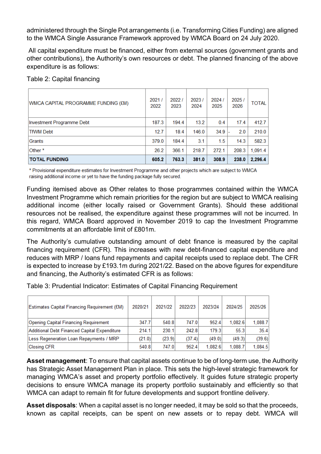administered through the Single Pot arrangements (i.e. Transforming Cities Funding) are aligned to the WMCA Single Assurance Framework approved by WMCA Board on 24 July 2020.

All capital expenditure must be financed, either from external sources (government grants and other contributions), the Authority's own resources or debt. The planned financing of the above expenditure is as follows:

| Table 2: Capital financing |  |  |
|----------------------------|--|--|
|                            |  |  |

| <b>WMCA CAPITAL PROGRAMME FUNDING (£M)</b> | 2021/<br>2022 | 2022/<br>2023 | 2023/<br>2024 | 2024/<br>2025 | 2025/<br>2026 | <b>TOTAL</b> |
|--------------------------------------------|---------------|---------------|---------------|---------------|---------------|--------------|
| Investment Programme Debt                  | 187.3         | 194.4         | 13.2          | 0.4           | 17.4          | 412.7        |
| <b>TfWM Debt</b>                           | 12.7          | 18.4          | 146.0         | 34.9          | 2.0           | 210.0        |
| Grants                                     | 379.0         | 184.4         | 3.1           | 1.5           | 14.3          | 582.3        |
| Other *                                    | 26.2          | 366.1         | 218.7         | 272.1         | 208.3         | 1,091.4      |
| <b>TOTAL FUNDING</b>                       | 605.2         | 763.3         | 381.0         | 308.9         | 238.0         | 2.296.4      |

\* Provisional expenditure estimates for Investment Programme and other projects which are subject to WMCA raising additional income or yet to have the funding package fully secured.

Funding itemised above as Other relates to those programmes contained within the WMCA Investment Programme which remain priorities for the region but are subject to WMCA realising additional income (either locally raised or Government Grants). Should these additional resources not be realised, the expenditure against these programmes will not be incurred. In this regard, WMCA Board approved in November 2019 to cap the Investment Programme commitments at an affordable limit of £801m.

The Authority's cumulative outstanding amount of debt finance is measured by the capital financing requirement (CFR). This increases with new debt-financed capital expenditure and reduces with MRP / loans fund repayments and capital receipts used to replace debt. The CFR is expected to increase by £193.1m during 2021/22. Based on the above figures for expenditure and financing, the Authority's estimated CFR is as follows:

Table 3: Prudential Indicator: Estimates of Capital Financing Requirement

| Estimates Capital Financing Requirement (£M) | 2020/21 | 2021/22 | 2022/23 | 2023/24 | 2024/25 | 2025/26 |
|----------------------------------------------|---------|---------|---------|---------|---------|---------|
| Opening Capital Financing Requirement        | 347.7   | 540.8   | 747.0   | 952.4   | 1.082.6 | 1.088.7 |
| Additional Debt Financed Capital Expenditure | 214.1   | 230.1   | 242.8   | 179.3   | 55.3    | 35.4    |
| Less Regeneration Loan Repayments / MRP      | (21.0)  | (23.9)  | (37.4)  | (49.0)  | (49.3)  | (39.6)  |
| Closing CFR                                  | 540.8   | 747.0   | 952.4   | 1.082.6 | 1.088.7 | 1,084.5 |

**Asset management**: To ensure that capital assets continue to be of long-term use, the Authority has Strategic Asset Management Plan in place. This sets the high-level strategic framework for managing WMCA's asset and property portfolio effectively. It guides future strategic property decisions to ensure WMCA manage its property portfolio sustainably and efficiently so that WMCA can adapt to remain fit for future developments and support frontline delivery.

**Asset disposals**: When a capital asset is no longer needed, it may be sold so that the proceeds, known as capital receipts, can be spent on new assets or to repay debt. WMCA will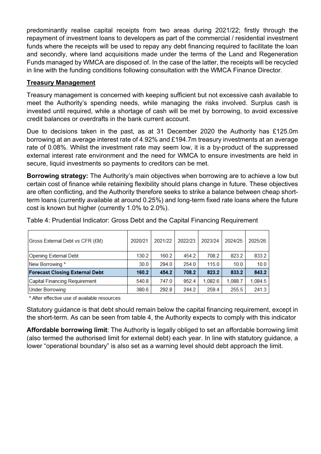predominantly realise capital receipts from two areas during 2021/22; firstly through the repayment of investment loans to developers as part of the commercial / residential investment funds where the receipts will be used to repay any debt financing required to facilitate the loan and secondly, where land acquisitions made under the terms of the Land and Regeneration Funds managed by WMCA are disposed of. In the case of the latter, the receipts will be recycled in line with the funding conditions following consultation with the WMCA Finance Director.

# **Treasury Management**

Treasury management is concerned with keeping sufficient but not excessive cash available to meet the Authority's spending needs, while managing the risks involved. Surplus cash is invested until required, while a shortage of cash will be met by borrowing, to avoid excessive credit balances or overdrafts in the bank current account.

Due to decisions taken in the past, as at 31 December 2020 the Authority has £125.0m borrowing at an average interest rate of 4.92% and £194.7m treasury investments at an average rate of 0.08%. Whilst the investment rate may seem low, it is a by-product of the suppressed external interest rate environment and the need for WMCA to ensure investments are held in secure, liquid investments so payments to creditors can be met.

**Borrowing strategy:** The Authority's main objectives when borrowing are to achieve a low but certain cost of finance while retaining flexibility should plans change in future. These objectives are often conflicting, and the Authority therefore seeks to strike a balance between cheap shortterm loans (currently available at around 0.25%) and long-term fixed rate loans where the future cost is known but higher (currently 1.0% to 2.0%).

| Gross External Debt vs CFR (£M)       | 2020/21 | 2021/22 | 2022/23 | 2023/24 | 2024/25 | 2025/26 |
|---------------------------------------|---------|---------|---------|---------|---------|---------|
| Opening External Debt                 | 130.2   | 160.2   | 454.2   | 708.2   | 823.2   | 833.2   |
| New Borrowing *                       | 30.0    | 294.0   | 254.0   | 115.0   | 10.0    | 10.0    |
| <b>Forecast Closing External Debt</b> | 160.2   | 454.2   | 708.2   | 823.2   | 833.2   | 843.2   |
| Capital Financing Requirement         | 540.8   | 747.0   | 952.4   | 1.082.6 | 1.088.7 | 1,084.5 |
| Under Borrowing                       | 380.6   | 292.8   | 244.2   | 259.4   | 255.5   | 241.3   |

Table 4: Prudential Indicator: Gross Debt and the Capital Financing Requirement

\* After effective use of available resources

Statutory guidance is that debt should remain below the capital financing requirement, except in the short-term. As can be seen from table 4, the Authority expects to comply with this indicator

**Affordable borrowing limit**: The Authority is legally obliged to set an affordable borrowing limit (also termed the authorised limit for external debt) each year. In line with statutory guidance, a lower "operational boundary" is also set as a warning level should debt approach the limit.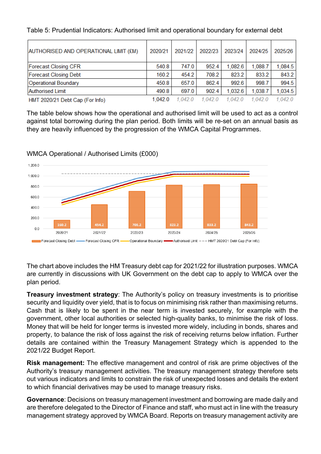Table 5: Prudential Indicators: Authorised limit and operational boundary for external debt

| AUTHORISED AND OPERATIONAL LIMIT (£M) | 2020/21 | 2021/22 | 2022/23 | 2023/24 | 2024/25 | 2025/26 |
|---------------------------------------|---------|---------|---------|---------|---------|---------|
| <b>Forecast Closing CFR</b>           | 540.8   | 747.0   | 952.4   | 1,082.6 | 1,088.7 | 1,084.5 |
| <b>Forecast Closing Debt</b>          | 160.2   | 454.2   | 708.2   | 823.2   | 833.2   | 843.2   |
| Operational Boundary                  | 450.8   | 657.0   | 862.4   | 992.6   | 998.7   | 994.5   |
| <b>Authorised Limit</b>               | 490.8   | 697.0   | 9024    | 1.032.6 | 1.038.7 | 1,034.5 |
| HMT 2020/21 Debt Cap (For Info)       | 1.042.0 | 1 042 0 | 1.042.0 | 1.042.0 | 1.042.0 | 1 042 0 |

The table below shows how the operational and authorised limit will be used to act as a control against total borrowing during the plan period. Both limits will be re-set on an annual basis as they are heavily influenced by the progression of the WMCA Capital Programmes.



WMCA Operational / Authorised Limits (£000)

The chart above includes the HM Treasury debt cap for 2021/22 for illustration purposes. WMCA are currently in discussions with UK Government on the debt cap to apply to WMCA over the plan period.

**Treasury investment strategy**: The Authority's policy on treasury investments is to prioritise security and liquidity over yield, that is to focus on minimising risk rather than maximising returns. Cash that is likely to be spent in the near term is invested securely, for example with the government, other local authorities or selected high-quality banks, to minimise the risk of loss. Money that will be held for longer terms is invested more widely, including in bonds, shares and property, to balance the risk of loss against the risk of receiving returns below inflation. Further details are contained within the Treasury Management Strategy which is appended to the 2021/22 Budget Report.

**Risk management:** The effective management and control of risk are prime objectives of the Authority's treasury management activities. The treasury management strategy therefore sets out various indicators and limits to constrain the risk of unexpected losses and details the extent to which financial derivatives may be used to manage treasury risks.

**Governance**: Decisions on treasury management investment and borrowing are made daily and are therefore delegated to the Director of Finance and staff, who must act in line with the treasury management strategy approved by WMCA Board. Reports on treasury management activity are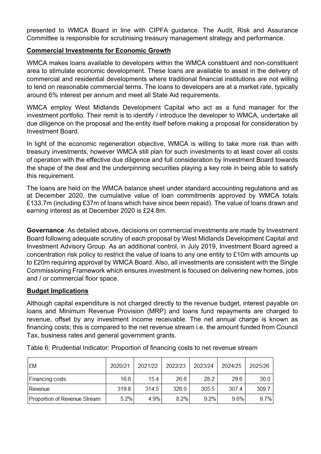presented to WMCA Board in line with CIPFA guidance. The Audit, Risk and Assurance Committee is responsible for scrutinising treasury management strategy and performance.

# **Commercial Investments for Economic Growth**

WMCA makes loans available to developers within the WMCA constituent and non-constituent area to stimulate economic development. These loans are available to assist in the delivery of commercial and residential developments where traditional financial institutions are not willing to lend on reasonable commercial terms. The loans to developers are at a market rate, typically around 6% interest per annum and meet all State Aid requirements.

WMCA employ West Midlands Development Capital who act as a fund manager for the investment portfolio. Their remit is to identify / introduce the developer to WMCA, undertake all due diligence on the proposal and the entity itself before making a proposal for consideration by Investment Board.

In light of the economic regeneration objective, WMCA is willing to take more risk than with treasury investments, however WMCA still plan for such investments to at least cover all costs of operation with the effective due diligence and full consideration by Investment Board towards the shape of the deal and the underpinning securities playing a key role in being able to satisfy this requirement.

The loans are held on the WMCA balance sheet under standard accounting regulations and as at December 2020, the cumulative value of loan commitments approved by WMCA totals £133.7m (including £37m of loans which have since been repaid). The value of loans drawn and earning interest as at December 2020 is £24.8m.

**Governance**: As detailed above, decisions on commercial investments are made by Investment Board following adequate scrutiny of each proposal by West Midlands Development Capital and Investment Advisory Group. As an additional control, in July 2019, Investment Board agreed a concentration risk policy to restrict the value of loans to any one entity to £10m with amounts up to £20m requiring approval by WMCA Board. Also, all investments are consistent with the Single Commissioning Framework which ensures investment is focused on delivering new homes, jobs and / or commercial floor space.

# **Budget Implications**

Although capital expenditure is not charged directly to the revenue budget, interest payable on loans and Minimum Revenue Provision (MRP) and loans fund repayments are charged to revenue, offset by any investment income receivable. The net annual charge is known as financing costs; this is compared to the net revenue stream i.e. the amount funded from Council Tax, business rates and general government grants.

| <b>EM</b>                    | 2020/21 | 2021/22 | 2022/23 | 2023/24 | 2024/25 | 2025/26 |
|------------------------------|---------|---------|---------|---------|---------|---------|
| <b>Financing costs</b>       | 16.6    | 15.4    | 26.6    | 28.2    | 29.6    | 30.0    |
| Revenue                      | 319.8   | 314.5   | 326.0   | 305.5   | 307.4   | 309.7   |
| Proportion of Revenue Stream | 5.2%    | 4.9%    | 82%     | 92%     | 96%     | 9.7%    |

Table 6: Prudential Indicator: Proportion of financing costs to net revenue stream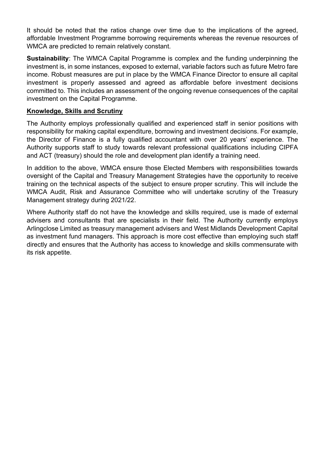It should be noted that the ratios change over time due to the implications of the agreed, affordable Investment Programme borrowing requirements whereas the revenue resources of WMCA are predicted to remain relatively constant.

**Sustainability:** The WMCA Capital Programme is complex and the funding underpinning the investment is, in some instances, exposed to external, variable factors such as future Metro fare income. Robust measures are put in place by the WMCA Finance Director to ensure all capital investment is properly assessed and agreed as affordable before investment decisions committed to. This includes an assessment of the ongoing revenue consequences of the capital investment on the Capital Programme.

#### **Knowledge, Skills and Scrutiny**

The Authority employs professionally qualified and experienced staff in senior positions with responsibility for making capital expenditure, borrowing and investment decisions. For example, the Director of Finance is a fully qualified accountant with over 20 years' experience. The Authority supports staff to study towards relevant professional qualifications including CIPFA and ACT (treasury) should the role and development plan identify a training need.

In addition to the above, WMCA ensure those Elected Members with responsibilities towards oversight of the Capital and Treasury Management Strategies have the opportunity to receive training on the technical aspects of the subject to ensure proper scrutiny. This will include the WMCA Audit, Risk and Assurance Committee who will undertake scrutiny of the Treasury Management strategy during 2021/22.

Where Authority staff do not have the knowledge and skills required, use is made of external advisers and consultants that are specialists in their field. The Authority currently employs Arlingclose Limited as treasury management advisers and West Midlands Development Capital as investment fund managers. This approach is more cost effective than employing such staff directly and ensures that the Authority has access to knowledge and skills commensurate with its risk appetite.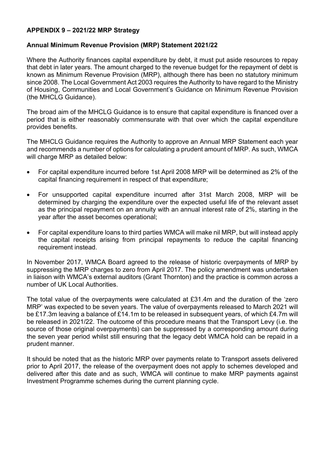#### **APPENDIX 9 – 2021/22 MRP Strategy**

#### **Annual Minimum Revenue Provision (MRP) Statement 2021/22**

Where the Authority finances capital expenditure by debt, it must put aside resources to repay that debt in later years. The amount charged to the revenue budget for the repayment of debt is known as Minimum Revenue Provision (MRP), although there has been no statutory minimum since 2008. The Local Government Act 2003 requires the Authority to have regard to the Ministry of Housing, Communities and Local Government's Guidance on Minimum Revenue Provision (the MHCLG Guidance).

The broad aim of the MHCLG Guidance is to ensure that capital expenditure is financed over a period that is either reasonably commensurate with that over which the capital expenditure provides benefits.

The MHCLG Guidance requires the Authority to approve an Annual MRP Statement each year and recommends a number of options for calculating a prudent amount of MRP. As such, WMCA will charge MRP as detailed below:

- For capital expenditure incurred before 1st April 2008 MRP will be determined as 2% of the capital financing requirement in respect of that expenditure;
- For unsupported capital expenditure incurred after 31st March 2008, MRP will be determined by charging the expenditure over the expected useful life of the relevant asset as the principal repayment on an annuity with an annual interest rate of 2%, starting in the year after the asset becomes operational;
- For capital expenditure loans to third parties WMCA will make nil MRP, but will instead apply the capital receipts arising from principal repayments to reduce the capital financing requirement instead.

In November 2017, WMCA Board agreed to the release of historic overpayments of MRP by suppressing the MRP charges to zero from April 2017. The policy amendment was undertaken in liaison with WMCA's external auditors (Grant Thornton) and the practice is common across a number of UK Local Authorities.

The total value of the overpayments were calculated at £31.4m and the duration of the 'zero MRP' was expected to be seven years. The value of overpayments released to March 2021 will be £17.3m leaving a balance of £14.1m to be released in subsequent years, of which £4.7m will be released in 2021/22. The outcome of this procedure means that the Transport Levy (i.e. the source of those original overpayments) can be suppressed by a corresponding amount during the seven year period whilst still ensuring that the legacy debt WMCA hold can be repaid in a prudent manner.

It should be noted that as the historic MRP over payments relate to Transport assets delivered prior to April 2017, the release of the overpayment does not apply to schemes developed and delivered after this date and as such, WMCA will continue to make MRP payments against Investment Programme schemes during the current planning cycle.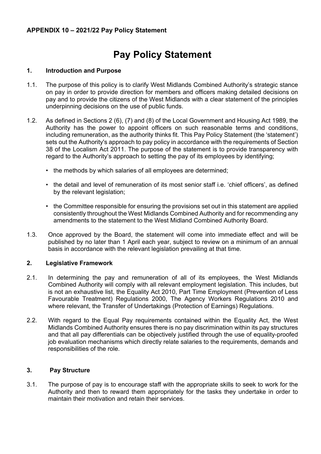# **Pay Policy Statement**

#### **1. Introduction and Purpose**

- 1.1. The purpose of this policy is to clarify West Midlands Combined Authority's strategic stance on pay in order to provide direction for members and officers making detailed decisions on pay and to provide the citizens of the West Midlands with a clear statement of the principles underpinning decisions on the use of public funds.
- 1.2. As defined in Sections 2 (6), (7) and (8) of the Local Government and Housing Act 1989, the Authority has the power to appoint officers on such reasonable terms and conditions, including remuneration, as the authority thinks fit. This Pay Policy Statement (the 'statement') sets out the Authority's approach to pay policy in accordance with the requirements of Section 38 of the Localism Act 2011. The purpose of the statement is to provide transparency with regard to the Authority's approach to setting the pay of its employees by identifying;
	- the methods by which salaries of all employees are determined;
	- the detail and level of remuneration of its most senior staff i.e. 'chief officers', as defined by the relevant legislation;
	- the Committee responsible for ensuring the provisions set out in this statement are applied consistently throughout the West Midlands Combined Authority and for recommending any amendments to the statement to the West Midland Combined Authority Board.
- 1.3. Once approved by the Board, the statement will come into immediate effect and will be published by no later than 1 April each year, subject to review on a minimum of an annual basis in accordance with the relevant legislation prevailing at that time.

#### **2. Legislative Framework**

- 2.1. In determining the pay and remuneration of all of its employees, the West Midlands Combined Authority will comply with all relevant employment legislation. This includes, but is not an exhaustive list, the Equality Act 2010, Part Time Employment (Prevention of Less Favourable Treatment) Regulations 2000, The Agency Workers Regulations 2010 and where relevant, the Transfer of Undertakings (Protection of Earnings) Regulations.
- 2.2. With regard to the Equal Pay requirements contained within the Equality Act, the West Midlands Combined Authority ensures there is no pay discrimination within its pay structures and that all pay differentials can be objectively justified through the use of equality-proofed job evaluation mechanisms which directly relate salaries to the requirements, demands and responsibilities of the role.

#### **3. Pay Structure**

3.1. The purpose of pay is to encourage staff with the appropriate skills to seek to work for the Authority and then to reward them appropriately for the tasks they undertake in order to maintain their motivation and retain their services.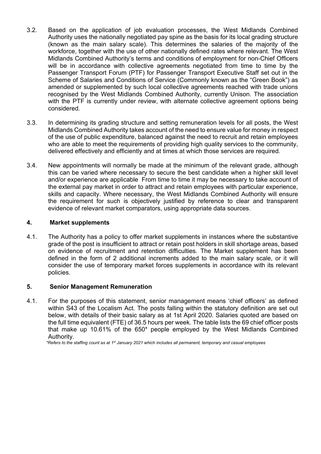- 3.2. Based on the application of job evaluation processes, the West Midlands Combined Authority uses the nationally negotiated pay spine as the basis for its local grading structure (known as the main salary scale). This determines the salaries of the majority of the workforce, together with the use of other nationally defined rates where relevant. The West Midlands Combined Authority's terms and conditions of employment for non-Chief Officers will be in accordance with collective agreements negotiated from time to time by the Passenger Transport Forum (PTF) for Passenger Transport Executive Staff set out in the Scheme of Salaries and Conditions of Service (Commonly known as the "Green Book") as amended or supplemented by such local collective agreements reached with trade unions recognised by the West Midlands Combined Authority, currently Unison. The association with the PTF is currently under review, with alternate collective agreement options being considered.
- 3.3. In determining its grading structure and setting remuneration levels for all posts, the West Midlands Combined Authority takes account of the need to ensure value for money in respect of the use of public expenditure, balanced against the need to recruit and retain employees who are able to meet the requirements of providing high quality services to the community, delivered effectively and efficiently and at times at which those services are required.
- 3.4. New appointments will normally be made at the minimum of the relevant grade, although this can be varied where necessary to secure the best candidate when a higher skill level and/or experience are applicable From time to time it may be necessary to take account of the external pay market in order to attract and retain employees with particular experience, skills and capacity. Where necessary, the West Midlands Combined Authority will ensure the requirement for such is objectively justified by reference to clear and transparent evidence of relevant market comparators, using appropriate data sources.

#### **4. Market supplements**

4.1. The Authority has a policy to offer market supplements in instances where the substantive grade of the post is insufficient to attract or retain post holders in skill shortage areas, based on evidence of recruitment and retention difficulties. The Market supplement has been defined in the form of 2 additional increments added to the main salary scale, or it will consider the use of temporary market forces supplements in accordance with its relevant policies.

#### **5. Senior Management Remuneration**

4.1. For the purposes of this statement, senior management means 'chief officers' as defined within S43 of the Localism Act. The posts falling within the statutory definition are set out below, with details of their basic salary as at 1st April 2020. Salaries quoted are based on the full time equivalent (FTE) of 36.5 hours per week. The table lists the 69 chief officer posts that make up 10.61% of the 650\* people employed by the West Midlands Combined Authority.

\*Refers to the staffing count as at 1st January 2021 which includes all permanent, temporary and casual employees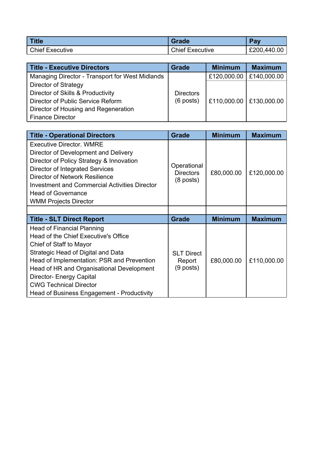| <b>Title</b>           | Grade                  | <b>Dou</b><br>a۱ |
|------------------------|------------------------|------------------|
| <b>Chief Executive</b> | <b>Chief Executive</b> | £200,440.00      |

| <b>Title - Executive Directors</b>              | <b>Grade</b>     | <b>Minimum</b>            | <b>Maximum</b> |
|-------------------------------------------------|------------------|---------------------------|----------------|
| Managing Director - Transport for West Midlands |                  | £120,000.00               | £140,000.00    |
| Director of Strategy                            |                  |                           |                |
| Director of Skills & Productivity               | <b>Directors</b> |                           |                |
| Director of Public Service Reform               | $(6$ posts)      | E110,000.00   £130,000.00 |                |
| Director of Housing and Regeneration            |                  |                           |                |
| <b>Finance Director</b>                         |                  |                           |                |

| <b>Title - Operational Directors</b>                                                                                                                                                                                                                                                                                                                    | <b>Grade</b>                                   | <b>Minimum</b> | <b>Maximum</b> |
|---------------------------------------------------------------------------------------------------------------------------------------------------------------------------------------------------------------------------------------------------------------------------------------------------------------------------------------------------------|------------------------------------------------|----------------|----------------|
| <b>Executive Director, WMRE</b><br>Director of Development and Delivery<br>Director of Policy Strategy & Innovation<br>Director of Integrated Services<br>Director of Network Resilience<br><b>Investment and Commercial Activities Director</b><br><b>Head of Governance</b><br><b>WMM Projects Director</b>                                           | Operational<br><b>Directors</b><br>$(8$ posts) | £80,000.00     | £120,000.00    |
|                                                                                                                                                                                                                                                                                                                                                         |                                                |                |                |
| <b>Title - SLT Direct Report</b>                                                                                                                                                                                                                                                                                                                        | <b>Grade</b>                                   | <b>Minimum</b> | <b>Maximum</b> |
| <b>Head of Financial Planning</b><br>Head of the Chief Executive's Office<br>Chief of Staff to Mayor<br>Strategic Head of Digital and Data<br>Head of Implementation: PSR and Prevention<br>Head of HR and Organisational Development<br><b>Director- Energy Capital</b><br><b>CWG Technical Director</b><br>Head of Business Engagement - Productivity | <b>SLT Direct</b><br>Report<br>$(9$ posts)     | £80,000.00     | £110,000.00    |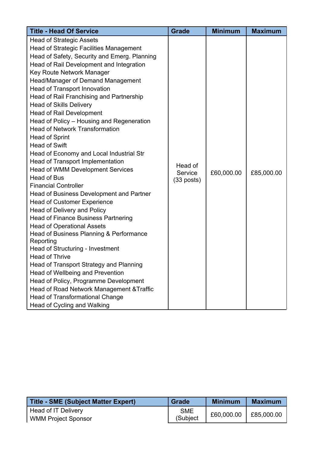| <b>Title - Head Of Service</b>                 | <b>Grade</b> | <b>Minimum</b> | <b>Maximum</b> |
|------------------------------------------------|--------------|----------------|----------------|
| <b>Head of Strategic Assets</b>                |              |                |                |
| <b>Head of Strategic Facilities Management</b> |              |                |                |
| Head of Safety, Security and Emerg. Planning   |              |                |                |
| Head of Rail Development and Integration       |              |                |                |
| Key Route Network Manager                      |              |                |                |
| Head/Manager of Demand Management              |              |                |                |
| <b>Head of Transport Innovation</b>            |              |                |                |
| Head of Rail Franchising and Partnership       |              |                |                |
| <b>Head of Skills Delivery</b>                 |              |                |                |
| <b>Head of Rail Development</b>                |              |                |                |
| Head of Policy - Housing and Regeneration      |              |                |                |
| <b>Head of Network Transformation</b>          |              |                |                |
| <b>Head of Sprint</b>                          |              |                |                |
| <b>Head of Swift</b>                           |              |                |                |
| Head of Economy and Local Industrial Str       |              |                |                |
| <b>Head of Transport Implementation</b>        | Head of      |                |                |
| <b>Head of WMM Development Services</b>        | Service      | £60,000.00     | £85,000.00     |
| <b>Head of Bus</b>                             | $(33$ posts) |                |                |
| <b>Financial Controller</b>                    |              |                |                |
| Head of Business Development and Partner       |              |                |                |
| <b>Head of Customer Experience</b>             |              |                |                |
| Head of Delivery and Policy                    |              |                |                |
| <b>Head of Finance Business Partnering</b>     |              |                |                |
| <b>Head of Operational Assets</b>              |              |                |                |
| Head of Business Planning & Performance        |              |                |                |
| Reporting                                      |              |                |                |
| Head of Structuring - Investment               |              |                |                |
| <b>Head of Thrive</b>                          |              |                |                |
| Head of Transport Strategy and Planning        |              |                |                |
| Head of Wellbeing and Prevention               |              |                |                |
| Head of Policy, Programme Development          |              |                |                |
| Head of Road Network Management & Traffic      |              |                |                |
| <b>Head of Transformational Change</b>         |              |                |                |
| Head of Cycling and Walking                    |              |                |                |

| <b>Title - SME (Subject Matter Expert)</b> | <b>Grade</b> | Minimum    | <b>Maximum</b> |
|--------------------------------------------|--------------|------------|----------------|
| Head of IT Delivery                        | <b>SME</b>   | £60,000.00 | £85,000.00     |
| <b>WMM Project Sponsor</b>                 | (Subject     |            |                |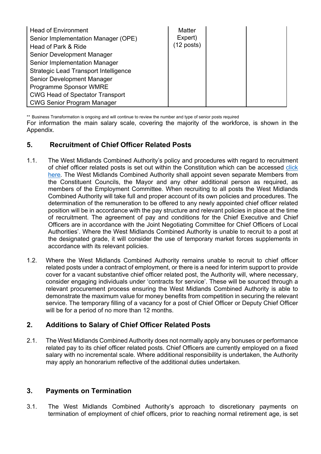| <b>Head of Environment</b>                   | <b>Matter</b>        |  |
|----------------------------------------------|----------------------|--|
| Senior Implementation Manager (OPE)          | Expert)              |  |
| Head of Park & Ride                          | $(12 \text{ posts})$ |  |
| Senior Development Manager                   |                      |  |
| Senior Implementation Manager                |                      |  |
| <b>Strategic Lead Transport Intelligence</b> |                      |  |
| Senior Development Manager                   |                      |  |
| Programme Sponsor WMRE                       |                      |  |
| <b>CWG Head of Spectator Transport</b>       |                      |  |
| <b>CWG Senior Program Manager</b>            |                      |  |

\*\* Business Transformation is ongoing and will continue to review the number and type of senior posts required

For information the main salary scale, covering the majority of the workforce, is shown in the Appendix.

# **5. Recruitment of Chief Officer Related Posts**

- 1.1. The West Midlands Combined Authority's policy and procedures with regard to recruitment of chief officer related posts is set out within the Constitution which can be accessed [click](https://www.wmca.org.uk/media/1576/constitution-master-module-2642017.pdf) [here](https://www.wmca.org.uk/media/1576/constitution-master-module-2642017.pdf)*.* The West Midlands Combined Authority shall appoint seven separate Members from the Constituent Councils, the Mayor and any other additional person as required, as members of the Employment Committee. When recruiting to all posts the West Midlands Combined Authority will take full and proper account of its own policies and procedures. The determination of the remuneration to be offered to any newly appointed chief officer related position will be in accordance with the pay structure and relevant policies in place at the time of recruitment. The agreement of pay and conditions for the Chief Executive and Chief Officers are in accordance with the Joint Negotiating Committee for Chief Officers of Local Authorities'. Where the West Midlands Combined Authority is unable to recruit to a post at the designated grade, it will consider the use of temporary market forces supplements in accordance with its relevant policies.
- 1.2. Where the West Midlands Combined Authority remains unable to recruit to chief officer related posts under a contract of employment, or there is a need for interim support to provide cover for a vacant substantive chief officer related post, the Authority will, where necessary, consider engaging individuals under 'contracts for service'. These will be sourced through a relevant procurement process ensuring the West Midlands Combined Authority is able to demonstrate the maximum value for money benefits from competition in securing the relevant service. The temporary filling of a vacancy for a post of Chief Officer or Deputy Chief Officer will be for a period of no more than 12 months.

# **2. Additions to Salary of Chief Officer Related Posts**

2.1. The West Midlands Combined Authority does not normally apply any bonuses or performance related pay to its chief officer related posts. Chief Officers are currently employed on a fixed salary with no incremental scale. Where additional responsibility is undertaken, the Authority may apply an honorarium reflective of the additional duties undertaken.

# **3. Payments on Termination**

3.1. The West Midlands Combined Authority's approach to discretionary payments on termination of employment of chief officers, prior to reaching normal retirement age, is set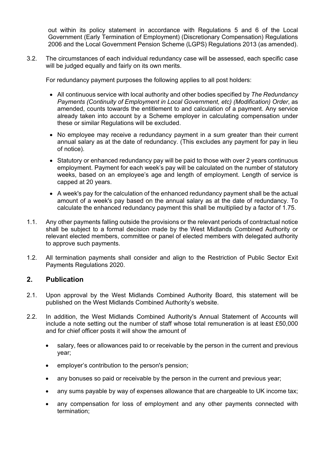out within its policy statement in accordance with Regulations 5 and 6 of the Local Government (Early Termination of Employment) (Discretionary Compensation) Regulations 2006 and the Local Government Pension Scheme (LGPS) Regulations 2013 (as amended).

3.2. The circumstances of each individual redundancy case will be assessed, each specific case will be judged equally and fairly on its own merits.

For redundancy payment purposes the following applies to all post holders:

- All continuous service with local authority and other bodies specified by *The Redundancy Payments (Continuity of Employment in Local Government, etc) (Modification) Order*, as amended, counts towards the entitlement to and calculation of a payment. Any service already taken into account by a Scheme employer in calculating compensation under these or similar Regulations will be excluded.
- No employee may receive a redundancy payment in a sum greater than their current annual salary as at the date of redundancy. (This excludes any payment for pay in lieu of notice).
- Statutory or enhanced redundancy pay will be paid to those with over 2 years continuous employment. Payment for each week's pay will be calculated on the number of statutory weeks, based on an employee's age and length of employment. Length of service is capped at 20 years.
- A week's pay for the calculation of the enhanced redundancy payment shall be the actual amount of a week's pay based on the annual salary as at the date of redundancy. To calculate the enhanced redundancy payment this shall be multiplied by a factor of 1.75.
- 1.1. Any other payments falling outside the provisions or the relevant periods of contractual notice shall be subject to a formal decision made by the West Midlands Combined Authority or relevant elected members, committee or panel of elected members with delegated authority to approve such payments.
- 1.2. All termination payments shall consider and align to the Restriction of Public Sector Exit Payments Regulations 2020.

# **2. Publication**

- 2.1. Upon approval by the West Midlands Combined Authority Board, this statement will be published on the West Midlands Combined Authority's website.
- 2.2. In addition, the West Midlands Combined Authority's Annual Statement of Accounts will include a note setting out the number of staff whose total remuneration is at least £50,000 and for chief officer posts it will show the amount of
	- salary, fees or allowances paid to or receivable by the person in the current and previous year;
	- employer's contribution to the person's pension;
	- any bonuses so paid or receivable by the person in the current and previous year;
	- any sums payable by way of expenses allowance that are chargeable to UK income tax;
	- any compensation for loss of employment and any other payments connected with termination;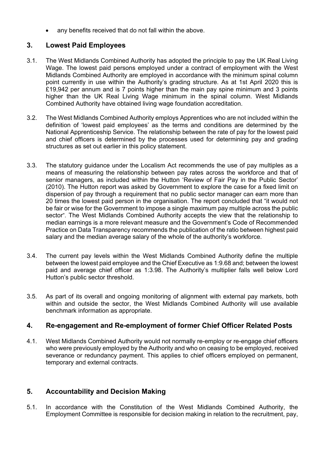any benefits received that do not fall within the above.

# **3. Lowest Paid Employees**

- 3.1. The West Midlands Combined Authority has adopted the principle to pay the UK Real Living Wage. The lowest paid persons employed under a contract of employment with the West Midlands Combined Authority are employed in accordance with the minimum spinal column point currently in use within the Authority's grading structure. As at 1st April 2020 this is £19,942 per annum and is 7 points higher than the main pay spine minimum and 3 points higher than the UK Real Living Wage minimum in the spinal column. West Midlands Combined Authority have obtained living wage foundation accreditation.
- 3.2. The West Midlands Combined Authority employs Apprentices who are not included within the definition of 'lowest paid employees' as the terms and conditions are determined by the National Apprenticeship Service. The relationship between the rate of pay for the lowest paid and chief officers is determined by the processes used for determining pay and grading structures as set out earlier in this policy statement.
- 3.3. The statutory guidance under the Localism Act recommends the use of pay multiples as a means of measuring the relationship between pay rates across the workforce and that of senior managers, as included within the Hutton 'Review of Fair Pay in the Public Sector' (2010). The Hutton report was asked by Government to explore the case for a fixed limit on dispersion of pay through a requirement that no public sector manager can earn more than 20 times the lowest paid person in the organisation. The report concluded that "it would not be fair or wise for the Government to impose a single maximum pay multiple across the public sector". The West Midlands Combined Authority accepts the view that the relationship to median earnings is a more relevant measure and the Government's Code of Recommended Practice on Data Transparency recommends the publication of the ratio between highest paid salary and the median average salary of the whole of the authority's workforce.
- 3.4. The current pay levels within the West Midlands Combined Authority define the multiple between the lowest paid employee and the Chief Executive as 1:9.68 and; between the lowest paid and average chief officer as 1:3.98. The Authority's multiplier falls well below Lord Hutton's public sector threshold.
- 3.5. As part of its overall and ongoing monitoring of alignment with external pay markets, both within and outside the sector, the West Midlands Combined Authority will use available benchmark information as appropriate.

# **4. Re-engagement and Re-employment of former Chief Officer Related Posts**

4.1. West Midlands Combined Authority would not normally re-employ or re-engage chief officers who were previously employed by the Authority and who on ceasing to be employed, received severance or redundancy payment. This applies to chief officers employed on permanent, temporary and external contracts.

# **5. Accountability and Decision Making**

5.1. In accordance with the Constitution of the West Midlands Combined Authority, the Employment Committee is responsible for decision making in relation to the recruitment, pay,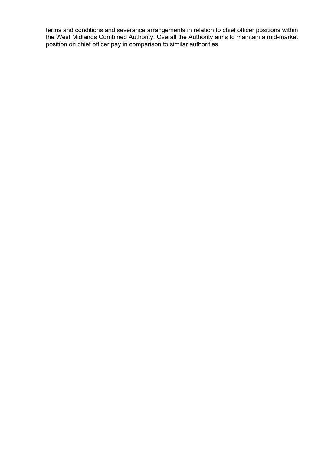terms and conditions and severance arrangements in relation to chief officer positions within the West Midlands Combined Authority. Overall the Authority aims to maintain a mid-market position on chief officer pay in comparison to similar authorities.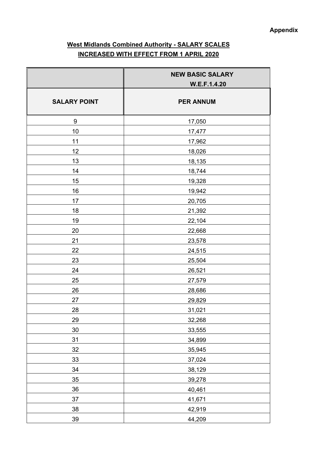# **West Midlands Combined Authority - SALARY SCALES INCREASED WITH EFFECT FROM 1 APRIL 2020**

|                     | <b>NEW BASIC SALARY</b> |
|---------------------|-------------------------|
|                     | W.E.F.1.4.20            |
| <b>SALARY POINT</b> | <b>PER ANNUM</b>        |
|                     |                         |
| $\boldsymbol{9}$    | 17,050                  |
| 10                  | 17,477                  |
| 11                  | 17,962                  |
| 12                  | 18,026                  |
| 13                  | 18,135                  |
| 14                  | 18,744                  |
| 15                  | 19,328                  |
| 16                  | 19,942                  |
| 17                  | 20,705                  |
| 18                  | 21,392                  |
| 19                  | 22,104                  |
| 20                  | 22,668                  |
| 21                  | 23,578                  |
| 22                  | 24,515                  |
| 23                  | 25,504                  |
| 24                  | 26,521                  |
| 25                  | 27,579                  |
| 26                  | 28,686                  |
| 27                  | 29,829                  |
| <u>28</u>           | 31,021                  |
| 29                  | 32,268                  |
| $30\,$              | 33,555                  |
| 31                  | 34,899                  |
| 32                  | 35,945                  |
| 33                  | 37,024                  |
| 34                  | 38,129                  |
| 35                  | 39,278                  |
| 36                  | 40,461                  |
| 37                  | 41,671                  |
| 38                  | 42,919                  |
| 39                  | 44,209                  |